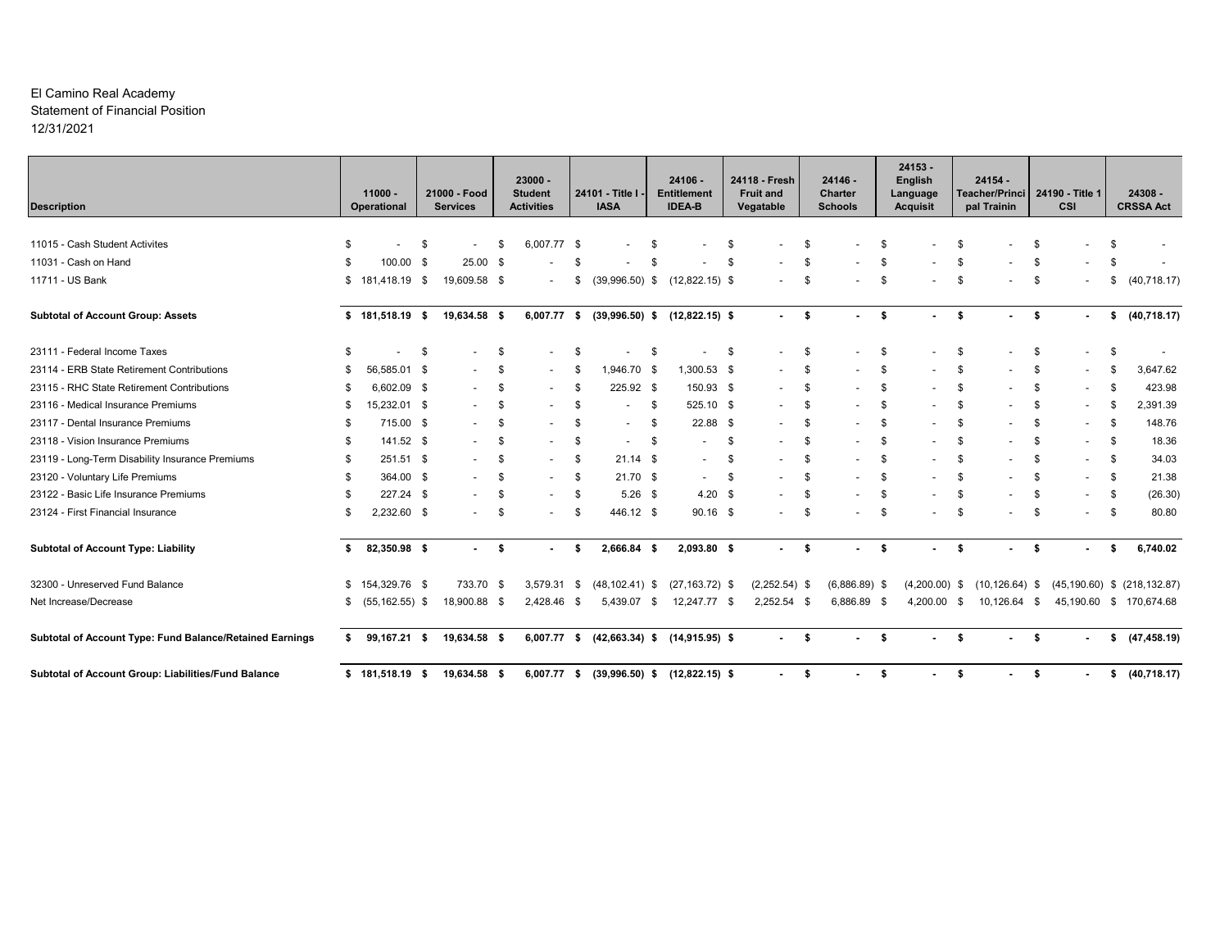#### El Camino Real Academy Statement of Financial Position 12/31/2021

| <b>Description</b>                                       |      | $11000 -$<br>Operational |    | 21000 - Food<br><b>Services</b> |      | $23000 -$<br><b>Student</b><br><b>Activities</b> |      | 24101 - Title I -<br><b>IASA</b>  |      | $24106 -$<br><b>Entitlement</b><br><b>IDEA-B</b> |     | 24118 - Fresh<br><b>Fruit and</b><br>Vegatable |      | 24146 -<br><b>Charter</b><br><b>Schools</b> | $24153 -$<br>English<br>Language<br><b>Acquisit</b> |      | $24154 -$<br>Teacher/Princi<br>pal Trainin |      | 24190 - Title 1<br>CSI   |      | $24308 -$<br><b>CRSSA Act</b>     |
|----------------------------------------------------------|------|--------------------------|----|---------------------------------|------|--------------------------------------------------|------|-----------------------------------|------|--------------------------------------------------|-----|------------------------------------------------|------|---------------------------------------------|-----------------------------------------------------|------|--------------------------------------------|------|--------------------------|------|-----------------------------------|
|                                                          |      |                          |    |                                 |      |                                                  |      |                                   |      |                                                  |     |                                                |      |                                             |                                                     |      |                                            |      |                          |      |                                   |
| 11015 - Cash Student Activites                           | - \$ | $\overline{\phantom{a}}$ | \$ |                                 | \$   | 6,007.77 \$                                      |      |                                   |      |                                                  | S   |                                                | \$   |                                             |                                                     |      |                                            | -S   |                          |      |                                   |
| 11031 - Cash on Hand                                     |      | 100.00 \$                |    | $25.00$ \$                      |      |                                                  |      |                                   |      |                                                  |     |                                                |      |                                             |                                                     |      |                                            |      |                          |      |                                   |
| 11711 - US Bank                                          | \$   | 181,418.19 \$            |    | 19,609.58 \$                    |      |                                                  | \$   | $(39,996.50)$ \$                  |      | $(12,822.15)$ \$                                 |     |                                                | \$   |                                             |                                                     |      |                                            | -S   |                          | \$   | (40, 718.17)                      |
| <b>Subtotal of Account Group: Assets</b>                 |      | $$181,518.19$ \$         |    | 19,634.58 \$                    |      | 6,007.77                                         | - \$ | $(39,996.50)$ \$                  |      | $(12,822.15)$ \$                                 |     | $\sim$                                         | - \$ | Ŝ.<br>$\overline{\phantom{a}}$              | ٠                                                   | - \$ |                                            | - \$ | $\blacksquare$           | \$   | (40, 718.17)                      |
| 23111 - Federal Income Taxes                             |      |                          | Ŝ. |                                 | -\$  |                                                  | \$   |                                   | S    |                                                  | -S  |                                                | \$   | - \$                                        |                                                     | \$   |                                            | \$   |                          | £    |                                   |
| 23114 - ERB State Retirement Contributions               | -96  | 56,585.01 \$             |    |                                 | - \$ |                                                  | \$   | $,946.70$ \$                      |      | 1,300.53 \$                                      |     |                                                | \$   | -S                                          |                                                     | -S   |                                            | \$   |                          |      | 3,647.62                          |
| 23115 - RHC State Retirement Contributions               |      | 6,602.09 \$              |    |                                 | -\$  |                                                  | \$   | 225.92 \$                         |      | 150.93 \$                                        |     |                                                | \$   | - \$                                        |                                                     | -S   |                                            | \$   |                          |      | 423.98                            |
| 23116 - Medical Insurance Premiums                       | -96  | 15,232.01 \$             |    |                                 | \$   |                                                  | \$   |                                   | \$   | 525.10 \$                                        |     |                                                | -\$  |                                             |                                                     | -S   |                                            | S    |                          |      | 2,391.39                          |
| 23117 - Dental Insurance Premiums                        | - \$ | 715.00 \$                |    |                                 | \$   |                                                  | \$   | $\overline{\phantom{a}}$          | \$   | $22.88$ \$                                       |     | $\blacksquare$                                 | -\$  | -S                                          |                                                     | \$.  |                                            | \$   |                          | £    | 148.76                            |
| 23118 - Vision Insurance Premiums                        | - \$ | 141.52 \$                |    |                                 | \$   |                                                  | \$   | $\overline{\phantom{a}}$          | \$   |                                                  | -S  |                                                | \$   | - \$                                        |                                                     | \$   |                                            | S.   | $\overline{\phantom{a}}$ | -\$  | 18.36                             |
| 23119 - Long-Term Disability Insurance Premiums          | - \$ | 251.51 \$                |    |                                 | -\$  |                                                  | \$   | $21.14$ \$                        |      | $\overline{\phantom{a}}$                         | -\$ | $\blacksquare$                                 | \$   | - 96                                        |                                                     | \$.  |                                            | \$   | $\overline{\phantom{a}}$ | -\$  | 34.03                             |
| 23120 - Voluntary Life Premiums                          | - \$ | 364.00 \$                |    |                                 | \$   |                                                  | \$   | $21.70$ \$                        |      | $\blacksquare$                                   | -S  |                                                | \$   |                                             |                                                     | \$   |                                            | \$   | $\overline{\phantom{a}}$ | - \$ | 21.38                             |
| 23122 - Basic Life Insurance Premiums                    | - \$ | 227.24 \$                |    |                                 | \$   |                                                  | \$   | $5.26$ \$                         |      | 4.20                                             | -\$ | $\blacksquare$                                 | \$   |                                             |                                                     | \$.  |                                            | -S   | $\overline{\phantom{a}}$ | -\$  | (26.30)                           |
| 23124 - First Financial Insurance                        | - \$ | 2,232.60 \$              |    |                                 | \$   |                                                  | \$   | 446.12 \$                         |      | $90.16$ \$                                       |     | $\overline{a}$                                 | \$   | -S<br>$\overline{\phantom{a}}$              |                                                     | \$   |                                            | \$   |                          | - \$ | 80.80                             |
| <b>Subtotal of Account Type: Liability</b>               | s.   | 82,350.98 \$             |    | $\sim$                          | \$   | $\sim$                                           | \$   | 2,666.84 \$                       |      | 2,093.80 \$                                      |     | $\sim$                                         | \$   | Ŝ.<br>٠                                     |                                                     | -\$  |                                            | - \$ |                          | - \$ | 6,740.02                          |
| 32300 - Unreserved Fund Balance                          |      | $$154,329.76$ \$         |    | 733.70 \$                       |      | 3,579.31                                         | - \$ | $(48, 102.41)$ \$                 |      | $(27, 163.72)$ \$                                |     | $(2,252.54)$ \$                                |      | $(6,886.89)$ \$                             | $(4,200.00)$ \$                                     |      | $(10, 126.64)$ \$                          |      |                          |      | $(45, 190.60)$ \$ $(218, 132.87)$ |
| Net Increase/Decrease                                    | \$   | $(55, 162.55)$ \$        |    | 18,900.88 \$                    |      | 2,428.46 \$                                      |      | 5.439.07                          | - \$ | 12,247.77 \$                                     |     | $2,252.54$ \$                                  |      | 6,886.89 \$                                 | 4.200.00 \$                                         |      | 10.126.64 \$                               |      | 45.190.60                |      | \$170,674.68                      |
| Subtotal of Account Type: Fund Balance/Retained Earnings | s.   | 99,167.21 \$             |    | 19,634.58 \$                    |      | 6,007.77 \$                                      |      |                                   |      | $(42,663.34)$ \$ $(14,915.95)$ \$                |     | $\sim$                                         | \$   | \$                                          |                                                     | \$   |                                            | \$   |                          | \$   | (47, 458.19)                      |
| Subtotal of Account Group: Liabilities/Fund Balance      |      | $$181,518.19$ \$         |    | 19,634.58 \$                    |      | 6,007.77 \$                                      |      | $(39,996.50)$ \$ $(12,822.15)$ \$ |      |                                                  |     |                                                | \$   | Ŝ.                                          |                                                     | \$   |                                            | \$   |                          | \$   | (40, 718.17)                      |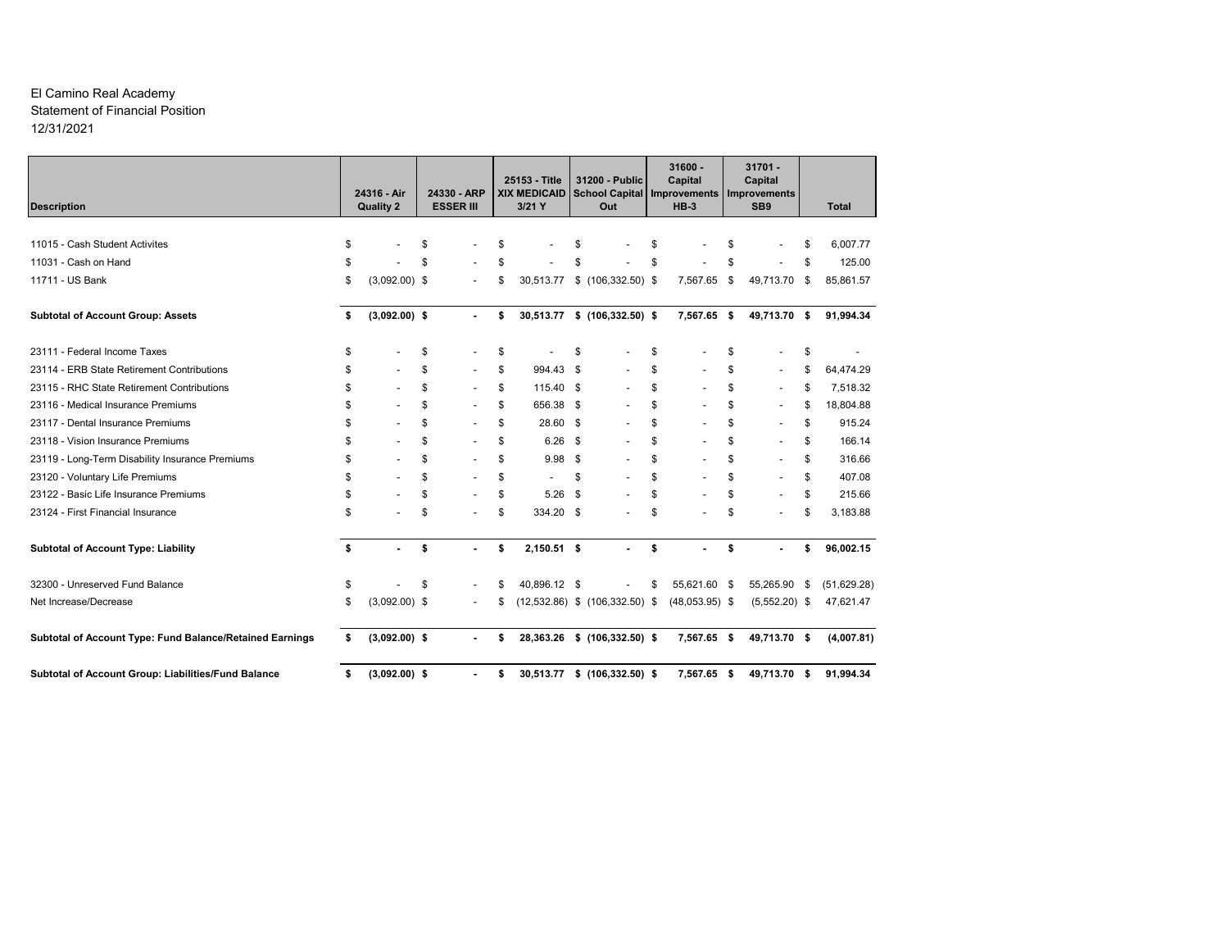#### El Camino Real Academy Statement of Financial Position 12/31/2021

| <b>Description</b>                                       | 24316 - Air<br><b>Quality 2</b> |    | 24330 - ARP<br><b>ESSER III</b> | 25153 - Title<br><b>XIX MEDICAID</b><br>$3/21$ Y |      | 31200 - Public<br><b>School Capital</b><br>Out | $31600 -$<br>Capital<br><b>Improvements</b><br>$HB-3$ |    | $31701 -$<br>Capital<br><b>Improvements</b><br>SB <sub>9</sub> |    | <b>Total</b> |
|----------------------------------------------------------|---------------------------------|----|---------------------------------|--------------------------------------------------|------|------------------------------------------------|-------------------------------------------------------|----|----------------------------------------------------------------|----|--------------|
|                                                          |                                 |    |                                 |                                                  |      |                                                |                                                       |    |                                                                |    |              |
| 11015 - Cash Student Activites                           | \$                              | \$ |                                 | \$                                               | S    |                                                |                                                       | \$ |                                                                | S  | 6,007.77     |
| 11031 - Cash on Hand                                     | \$                              | \$ |                                 | \$                                               | \$   |                                                | \$                                                    | \$ |                                                                | \$ | 125.00       |
| 11711 - US Bank                                          | \$<br>$(3,092.00)$ \$           |    |                                 | \$<br>30,513.77                                  |      | $$$ (106,332.50) \$                            | 7,567.65                                              | \$ | 49,713.70                                                      | \$ | 85,861.57    |
| <b>Subtotal of Account Group: Assets</b>                 | \$<br>$(3,092.00)$ \$           |    |                                 | \$<br>30,513.77                                  |      | $$$ (106,332.50) \$                            | 7,567.65 \$                                           |    | 49,713.70 \$                                                   |    | 91,994.34    |
| 23111 - Federal Income Taxes                             | \$                              | \$ |                                 | \$                                               | \$   |                                                | \$                                                    | S  |                                                                | \$ |              |
| 23114 - ERB State Retirement Contributions               | \$                              | \$ | $\overline{\phantom{a}}$        | \$<br>994.43                                     | \$   |                                                | \$                                                    | \$ | $\overline{\phantom{a}}$                                       | \$ | 64,474.29    |
| 23115 - RHC State Retirement Contributions               | \$                              | \$ |                                 | \$<br>115.40 \$                                  |      |                                                | \$                                                    | \$ |                                                                | \$ | 7,518.32     |
| 23116 - Medical Insurance Premiums                       | \$                              | \$ | $\overline{\phantom{a}}$        | \$<br>656.38                                     | - \$ |                                                | \$                                                    | \$ |                                                                | \$ | 18,804.88    |
| 23117 - Dental Insurance Premiums                        | \$                              | \$ | $\overline{\phantom{a}}$        | \$<br>28.60 \$                                   |      |                                                | \$                                                    | \$ |                                                                | \$ | 915.24       |
| 23118 - Vision Insurance Premiums                        | \$                              | \$ | $\overline{\phantom{a}}$        | \$<br>6.26                                       | \$   |                                                | \$<br>$\overline{\phantom{a}}$                        | \$ |                                                                | \$ | 166.14       |
| 23119 - Long-Term Disability Insurance Premiums          | \$                              | \$ | $\overline{\phantom{a}}$        | \$<br>9.98                                       | Ŝ.   |                                                | \$<br>$\overline{\phantom{a}}$                        | \$ |                                                                | \$ | 316.66       |
| 23120 - Voluntary Life Premiums                          | \$                              | \$ | ÷                               | \$                                               | \$   |                                                | \$                                                    | \$ |                                                                | \$ | 407.08       |
| 23122 - Basic Life Insurance Premiums                    | \$                              | \$ |                                 | \$<br>5.26                                       | \$   |                                                | \$                                                    | \$ |                                                                | \$ | 215.66       |
| 23124 - First Financial Insurance                        | \$                              | Ŝ  |                                 | \$<br>334.20 \$                                  |      |                                                | \$                                                    | \$ |                                                                | \$ | 3,183.88     |
| <b>Subtotal of Account Type: Liability</b>               | \$<br>$\blacksquare$            | \$ |                                 | \$<br>$2,150.51$ \$                              |      |                                                | \$                                                    | \$ |                                                                | \$ | 96,002.15    |
| 32300 - Unreserved Fund Balance                          | \$                              | \$ |                                 | \$<br>40,896.12 \$                               |      |                                                | \$<br>55,621.60 \$                                    |    | 55,265.90                                                      | \$ | (51,629.28)  |
| Net Increase/Decrease                                    | \$<br>$(3,092.00)$ \$           |    |                                 | \$                                               |      | $(12,532.86)$ \$ $(106,332.50)$ \$             | $(48,053.95)$ \$                                      |    | $(5,552.20)$ \$                                                |    | 47,621.47    |
| Subtotal of Account Type: Fund Balance/Retained Earnings | \$<br>$(3,092.00)$ \$           |    | $\overline{\phantom{a}}$        | \$<br>28,363.26                                  |      | $$(106, 332.50)$ \$                            | 7,567.65 \$                                           |    | 49,713.70 \$                                                   |    | (4,007.81)   |
| Subtotal of Account Group: Liabilities/Fund Balance      | \$<br>$(3,092.00)$ \$           |    | ٠                               | \$                                               |      | 30,513.77 \$ (106,332.50) \$                   | 7,567.65 \$                                           |    | 49,713.70 \$                                                   |    | 91,994.34    |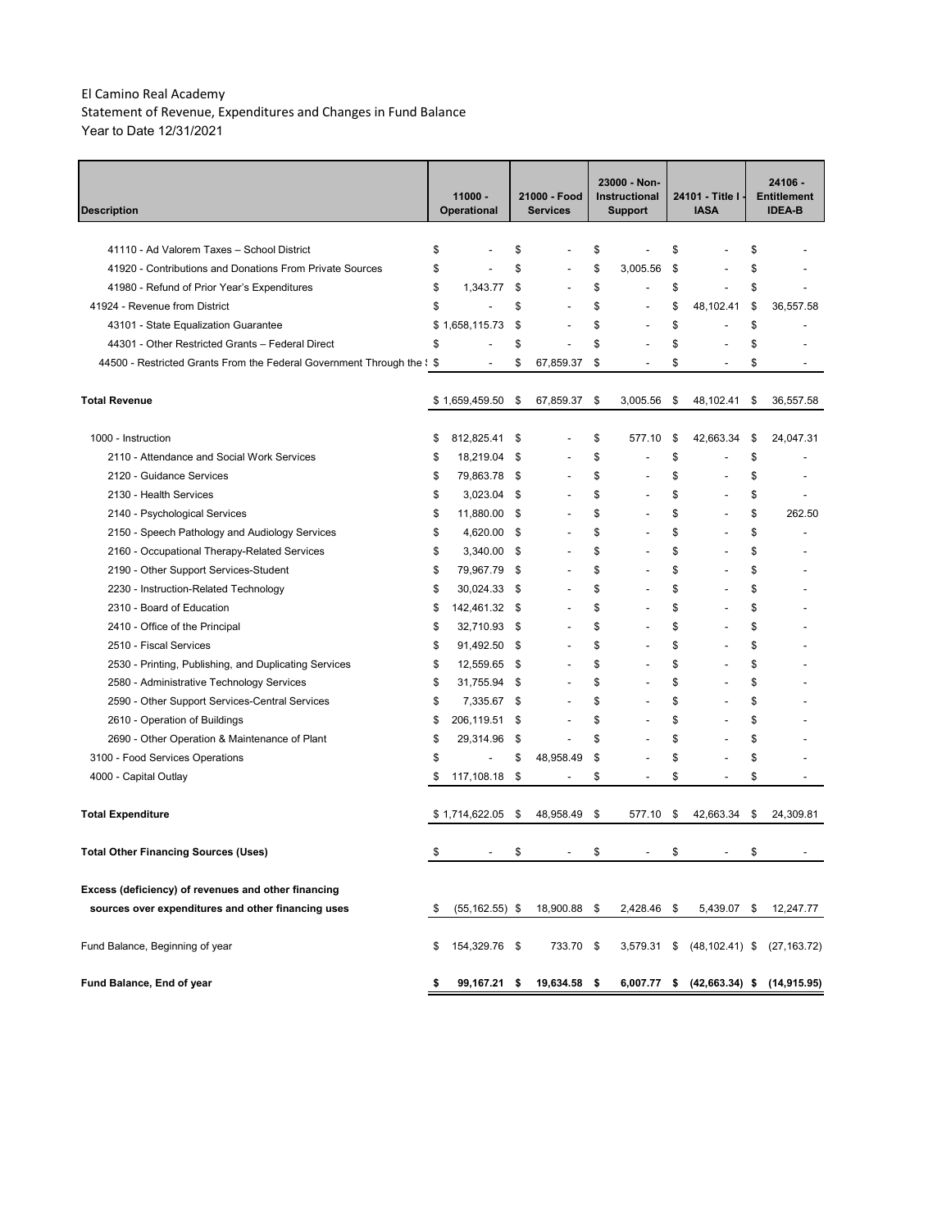Statement of Revenue, Expenditures and Changes in Fund Balance Year to Date 12/31/2021

| <b>Description</b>                                                              | $11000 -$<br><b>Operational</b> |                          |      | 21000 - Food<br><b>Services</b> | 23000 - Non-<br>Instructional<br><b>Support</b> |                |    | 24101 - Title I<br><b>IASA</b> | 24106 -<br><b>Entitlement</b><br><b>IDEA-B</b> |
|---------------------------------------------------------------------------------|---------------------------------|--------------------------|------|---------------------------------|-------------------------------------------------|----------------|----|--------------------------------|------------------------------------------------|
|                                                                                 |                                 |                          |      |                                 |                                                 |                |    |                                |                                                |
| 41110 - Ad Valorem Taxes - School District                                      | \$                              |                          | \$   |                                 | \$                                              |                | \$ |                                | \$                                             |
| 41920 - Contributions and Donations From Private Sources                        | \$                              |                          | \$   |                                 | \$                                              | 3.005.56       | \$ |                                | \$                                             |
| 41980 - Refund of Prior Year's Expenditures                                     | \$                              | 1,343.77                 | \$   | $\overline{a}$                  | \$                                              | L,             | \$ |                                | \$                                             |
| 41924 - Revenue from District                                                   | \$                              |                          | \$   |                                 | \$                                              | L,             | \$ | 48,102.41                      | \$<br>36,557.58                                |
| 43101 - State Equalization Guarantee                                            | \$                              | 1,658,115.73             | \$   |                                 | \$                                              | $\overline{a}$ | \$ | $\overline{a}$                 | \$                                             |
| 44301 - Other Restricted Grants - Federal Direct                                | \$                              |                          | \$   |                                 | \$                                              | ÷              | \$ |                                | \$                                             |
| 44500 - Restricted Grants From the Federal Government Through the $\frac{1}{5}$ |                                 | $\overline{\phantom{a}}$ | \$   | 67,859.37                       | \$                                              | $\overline{a}$ | \$ | $\overline{\phantom{a}}$       | \$                                             |
| <b>Total Revenue</b>                                                            | \$                              | 1,659,459.50             | \$   | 67,859.37                       | \$                                              | 3,005.56       | \$ | 48,102.41                      | \$<br>36,557.58                                |
| 1000 - Instruction                                                              | \$                              | 812,825.41               | \$   |                                 | \$                                              | 577.10         | \$ | 42,663.34                      | \$<br>24,047.31                                |
| 2110 - Attendance and Social Work Services                                      | \$                              | 18,219.04                | \$   |                                 | \$                                              |                | \$ |                                | \$                                             |
| 2120 - Guidance Services                                                        | \$                              | 79,863.78                | -\$  |                                 | \$                                              |                | \$ |                                | \$                                             |
| 2130 - Health Services                                                          | \$                              | 3,023.04 \$              |      |                                 | \$                                              | L,             | \$ |                                | \$                                             |
| 2140 - Psychological Services                                                   | \$                              | 11,880.00                | \$   |                                 | \$                                              | L,             | \$ |                                | \$<br>262.50                                   |
| 2150 - Speech Pathology and Audiology Services                                  | \$                              | 4,620.00                 | \$   |                                 | \$                                              | L,             | \$ |                                | \$                                             |
| 2160 - Occupational Therapy-Related Services                                    | \$                              | 3,340.00                 | \$   |                                 | \$                                              | $\overline{a}$ | \$ |                                | \$                                             |
| 2190 - Other Support Services-Student                                           | \$                              | 79,967.79                | \$   | $\overline{a}$                  | \$                                              | $\overline{a}$ | \$ |                                | \$                                             |
| 2230 - Instruction-Related Technology                                           | \$                              | 30,024.33                | -\$  | $\overline{a}$                  | \$                                              | $\overline{a}$ | \$ |                                | \$                                             |
| 2310 - Board of Education                                                       | \$                              | 142,461.32               | - \$ |                                 | \$                                              | $\overline{a}$ | \$ |                                | \$                                             |
| 2410 - Office of the Principal                                                  | \$                              | 32,710.93                | - \$ |                                 | \$                                              | $\overline{a}$ | \$ |                                | \$                                             |
| 2510 - Fiscal Services                                                          | \$                              | 91,492.50                | \$   |                                 | \$                                              | $\overline{a}$ | \$ |                                | \$                                             |
| 2530 - Printing, Publishing, and Duplicating Services                           | \$                              | 12,559.65                | - \$ |                                 | \$                                              | $\overline{a}$ | \$ |                                | \$                                             |
| 2580 - Administrative Technology Services                                       | \$                              | 31,755.94                | \$   |                                 | \$                                              | $\overline{a}$ | \$ |                                | \$                                             |
| 2590 - Other Support Services-Central Services                                  | \$                              | 7,335.67 \$              |      |                                 | \$                                              | $\overline{a}$ | \$ |                                | \$                                             |
| 2610 - Operation of Buildings                                                   | \$                              | 206,119.51               | \$   |                                 | \$                                              | $\overline{a}$ | \$ |                                | \$                                             |
| 2690 - Other Operation & Maintenance of Plant                                   | \$                              | 29,314.96                | \$   | $\overline{\phantom{a}}$        | \$                                              | L,             | \$ |                                | \$                                             |
| 3100 - Food Services Operations                                                 | \$                              | $\overline{a}$           | \$   | 48,958.49                       | \$                                              | ÷              | \$ |                                | \$                                             |
| 4000 - Capital Outlay                                                           | \$                              | 117,108.18 \$            |      | $\overline{\phantom{a}}$        | \$                                              | $\overline{a}$ | \$ | $\overline{\phantom{a}}$       | \$                                             |
| <b>Total Expenditure</b>                                                        |                                 | \$1,714,622.05           | - \$ | 48,958.49                       | \$                                              | 577.10         | \$ | 42,663.34                      | \$<br>24,309.81                                |
| Total Other Financing Sources (Uses)                                            | \$                              |                          | S    |                                 | \$                                              |                | \$ |                                | \$                                             |
| Excess (deficiency) of revenues and other financing                             |                                 |                          |      |                                 |                                                 |                |    |                                |                                                |
| sources over expenditures and other financing uses                              | \$                              | $(55, 162.55)$ \$        |      | 18,900.88 \$                    |                                                 | 2,428.46 \$    |    | 5,439.07                       | \$<br>12,247.77                                |
| Fund Balance, Beginning of year                                                 | \$                              | 154,329.76 \$            |      | 733.70 \$                       |                                                 | 3,579.31       | \$ | $(48, 102.41)$ \$              | (27, 163.72)                                   |
| Fund Balance, End of year                                                       | \$                              | 99,167.21 \$             |      | 19,634.58 \$                    |                                                 | 6,007.77       | \$ | $(42,663.34)$ \$               | (14,915.95)                                    |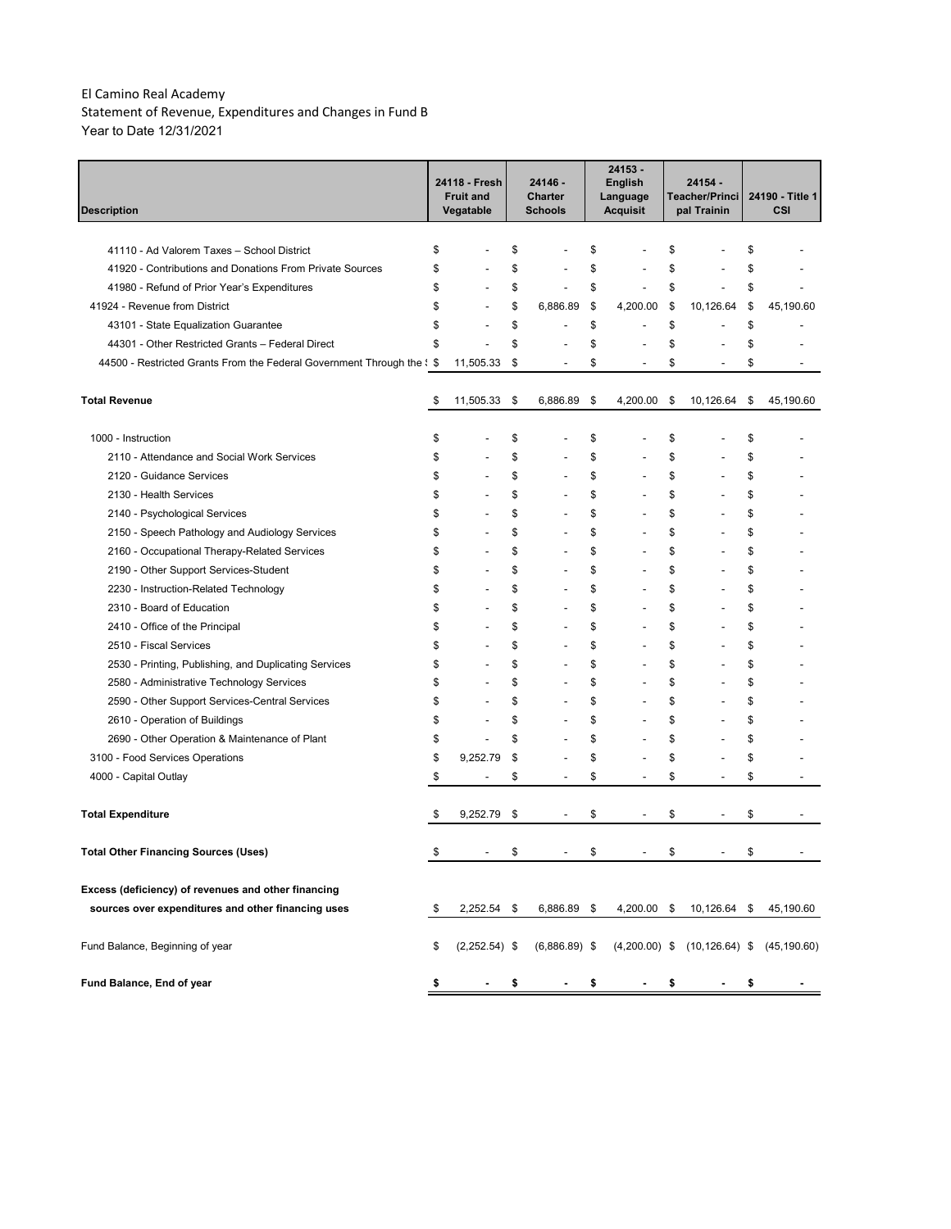Statement of Revenue, Expenditures and Changes in Fund B Year to Date 12/31/2021

| <b>Description</b>                                                                                      | 24118 - Fresh<br><b>Fruit and</b><br>Vegatable |          | 24146 -<br>Charter<br><b>Schools</b> | 24153 -<br><b>English</b><br>Language<br><b>Acquisit</b> | 24154 -<br>Teacher/Princi<br>pal Trainin |          | 24190 - Title 1<br><b>CSI</b> |
|---------------------------------------------------------------------------------------------------------|------------------------------------------------|----------|--------------------------------------|----------------------------------------------------------|------------------------------------------|----------|-------------------------------|
| 41110 - Ad Valorem Taxes - School District                                                              | \$                                             |          |                                      | \$                                                       | \$                                       |          |                               |
|                                                                                                         | \$                                             | \$<br>\$ | ÷                                    | \$                                                       | \$                                       | \$<br>\$ |                               |
| 41920 - Contributions and Donations From Private Sources<br>41980 - Refund of Prior Year's Expenditures | \$                                             | \$       | $\overline{a}$                       | \$<br>$\overline{a}$                                     | \$                                       | \$       |                               |
| 41924 - Revenue from District                                                                           | \$                                             | \$       | 6,886.89                             | \$<br>4,200.00                                           | \$<br>10,126.64                          | \$       | 45,190.60                     |
| 43101 - State Equalization Guarantee                                                                    | \$                                             | \$       | ÷                                    | \$<br>$\overline{a}$                                     | \$                                       | \$       |                               |
| 44301 - Other Restricted Grants - Federal Direct                                                        | \$                                             | \$       |                                      | \$                                                       | \$                                       | \$       |                               |
| 44500 - Restricted Grants From the Federal Government Through the $\frac{1}{5}$                         | 11,505.33                                      | \$       | ÷                                    | \$<br>$\overline{a}$                                     | \$                                       | \$       |                               |
| <b>Total Revenue</b>                                                                                    | \$<br>11,505.33                                | \$       | 6,886.89                             | \$<br>4,200.00                                           | \$<br>10,126.64                          | \$       | 45,190.60                     |
| 1000 - Instruction                                                                                      | \$                                             | \$       |                                      | \$                                                       | \$                                       | \$       |                               |
| 2110 - Attendance and Social Work Services                                                              | \$                                             | \$       |                                      | \$                                                       | \$                                       | \$       |                               |
| 2120 - Guidance Services                                                                                | \$                                             | \$       | L,                                   | \$                                                       | \$                                       | \$       |                               |
| 2130 - Health Services                                                                                  | \$                                             | \$       | $\overline{a}$                       | \$                                                       | \$                                       | \$       |                               |
| 2140 - Psychological Services                                                                           | \$                                             | \$       | $\overline{a}$                       | \$                                                       | \$                                       | \$       |                               |
| 2150 - Speech Pathology and Audiology Services                                                          | \$                                             | \$       | $\overline{a}$                       | \$<br>$\overline{a}$                                     | \$                                       | \$       |                               |
| 2160 - Occupational Therapy-Related Services                                                            | \$                                             | \$       | $\overline{a}$                       | \$<br>$\overline{a}$                                     | \$                                       | \$       |                               |
| 2190 - Other Support Services-Student                                                                   | \$                                             | \$       | $\overline{a}$                       | \$                                                       | \$                                       | \$       |                               |
| 2230 - Instruction-Related Technology                                                                   | \$                                             | \$       | $\overline{a}$                       | \$                                                       | \$                                       | \$       |                               |
| 2310 - Board of Education                                                                               | \$                                             | \$       | $\overline{a}$                       | \$                                                       | \$                                       | \$       |                               |
| 2410 - Office of the Principal                                                                          | \$                                             | \$       | $\overline{a}$                       | \$                                                       | \$                                       | \$       |                               |
| 2510 - Fiscal Services                                                                                  | \$                                             | \$       | $\overline{a}$                       | \$                                                       | \$                                       | \$       |                               |
| 2530 - Printing, Publishing, and Duplicating Services                                                   | \$                                             | \$       | $\overline{a}$                       | \$<br>$\overline{a}$                                     | \$                                       | \$       |                               |
| 2580 - Administrative Technology Services                                                               | \$                                             | \$       | ÷,                                   | \$<br>$\overline{a}$                                     | \$                                       | \$       |                               |
| 2590 - Other Support Services-Central Services                                                          | \$                                             | \$       | ÷,                                   | \$<br>$\overline{a}$                                     | \$                                       | \$       |                               |
| 2610 - Operation of Buildings                                                                           | \$<br>$\overline{a}$                           | \$       | ÷,                                   | \$<br>$\overline{a}$                                     | \$                                       | \$       |                               |
| 2690 - Other Operation & Maintenance of Plant                                                           | \$<br>$\overline{\phantom{a}}$                 | \$       | $\overline{a}$                       | \$<br>$\overline{a}$                                     | \$                                       | \$       |                               |
| 3100 - Food Services Operations                                                                         | \$<br>9,252.79                                 | \$       | $\overline{a}$                       | \$                                                       | \$                                       | \$       |                               |
| 4000 - Capital Outlay                                                                                   | \$<br>$\overline{\phantom{a}}$                 | \$       | $\overline{\phantom{a}}$             | \$<br>$\overline{\phantom{a}}$                           | \$<br>$\overline{\phantom{a}}$           | \$       |                               |
| <b>Total Expenditure</b>                                                                                | \$<br>9,252.79                                 | \$       |                                      | \$                                                       | \$                                       | \$       |                               |
| <b>Total Other Financing Sources (Uses)</b>                                                             |                                                |          |                                      | \$                                                       | \$                                       | \$       |                               |
| Excess (deficiency) of revenues and other financing                                                     |                                                |          |                                      |                                                          |                                          |          |                               |
| sources over expenditures and other financing uses                                                      | \$<br>2,252.54 \$                              |          | 6,886.89 \$                          | 4,200.00 \$                                              | 10,126.64 \$                             |          | 45,190.60                     |
| Fund Balance, Beginning of year                                                                         | \$<br>$(2,252.54)$ \$                          |          | $(6,886.89)$ \$                      | $(4,200.00)$ \$                                          | $(10, 126.64)$ \$                        |          | (45, 190.60)                  |
| Fund Balance, End of year                                                                               | \$                                             | \$       |                                      | \$                                                       | \$                                       | \$       |                               |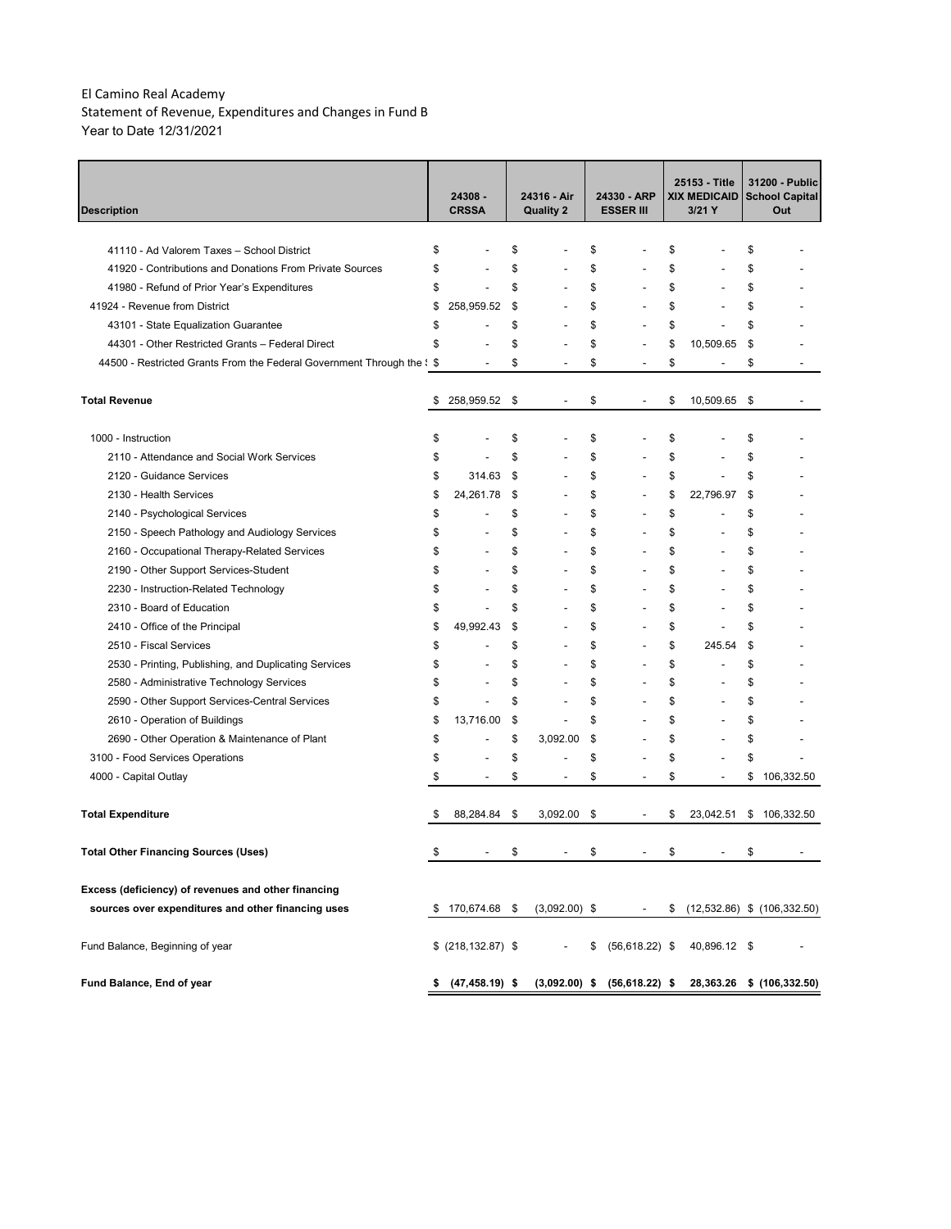Statement of Revenue, Expenditures and Changes in Fund B Year to Date 12/31/2021

| <b>Description</b>                                                              |    | 24308 -<br><b>CRSSA</b>  | 24316 - Air<br><b>Quality 2</b> | 24330 - ARP<br><b>ESSER III</b> |                                  | 25153 - Title<br>XIX MEDICAID<br>3/21 Y |                          | 31200 - Public<br>School Capital<br>Out |
|---------------------------------------------------------------------------------|----|--------------------------|---------------------------------|---------------------------------|----------------------------------|-----------------------------------------|--------------------------|-----------------------------------------|
| 41110 - Ad Valorem Taxes - School District                                      | \$ |                          | \$                              | \$                              |                                  | \$                                      |                          | \$                                      |
| 41920 - Contributions and Donations From Private Sources                        | \$ |                          | \$                              | \$                              |                                  | \$                                      |                          | \$                                      |
| 41980 - Refund of Prior Year's Expenditures                                     | \$ |                          | \$                              | \$                              |                                  | \$                                      |                          | \$                                      |
| 41924 - Revenue from District                                                   | \$ | 258,959.52               | \$                              | \$                              |                                  | \$                                      |                          | \$                                      |
| 43101 - State Equalization Guarantee                                            | \$ |                          | \$<br>$\overline{a}$            | \$                              |                                  | \$                                      |                          | \$                                      |
| 44301 - Other Restricted Grants - Federal Direct                                | \$ |                          | \$                              | \$                              |                                  | \$                                      | 10,509.65                | \$                                      |
| 44500 - Restricted Grants From the Federal Government Through the $\frac{1}{5}$ |    |                          | \$                              | \$                              |                                  | \$                                      |                          | \$                                      |
| <b>Total Revenue</b>                                                            | \$ | 258,959.52               | \$<br>$\overline{\phantom{0}}$  | \$                              | $\overline{\phantom{0}}$         | \$                                      | 10,509.65                | \$                                      |
| 1000 - Instruction                                                              | \$ |                          | \$                              | \$                              |                                  | \$                                      |                          | \$                                      |
| 2110 - Attendance and Social Work Services                                      | \$ |                          | \$                              | \$                              |                                  | \$                                      |                          | \$                                      |
| 2120 - Guidance Services                                                        | \$ | 314.63                   | \$<br>$\overline{a}$            | \$                              | $\overline{a}$                   | \$                                      | $\overline{a}$           | \$                                      |
| 2130 - Health Services                                                          | \$ | 24,261.78                | \$<br>$\overline{a}$            | \$                              | $\overline{a}$                   | \$                                      | 22,796.97                | \$                                      |
| 2140 - Psychological Services                                                   | \$ |                          | \$<br>$\overline{\phantom{0}}$  | \$                              | $\overline{a}$                   | \$                                      |                          | \$                                      |
| 2150 - Speech Pathology and Audiology Services                                  | \$ |                          | \$<br>$\overline{\phantom{0}}$  | \$                              | $\overline{a}$                   | \$                                      |                          | \$                                      |
| 2160 - Occupational Therapy-Related Services                                    | \$ | $\overline{\phantom{a}}$ | \$<br>$\overline{\phantom{0}}$  | \$                              | $\overline{a}$                   | \$                                      |                          | \$                                      |
| 2190 - Other Support Services-Student                                           | \$ | ٠                        | \$<br>$\overline{a}$            | \$                              | $\overline{a}$                   | \$                                      |                          | \$                                      |
| 2230 - Instruction-Related Technology                                           | \$ | $\overline{a}$           | \$<br>$\overline{a}$            | \$                              | $\overline{a}$                   | \$                                      |                          | \$                                      |
| 2310 - Board of Education                                                       | \$ | $\overline{\phantom{a}}$ | \$<br>$\overline{\phantom{0}}$  | \$                              | $\overline{a}$                   | \$                                      | $\overline{\phantom{a}}$ | \$                                      |
| 2410 - Office of the Principal                                                  | \$ | 49,992.43                | \$<br>$\overline{\phantom{0}}$  | \$                              | $\overline{a}$                   | \$                                      | $\overline{\phantom{a}}$ | \$                                      |
| 2510 - Fiscal Services                                                          | \$ |                          | \$<br>$\overline{\phantom{0}}$  | \$                              | $\overline{a}$                   | \$                                      | 245.54                   | \$                                      |
| 2530 - Printing, Publishing, and Duplicating Services                           | \$ |                          | \$<br>$\overline{a}$            | \$                              | $\overline{a}$                   | \$                                      | $\overline{a}$           | \$                                      |
| 2580 - Administrative Technology Services                                       | \$ | $\overline{\phantom{a}}$ | \$<br>$\overline{a}$            | \$                              | $\overline{a}$                   | \$                                      | $\overline{a}$           | \$                                      |
| 2590 - Other Support Services-Central Services                                  | \$ | $\overline{\phantom{a}}$ | \$<br>$\overline{a}$            | \$                              | $\overline{a}$                   | \$                                      | $\overline{a}$           | \$                                      |
| 2610 - Operation of Buildings                                                   | \$ | 13,716.00                | \$<br>$\overline{\phantom{a}}$  | \$                              | $\overline{a}$                   | \$                                      | $\overline{a}$           | \$                                      |
| 2690 - Other Operation & Maintenance of Plant                                   | \$ | $\overline{\phantom{a}}$ | \$<br>3,092.00                  | \$                              |                                  | \$                                      |                          | \$                                      |
| 3100 - Food Services Operations                                                 | \$ |                          | \$<br>$\overline{a}$            | \$                              |                                  | \$                                      |                          | \$                                      |
| 4000 - Capital Outlay                                                           | \$ | $\overline{\phantom{a}}$ | \$<br>$\overline{\phantom{a}}$  | \$                              | $\overline{a}$                   | \$                                      |                          | \$<br>106.332.50                        |
| <b>Total Expenditure</b>                                                        | S  | 88,284.84                | \$<br>3,092.00                  | \$                              |                                  | \$                                      | 23,042.51                | \$<br>106,332.50                        |
| <b>Total Other Financing Sources (Uses)</b>                                     |    |                          | \$                              | \$                              |                                  | \$                                      |                          | \$                                      |
| Excess (deficiency) of revenues and other financing                             |    |                          |                                 |                                 |                                  |                                         |                          |                                         |
| sources over expenditures and other financing uses                              | S  | 170,674.68 \$            | $(3,092.00)$ \$                 |                                 |                                  | \$                                      |                          | $(12,532.86)$ \$ $(106,332.50)$         |
| Fund Balance, Beginning of year                                                 |    | $$$ (218,132.87) \$      |                                 | \$                              | $(56, 618.22)$ \$                |                                         | 40,896.12 \$             |                                         |
| Fund Balance, End of year                                                       |    | \$ (47, 458.19) \$       |                                 |                                 | $(3,092.00)$ \$ $(56,618.22)$ \$ |                                         |                          | 28,363.26 \$ (106,332.50)               |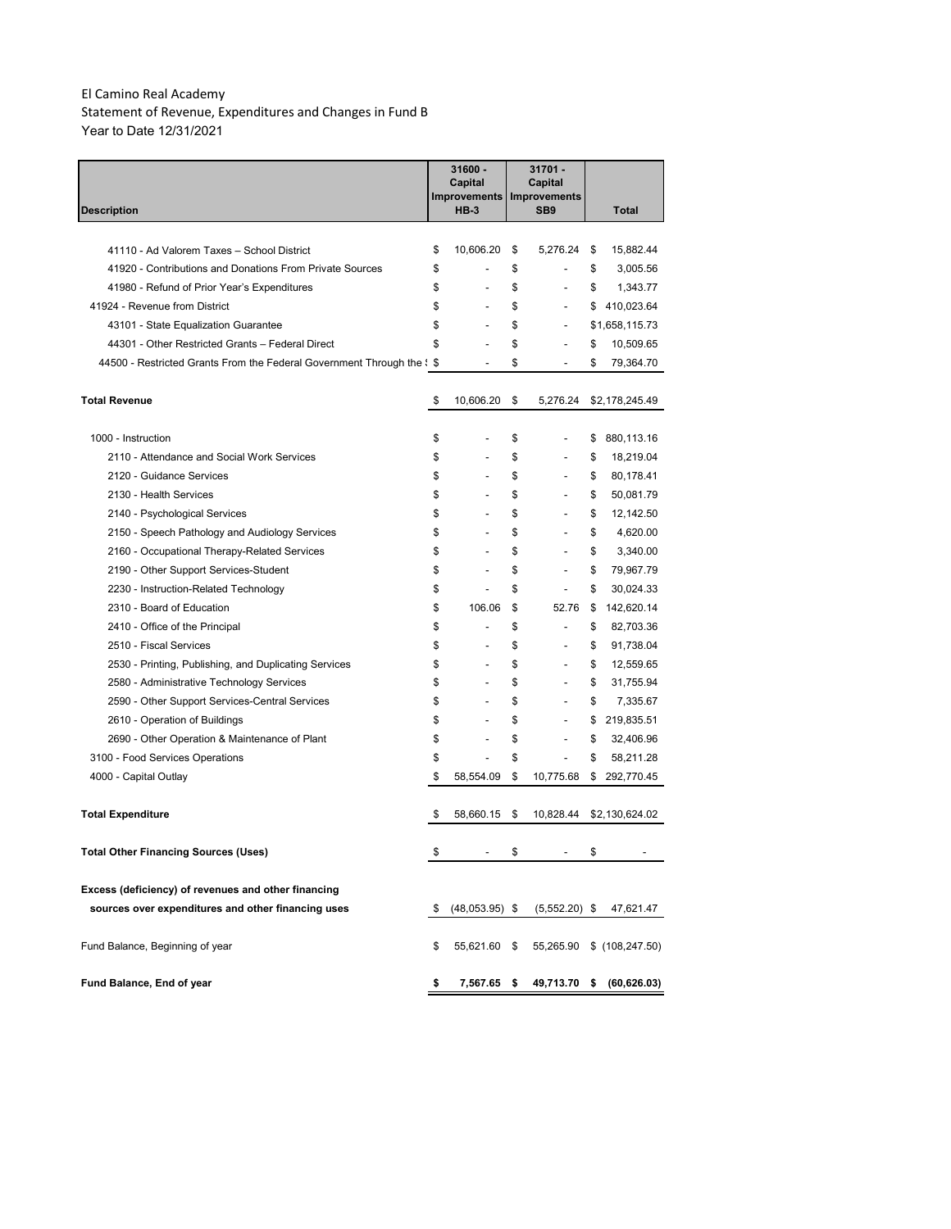Statement of Revenue, Expenditures and Changes in Fund B Year to Date 12/31/2021

|                                                                                          |          | 31600 -<br>Capital<br>Improvements |          | 31701 -<br>Capital<br><b>Improvements</b> |          |                 |
|------------------------------------------------------------------------------------------|----------|------------------------------------|----------|-------------------------------------------|----------|-----------------|
| Description                                                                              |          | <b>HB-3</b>                        |          | SB <sub>9</sub>                           |          | Total           |
| 41110 - Ad Valorem Taxes - School District                                               |          |                                    |          |                                           |          |                 |
| 41920 - Contributions and Donations From Private Sources                                 | \$<br>\$ | 10,606.20                          | \$<br>\$ | 5,276.24<br>$\overline{a}$                | \$<br>\$ | 15,882.44       |
|                                                                                          | \$       |                                    | \$       |                                           | \$       | 3,005.56        |
| 41980 - Refund of Prior Year's Expenditures<br>41924 - Revenue from District             | \$       | $\overline{a}$                     | \$       |                                           | \$       | 1,343.77        |
|                                                                                          |          | $\overline{a}$                     |          | $\overline{a}$                            |          | 410,023.64      |
| 43101 - State Equalization Guarantee<br>44301 - Other Restricted Grants - Federal Direct | \$<br>\$ |                                    | \$       | $\overline{a}$                            |          | \$1,658,115.73  |
|                                                                                          |          |                                    | \$<br>\$ |                                           | \$<br>\$ | 10,509.65       |
| 44500 - Restricted Grants From the Federal Government Through the $\frac{1}{5}$          |          |                                    |          | $\overline{a}$                            |          | 79,364.70       |
| <b>Total Revenue</b>                                                                     | \$       | 10,606.20                          | \$       | 5,276.24                                  |          | \$2,178,245.49  |
|                                                                                          |          |                                    |          |                                           |          |                 |
| 1000 - Instruction                                                                       | \$       |                                    | \$       |                                           | \$       | 880,113.16      |
| 2110 - Attendance and Social Work Services                                               | \$       | $\overline{a}$                     | \$       | $\overline{a}$                            | \$       | 18,219.04       |
| 2120 - Guidance Services                                                                 | \$       | $\overline{a}$                     | \$       | $\overline{a}$                            | \$       | 80,178.41       |
| 2130 - Health Services                                                                   | \$       |                                    | \$       |                                           | \$       | 50,081.79       |
| 2140 - Psychological Services                                                            | \$       |                                    | \$       |                                           | \$       | 12,142.50       |
| 2150 - Speech Pathology and Audiology Services                                           | \$       |                                    | \$       |                                           | \$       | 4,620.00        |
| 2160 - Occupational Therapy-Related Services                                             | \$       |                                    | \$       |                                           | \$       | 3,340.00        |
| 2190 - Other Support Services-Student                                                    | \$       |                                    | \$       |                                           | \$       | 79,967.79       |
| 2230 - Instruction-Related Technology                                                    | \$       |                                    | \$       |                                           | \$       | 30,024.33       |
| 2310 - Board of Education                                                                | \$       | 106.06                             | \$       | 52.76                                     | \$       | 142,620.14      |
| 2410 - Office of the Principal                                                           | \$       |                                    | \$       |                                           | \$       | 82,703.36       |
| 2510 - Fiscal Services                                                                   | \$       |                                    | \$       |                                           | \$       | 91,738.04       |
| 2530 - Printing, Publishing, and Duplicating Services                                    | \$       | $\overline{a}$                     | \$       |                                           | \$       | 12,559.65       |
| 2580 - Administrative Technology Services                                                | \$       | $\overline{a}$                     | \$       |                                           | \$       | 31,755.94       |
| 2590 - Other Support Services-Central Services                                           | \$       |                                    | \$       |                                           | \$       | 7,335.67        |
| 2610 - Operation of Buildings                                                            | \$       |                                    | \$       |                                           | \$       | 219,835.51      |
| 2690 - Other Operation & Maintenance of Plant                                            | \$       |                                    | \$       | $\overline{a}$                            | \$       | 32,406.96       |
| 3100 - Food Services Operations                                                          | \$       |                                    | \$       |                                           | \$       | 58,211.28       |
| 4000 - Capital Outlay                                                                    | \$       | 58,554.09                          | \$       | 10,775.68                                 | \$       | 292,770.45      |
| <b>Total Expenditure</b>                                                                 | \$       | 58,660.15                          | \$       | 10,828.44                                 |          | \$2,130,624.02  |
| Total Other Financing Sources (Uses)                                                     | \$       |                                    | \$       |                                           | \$       |                 |
| Excess (deficiency) of revenues and other financing                                      |          |                                    |          |                                           |          |                 |
| sources over expenditures and other financing uses                                       | S        | $(48,053.95)$ \$                   |          | $(5,552.20)$ \$                           |          | 47,621.47       |
| Fund Balance, Beginning of year                                                          | \$       | 55,621.60                          | \$       | 55,265.90                                 |          | \$(108, 247.50) |
| Fund Balance, End of year                                                                | \$       | 7,567.65                           | \$       | 49,713.70                                 | \$       | (60, 626.03)    |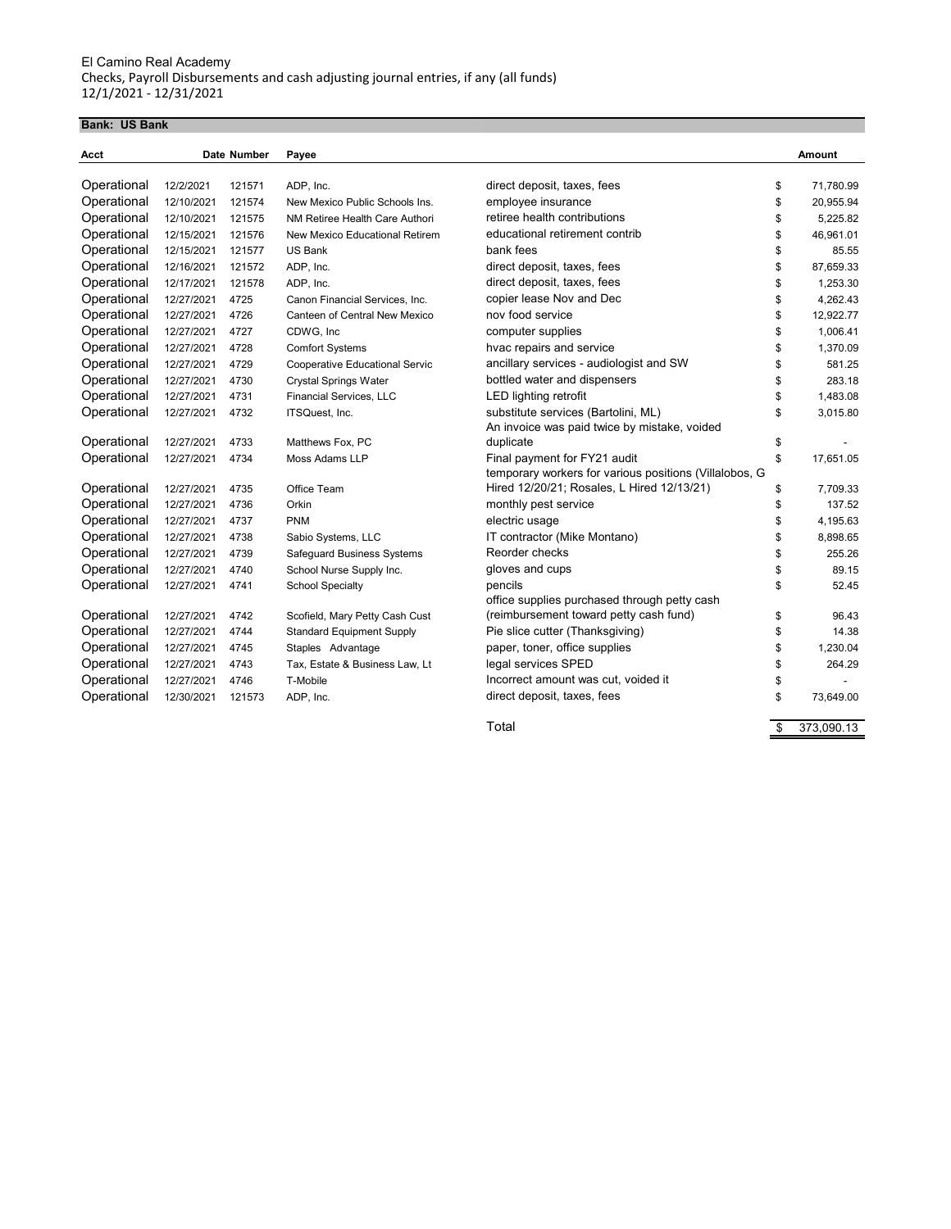#### **Bank: US Bank**

| Acct        |            | Date Number | Payee                             |                                                        | Amount           |
|-------------|------------|-------------|-----------------------------------|--------------------------------------------------------|------------------|
| Operational | 12/2/2021  | 121571      | ADP, Inc.                         | direct deposit, taxes, fees                            | \$<br>71,780.99  |
| Operational | 12/10/2021 | 121574      | New Mexico Public Schools Ins.    | employee insurance                                     | \$<br>20,955.94  |
| Operational | 12/10/2021 | 121575      | NM Retiree Health Care Authori    | retiree health contributions                           | \$<br>5.225.82   |
| Operational | 12/15/2021 | 121576      | New Mexico Educational Retirem    | educational retirement contrib                         | \$<br>46,961.01  |
| Operational | 12/15/2021 | 121577      | US Bank                           | bank fees                                              | \$<br>85.55      |
| Operational | 12/16/2021 | 121572      | ADP, Inc.                         | direct deposit, taxes, fees                            | \$<br>87,659.33  |
| Operational | 12/17/2021 | 121578      | ADP, Inc.                         | direct deposit, taxes, fees                            | \$<br>1,253.30   |
| Operational | 12/27/2021 | 4725        | Canon Financial Services, Inc.    | copier lease Nov and Dec                               | \$<br>4,262.43   |
| Operational | 12/27/2021 | 4726        | Canteen of Central New Mexico     | nov food service                                       | \$<br>12,922.77  |
| Operational | 12/27/2021 | 4727        | CDWG, Inc                         | computer supplies                                      | \$<br>1,006.41   |
| Operational | 12/27/2021 | 4728        | <b>Comfort Systems</b>            | hvac repairs and service                               | \$<br>1,370.09   |
| Operational | 12/27/2021 | 4729        | Cooperative Educational Servic    | ancillary services - audiologist and SW                | \$<br>581.25     |
| Operational | 12/27/2021 | 4730        | <b>Crystal Springs Water</b>      | bottled water and dispensers                           | \$<br>283.18     |
| Operational | 12/27/2021 | 4731        | <b>Financial Services, LLC</b>    | <b>LED lighting retrofit</b>                           | \$<br>1,483.08   |
| Operational | 12/27/2021 | 4732        | ITSQuest, Inc.                    | substitute services (Bartolini, ML)                    | \$<br>3,015.80   |
|             |            |             |                                   | An invoice was paid twice by mistake, voided           |                  |
| Operational | 12/27/2021 | 4733        | Matthews Fox, PC                  | duplicate                                              | \$               |
| Operational | 12/27/2021 | 4734        | Moss Adams LLP                    | Final payment for FY21 audit                           | \$<br>17,651.05  |
|             |            |             |                                   | temporary workers for various positions (Villalobos, G |                  |
| Operational | 12/27/2021 | 4735        | Office Team                       | Hired 12/20/21; Rosales, L Hired 12/13/21)             | \$<br>7,709.33   |
| Operational | 12/27/2021 | 4736        | Orkin                             | monthly pest service                                   | \$<br>137.52     |
| Operational | 12/27/2021 | 4737        | <b>PNM</b>                        | electric usage                                         | \$<br>4,195.63   |
| Operational | 12/27/2021 | 4738        | Sabio Systems, LLC                | IT contractor (Mike Montano)                           | \$<br>8.898.65   |
| Operational | 12/27/2021 | 4739        | <b>Safequard Business Systems</b> | Reorder checks                                         | \$<br>255.26     |
| Operational | 12/27/2021 | 4740        | School Nurse Supply Inc.          | gloves and cups                                        | \$<br>89.15      |
| Operational | 12/27/2021 | 4741        | <b>School Specialty</b>           | pencils                                                | \$<br>52.45      |
|             |            |             |                                   | office supplies purchased through petty cash           |                  |
| Operational | 12/27/2021 | 4742        | Scofield, Mary Petty Cash Cust    | (reimbursement toward petty cash fund)                 | \$<br>96.43      |
| Operational | 12/27/2021 | 4744        | <b>Standard Equipment Supply</b>  | Pie slice cutter (Thanksgiving)                        | \$<br>14.38      |
| Operational | 12/27/2021 | 4745        | Staples Advantage                 | paper, toner, office supplies                          | \$<br>1,230.04   |
| Operational | 12/27/2021 | 4743        | Tax, Estate & Business Law, Lt    | legal services SPED                                    | \$<br>264.29     |
| Operational | 12/27/2021 | 4746        | T-Mobile                          | Incorrect amount was cut, voided it                    | \$               |
| Operational | 12/30/2021 | 121573      | ADP, Inc.                         | direct deposit, taxes, fees                            | \$<br>73,649.00  |
|             |            |             |                                   | Total                                                  | \$<br>373,090.13 |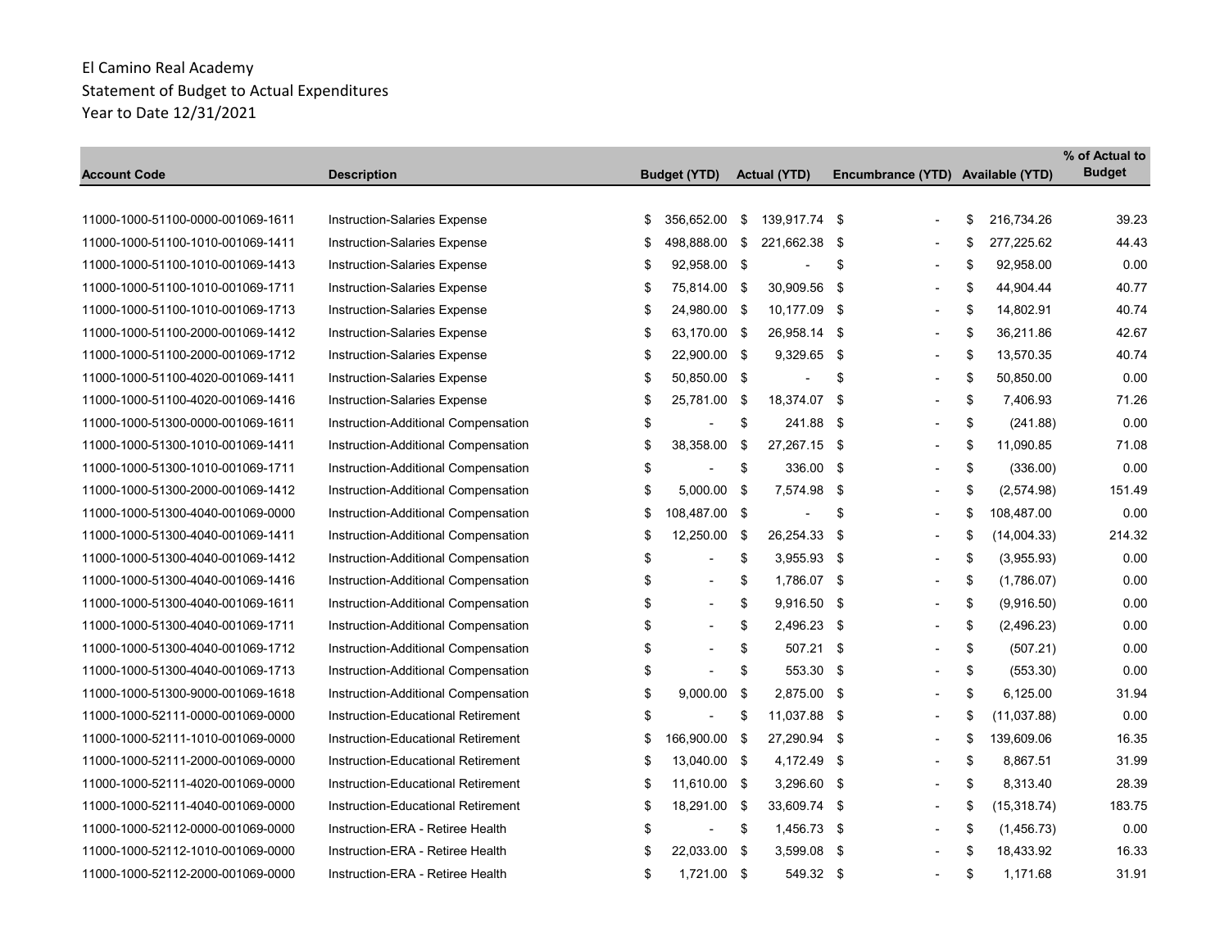|                                   |                                     |                                |     |                          |                                   |                    | % of Actual to |
|-----------------------------------|-------------------------------------|--------------------------------|-----|--------------------------|-----------------------------------|--------------------|----------------|
| Account Code                      | <b>Description</b>                  | <b>Budget (YTD)</b>            |     | <b>Actual (YTD)</b>      | Encumbrance (YTD) Available (YTD) |                    | <b>Budget</b>  |
| 11000-1000-51100-0000-001069-1611 | Instruction-Salaries Expense        | \$<br>356,652.00               | \$  | 139,917.74 \$            |                                   | \$<br>216,734.26   | 39.23          |
|                                   |                                     |                                |     |                          |                                   |                    |                |
| 11000-1000-51100-1010-001069-1411 | Instruction-Salaries Expense        | \$<br>498,888.00               | \$  | 221,662.38               | \$<br>$\blacksquare$              | \$<br>277,225.62   | 44.43          |
| 11000-1000-51100-1010-001069-1413 | Instruction-Salaries Expense        | \$<br>92,958.00 \$             |     |                          | \$                                | \$<br>92,958.00    | 0.00           |
| 11000-1000-51100-1010-001069-1711 | Instruction-Salaries Expense        | \$<br>75,814.00 \$             |     | 30,909.56                | \$<br>$\overline{\phantom{a}}$    | \$<br>44,904.44    | 40.77          |
| 11000-1000-51100-1010-001069-1713 | Instruction-Salaries Expense        | \$<br>24,980.00 \$             |     | 10,177.09 \$             | $\overline{\phantom{0}}$          | \$<br>14,802.91    | 40.74          |
| 11000-1000-51100-2000-001069-1412 | <b>Instruction-Salaries Expense</b> | \$<br>63,170.00 \$             |     | 26,958.14                | \$<br>$\blacksquare$              | \$<br>36,211.86    | 42.67          |
| 11000-1000-51100-2000-001069-1712 | Instruction-Salaries Expense        | \$<br>22,900.00 \$             |     | 9,329.65 \$              | $\blacksquare$                    | \$<br>13,570.35    | 40.74          |
| 11000-1000-51100-4020-001069-1411 | <b>Instruction-Salaries Expense</b> | \$<br>50,850.00 \$             |     | $\overline{\phantom{a}}$ | \$                                | \$<br>50,850.00    | 0.00           |
| 11000-1000-51100-4020-001069-1416 | <b>Instruction-Salaries Expense</b> | \$<br>25,781.00                | -\$ | 18,374.07                | \$<br>$\overline{\phantom{a}}$    | \$<br>7,406.93     | 71.26          |
| 11000-1000-51300-0000-001069-1611 | Instruction-Additional Compensation | \$                             | \$  | 241.88                   | \$<br>$\blacksquare$              | \$<br>(241.88)     | 0.00           |
| 11000-1000-51300-1010-001069-1411 | Instruction-Additional Compensation | \$<br>38,358.00                | \$  | 27,267.15 \$             | $\blacksquare$                    | \$<br>11,090.85    | 71.08          |
| 11000-1000-51300-1010-001069-1711 | Instruction-Additional Compensation | \$<br>$\overline{\phantom{a}}$ | \$  | 336.00 \$                |                                   | \$<br>(336.00)     | 0.00           |
| 11000-1000-51300-2000-001069-1412 | Instruction-Additional Compensation | \$<br>5,000.00 \$              |     | 7,574.98                 | \$<br>$\blacksquare$              | \$<br>(2,574.98)   | 151.49         |
| 11000-1000-51300-4040-001069-0000 | Instruction-Additional Compensation | \$<br>108,487.00 \$            |     | $\blacksquare$           | \$                                | \$<br>108,487.00   | 0.00           |
| 11000-1000-51300-4040-001069-1411 | Instruction-Additional Compensation | \$<br>12,250.00                | \$  | 26,254.33                | \$<br>$\blacksquare$              | \$<br>(14,004.33)  | 214.32         |
| 11000-1000-51300-4040-001069-1412 | Instruction-Additional Compensation | \$<br>÷,                       | \$  | $3,955.93$ \$            | ÷                                 | \$<br>(3,955.93)   | 0.00           |
| 11000-1000-51300-4040-001069-1416 | Instruction-Additional Compensation | \$<br>$\overline{a}$           | \$  | 1,786.07 \$              | $\overline{a}$                    | \$<br>(1,786.07)   | 0.00           |
| 11000-1000-51300-4040-001069-1611 | Instruction-Additional Compensation | \$<br>$\blacksquare$           | \$  | 9,916.50 \$              | L,                                | \$<br>(9,916.50)   | 0.00           |
| 11000-1000-51300-4040-001069-1711 | Instruction-Additional Compensation | \$<br>$\overline{\phantom{a}}$ | \$  | 2,496.23 \$              | L,                                | \$<br>(2,496.23)   | 0.00           |
| 11000-1000-51300-4040-001069-1712 | Instruction-Additional Compensation | \$<br>$\overline{a}$           | \$  | 507.21                   | \$<br>$\blacksquare$              | \$<br>(507.21)     | 0.00           |
| 11000-1000-51300-4040-001069-1713 | Instruction-Additional Compensation | \$                             | \$  | 553.30 \$                |                                   | \$<br>(553.30)     | 0.00           |
| 11000-1000-51300-9000-001069-1618 | Instruction-Additional Compensation | \$<br>9,000.00                 | \$  | 2,875.00 \$              | $\overline{\phantom{a}}$          | \$<br>6,125.00     | 31.94          |
| 11000-1000-52111-0000-001069-0000 | Instruction-Educational Retirement  | \$<br>$\overline{\phantom{a}}$ | \$  | 11,037.88 \$             |                                   | \$<br>(11,037.88)  | 0.00           |
| 11000-1000-52111-1010-001069-0000 | Instruction-Educational Retirement  | \$<br>166,900.00 \$            |     | 27,290.94                | \$<br>L,                          | \$<br>139,609.06   | 16.35          |
| 11000-1000-52111-2000-001069-0000 | Instruction-Educational Retirement  | \$<br>13,040.00 \$             |     | 4,172.49 \$              | $\blacksquare$                    | \$<br>8,867.51     | 31.99          |
| 11000-1000-52111-4020-001069-0000 | Instruction-Educational Retirement  | \$<br>11,610.00 \$             |     | 3,296.60 \$              |                                   | \$<br>8,313.40     | 28.39          |
| 11000-1000-52111-4040-001069-0000 | Instruction-Educational Retirement  | \$<br>18,291.00 \$             |     | 33,609.74 \$             | $\overline{\phantom{a}}$          | \$<br>(15, 318.74) | 183.75         |
| 11000-1000-52112-0000-001069-0000 | Instruction-ERA - Retiree Health    | \$                             | \$  | 1,456.73 \$              |                                   | \$<br>(1,456.73)   | 0.00           |
| 11000-1000-52112-1010-001069-0000 | Instruction-ERA - Retiree Health    | \$<br>22,033.00 \$             |     | 3,599.08                 | \$<br>$\blacksquare$              | \$<br>18,433.92    | 16.33          |
| 11000-1000-52112-2000-001069-0000 | Instruction-ERA - Retiree Health    | \$<br>1,721.00 \$              |     | 549.32 \$                |                                   | \$<br>1,171.68     | 31.91          |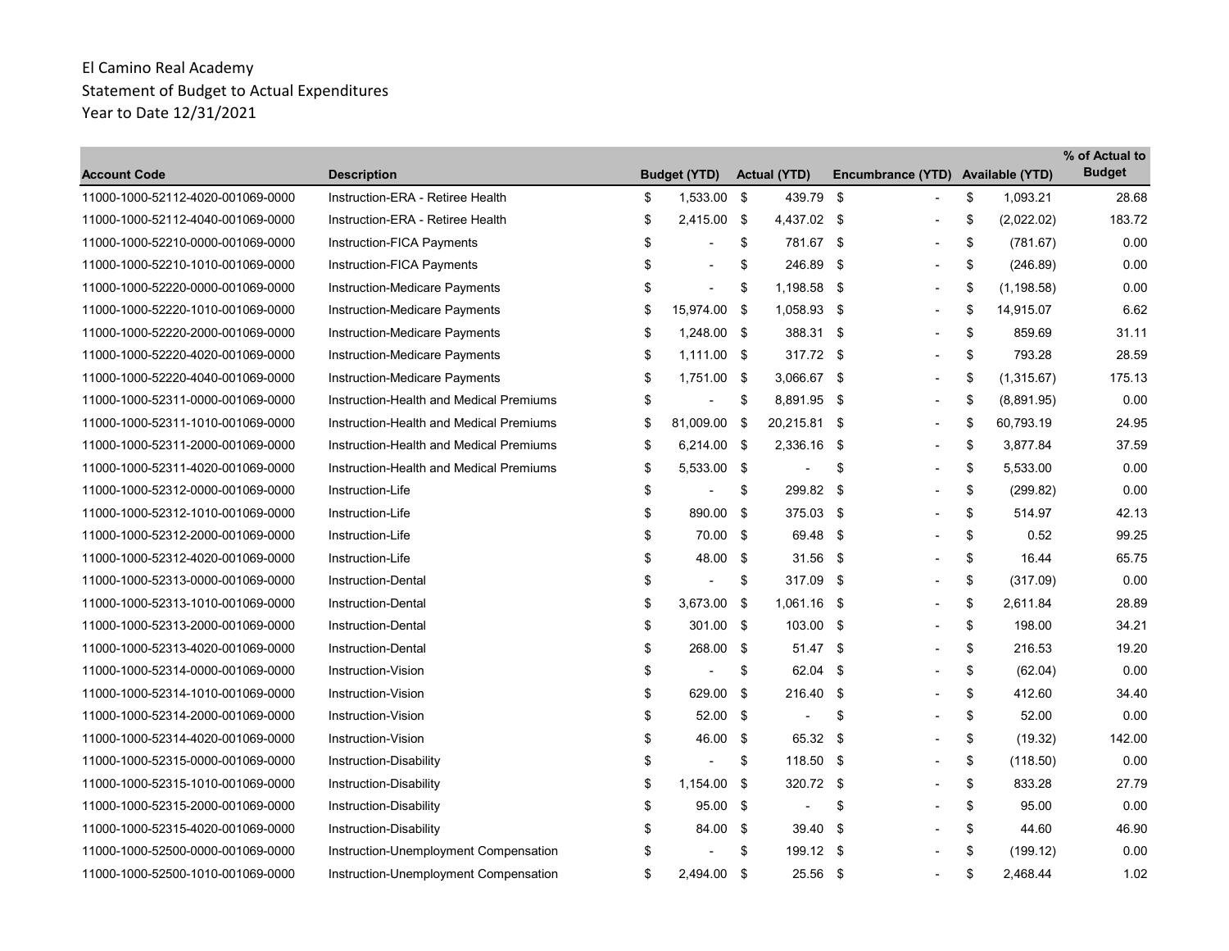| <b>Account Code</b>               | <b>Description</b>                      |    | <b>Budget (YTD)</b>      | <b>Actual (YTD)</b>      | Encumbrance (YTD) Available (YTD) |                   | % of Actual to<br><b>Budget</b> |
|-----------------------------------|-----------------------------------------|----|--------------------------|--------------------------|-----------------------------------|-------------------|---------------------------------|
| 11000-1000-52112-4020-001069-0000 | Instruction-ERA - Retiree Health        | \$ | 1,533.00 \$              | 439.79 \$                |                                   | \$<br>1,093.21    | 28.68                           |
| 11000-1000-52112-4040-001069-0000 | Instruction-ERA - Retiree Health        | \$ | 2,415.00 \$              | 4,437.02 \$              | ۰                                 | \$<br>(2,022.02)  | 183.72                          |
| 11000-1000-52210-0000-001069-0000 | Instruction-FICA Payments               | \$ |                          | \$<br>781.67 \$          |                                   | \$<br>(781.67)    | 0.00                            |
| 11000-1000-52210-1010-001069-0000 | Instruction-FICA Payments               | \$ | $\blacksquare$           | \$<br>246.89 \$          |                                   | \$<br>(246.89)    | 0.00                            |
| 11000-1000-52220-0000-001069-0000 | Instruction-Medicare Payments           | \$ | $\overline{\phantom{a}}$ | \$<br>1,198.58 \$        | $\overline{\phantom{a}}$          | \$<br>(1, 198.58) | 0.00                            |
| 11000-1000-52220-1010-001069-0000 | Instruction-Medicare Payments           | \$ | 15,974.00 \$             | 1,058.93 \$              | $\blacksquare$                    | \$<br>14,915.07   | 6.62                            |
| 11000-1000-52220-2000-001069-0000 | Instruction-Medicare Payments           | \$ | 1,248.00 \$              | 388.31 \$                | $\overline{\phantom{0}}$          | \$<br>859.69      | 31.11                           |
| 11000-1000-52220-4020-001069-0000 | Instruction-Medicare Payments           | \$ | $1,111.00$ \$            | 317.72 \$                |                                   | \$<br>793.28      | 28.59                           |
| 11000-1000-52220-4040-001069-0000 | Instruction-Medicare Payments           | \$ | 1,751.00 \$              | 3,066.67 \$              | ۰                                 | \$<br>(1,315.67)  | 175.13                          |
| 11000-1000-52311-0000-001069-0000 | Instruction-Health and Medical Premiums | \$ |                          | \$<br>8,891.95 \$        | $\overline{\phantom{a}}$          | \$<br>(8,891.95)  | 0.00                            |
| 11000-1000-52311-1010-001069-0000 | Instruction-Health and Medical Premiums | \$ | 81,009.00 \$             | 20,215.81 \$             | $\overline{\phantom{a}}$          | \$<br>60,793.19   | 24.95                           |
| 11000-1000-52311-2000-001069-0000 | Instruction-Health and Medical Premiums | \$ | 6,214.00 \$              | 2,336.16 \$              | $\overline{\phantom{a}}$          | \$<br>3,877.84    | 37.59                           |
| 11000-1000-52311-4020-001069-0000 | Instruction-Health and Medical Premiums | \$ | 5,533.00 \$              | $\overline{\phantom{a}}$ | \$<br>$\blacksquare$              | \$<br>5,533.00    | 0.00                            |
| 11000-1000-52312-0000-001069-0000 | Instruction-Life                        | \$ | ٠                        | \$<br>299.82 \$          | $\overline{\phantom{a}}$          | \$<br>(299.82)    | 0.00                            |
| 11000-1000-52312-1010-001069-0000 | Instruction-Life                        | \$ | 890.00 \$                | 375.03 \$                |                                   | \$<br>514.97      | 42.13                           |
| 11000-1000-52312-2000-001069-0000 | Instruction-Life                        | \$ | 70.00 \$                 | 69.48 \$                 |                                   | \$<br>0.52        | 99.25                           |
| 11000-1000-52312-4020-001069-0000 | Instruction-Life                        | \$ | 48.00 \$                 | $31.56$ \$               |                                   | \$<br>16.44       | 65.75                           |
| 11000-1000-52313-0000-001069-0000 | <b>Instruction-Dental</b>               | \$ | $\overline{\phantom{a}}$ | \$<br>317.09 \$          |                                   | \$<br>(317.09)    | 0.00                            |
| 11000-1000-52313-1010-001069-0000 | Instruction-Dental                      | \$ | 3,673.00 \$              | 1,061.16 \$              | $\overline{\phantom{a}}$          | \$<br>2,611.84    | 28.89                           |
| 11000-1000-52313-2000-001069-0000 | Instruction-Dental                      | \$ | 301.00 \$                | 103.00 \$                |                                   | \$<br>198.00      | 34.21                           |
| 11000-1000-52313-4020-001069-0000 | <b>Instruction-Dental</b>               | \$ | 268.00 \$                | $51.47$ \$               |                                   | \$<br>216.53      | 19.20                           |
| 11000-1000-52314-0000-001069-0000 | Instruction-Vision                      | \$ | $\overline{\phantom{a}}$ | \$<br>62.04 \$           |                                   | \$<br>(62.04)     | 0.00                            |
| 11000-1000-52314-1010-001069-0000 | Instruction-Vision                      | \$ | 629.00 \$                | 216.40 \$                |                                   | \$<br>412.60      | 34.40                           |
| 11000-1000-52314-2000-001069-0000 | Instruction-Vision                      | \$ | 52.00 \$                 | $\overline{\phantom{a}}$ | \$                                | \$<br>52.00       | 0.00                            |
| 11000-1000-52314-4020-001069-0000 | Instruction-Vision                      | \$ | 46.00 \$                 | 65.32 \$                 |                                   | \$<br>(19.32)     | 142.00                          |
| 11000-1000-52315-0000-001069-0000 | Instruction-Disability                  | \$ | $\overline{\phantom{a}}$ | \$<br>118.50 \$          |                                   | \$<br>(118.50)    | 0.00                            |
| 11000-1000-52315-1010-001069-0000 | Instruction-Disability                  | \$ | $1,154.00$ \$            | 320.72 \$                |                                   | \$<br>833.28      | 27.79                           |
| 11000-1000-52315-2000-001069-0000 | Instruction-Disability                  | \$ | 95.00 \$                 | $\sim$                   | \$                                | \$<br>95.00       | 0.00                            |
| 11000-1000-52315-4020-001069-0000 | Instruction-Disability                  | \$ | 84.00 \$                 | 39.40                    | -\$                               | \$<br>44.60       | 46.90                           |
| 11000-1000-52500-0000-001069-0000 | Instruction-Unemployment Compensation   | S  |                          | \$<br>199.12 \$          |                                   | \$<br>(199.12)    | 0.00                            |
| 11000-1000-52500-1010-001069-0000 | Instruction-Unemployment Compensation   | \$ | 2,494.00 \$              | 25.56 \$                 | $\overline{\phantom{a}}$          | \$<br>2,468.44    | 1.02                            |
|                                   |                                         |    |                          |                          |                                   |                   |                                 |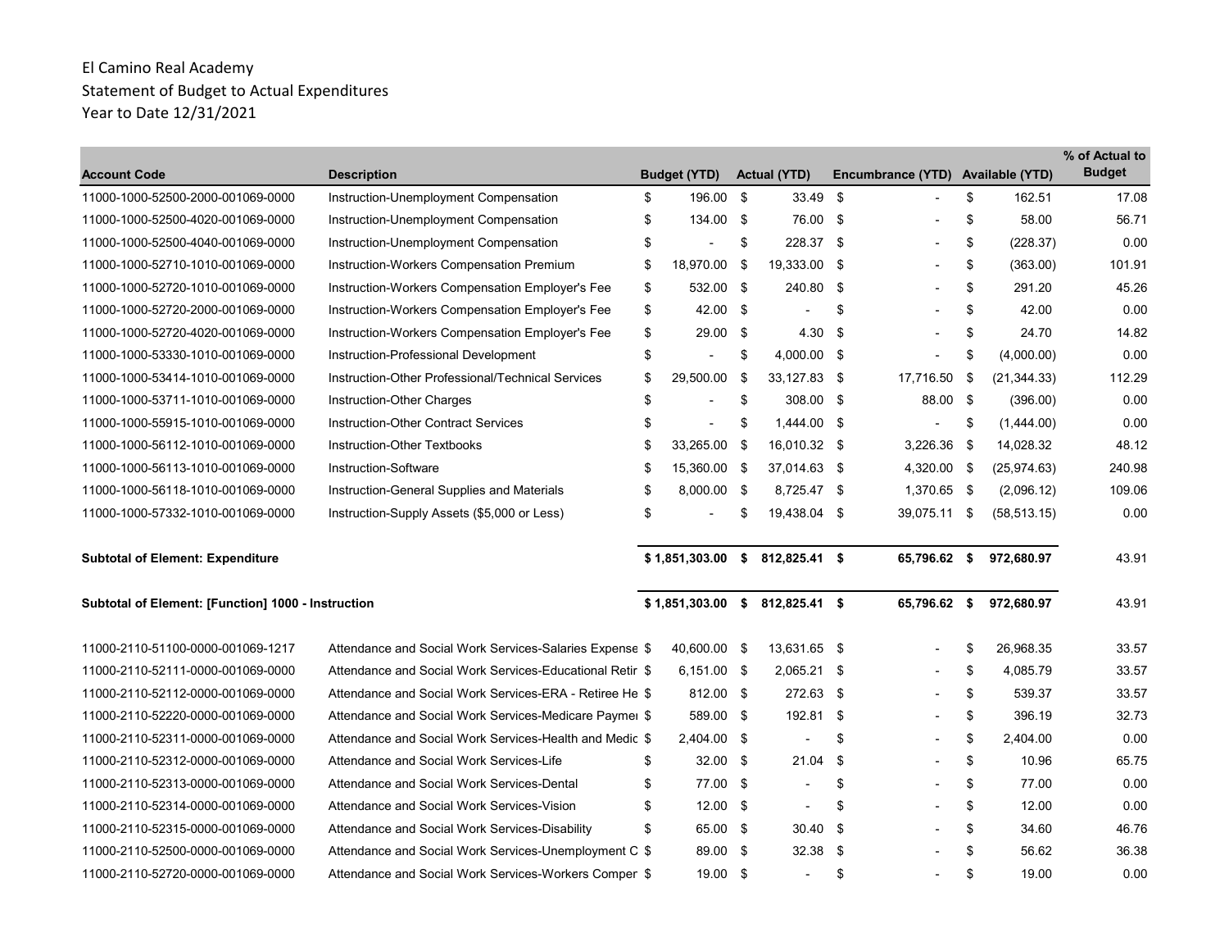| <b>Account Code</b>                                | <b>Description</b>                                       | <b>Budget (YTD)</b>    |      | <b>Actual (YTD)</b>            |      | Encumbrance (YTD) Available (YTD) |      |              | % of Actual to<br><b>Budget</b> |
|----------------------------------------------------|----------------------------------------------------------|------------------------|------|--------------------------------|------|-----------------------------------|------|--------------|---------------------------------|
| 11000-1000-52500-2000-001069-0000                  | Instruction-Unemployment Compensation                    | \$<br>196.00           | - \$ | 33.49                          | - \$ |                                   | \$   | 162.51       | 17.08                           |
| 11000-1000-52500-4020-001069-0000                  | Instruction-Unemployment Compensation                    | \$<br>134.00 \$        |      | 76.00 \$                       |      |                                   | \$   | 58.00        | 56.71                           |
| 11000-1000-52500-4040-001069-0000                  | Instruction-Unemployment Compensation                    | \$                     | \$   | 228.37 \$                      |      |                                   | \$   | (228.37)     | 0.00                            |
| 11000-1000-52710-1010-001069-0000                  | Instruction-Workers Compensation Premium                 | \$<br>18,970.00        | \$   | 19,333.00 \$                   |      |                                   | \$   | (363.00)     | 101.91                          |
| 11000-1000-52720-1010-001069-0000                  | Instruction-Workers Compensation Employer's Fee          | \$<br>532.00 \$        |      | 240.80                         | - \$ |                                   | \$   | 291.20       | 45.26                           |
| 11000-1000-52720-2000-001069-0000                  | Instruction-Workers Compensation Employer's Fee          | \$<br>42.00 \$         |      |                                | \$   |                                   | \$   | 42.00        | 0.00                            |
| 11000-1000-52720-4020-001069-0000                  | Instruction-Workers Compensation Employer's Fee          | \$<br>$29.00$ \$       |      | 4.30                           | -\$  |                                   | \$   | 24.70        | 14.82                           |
| 11000-1000-53330-1010-001069-0000                  | Instruction-Professional Development                     | \$<br>$\blacksquare$   | \$   | 4,000.00 \$                    |      |                                   | \$   | (4,000.00)   | 0.00                            |
| 11000-1000-53414-1010-001069-0000                  | Instruction-Other Professional/Technical Services        | \$<br>29,500.00        | - \$ | 33,127.83 \$                   |      | 17,716.50                         | - \$ | (21, 344.33) | 112.29                          |
| 11000-1000-53711-1010-001069-0000                  | Instruction-Other Charges                                | \$<br>$\blacksquare$   | \$   | 308.00 \$                      |      | 88.00 \$                          |      | (396.00)     | 0.00                            |
| 11000-1000-55915-1010-001069-0000                  | Instruction-Other Contract Services                      | \$<br>$\blacksquare$   | \$   | 1.444.00 \$                    |      |                                   | \$   | (1,444.00)   | 0.00                            |
| 11000-1000-56112-1010-001069-0000                  | Instruction-Other Textbooks                              | \$<br>33,265.00        | - \$ | 16,010.32 \$                   |      | 3,226.36                          | - \$ | 14,028.32    | 48.12                           |
| 11000-1000-56113-1010-001069-0000                  | Instruction-Software                                     | \$<br>15,360.00 \$     |      | 37,014.63 \$                   |      | 4,320.00 \$                       |      | (25, 974.63) | 240.98                          |
| 11000-1000-56118-1010-001069-0000                  | Instruction-General Supplies and Materials               | \$<br>8,000.00 \$      |      | 8,725.47 \$                    |      | 1,370.65 \$                       |      | (2,096.12)   | 109.06                          |
| 11000-1000-57332-1010-001069-0000                  | Instruction-Supply Assets (\$5,000 or Less)              | \$<br>$\overline{a}$   | \$   | 19,438.04 \$                   |      | 39,075.11 \$                      |      | (58, 513.15) | 0.00                            |
| <b>Subtotal of Element: Expenditure</b>            |                                                          |                        |      | \$1,851,303.00 \$812,825.41 \$ |      | 65,796.62 \$                      |      | 972,680.97   | 43.91                           |
| Subtotal of Element: [Function] 1000 - Instruction |                                                          | $$1,851,303.00$ \$     |      | 812,825.41 \$                  |      | 65,796.62 \$                      |      | 972,680.97   | 43.91                           |
| 11000-2110-51100-0000-001069-1217                  | Attendance and Social Work Services-Salaries Expense \$  | 40,600.00 \$           |      | 13,631.65 \$                   |      |                                   | \$   | 26,968.35    | 33.57                           |
| 11000-2110-52111-0000-001069-0000                  | Attendance and Social Work Services-Educational Retir \$ | 6,151.00 \$            |      | $2,065.21$ \$                  |      |                                   | \$   | 4,085.79     | 33.57                           |
| 11000-2110-52112-0000-001069-0000                  | Attendance and Social Work Services-ERA - Retiree He \$  | 812.00 \$              |      | 272.63 \$                      |      | $\overline{\phantom{a}}$          | \$   | 539.37       | 33.57                           |
| 11000-2110-52220-0000-001069-0000                  | Attendance and Social Work Services-Medicare Paymer \$   | 589.00 \$              |      | 192.81 \$                      |      |                                   | \$   | 396.19       | 32.73                           |
| 11000-2110-52311-0000-001069-0000                  | Attendance and Social Work Services-Health and Medic \$  | 2,404.00 \$            |      | $\blacksquare$                 | \$   |                                   | \$   | 2,404.00     | 0.00                            |
| 11000-2110-52312-0000-001069-0000                  | Attendance and Social Work Services-Life                 | \$<br>$32.00 \quad$ \$ |      | 21.04                          | -\$  |                                   | \$   | 10.96        | 65.75                           |
| 11000-2110-52313-0000-001069-0000                  | Attendance and Social Work Services-Dental               | \$<br>77.00 \$         |      |                                | \$   |                                   | \$   | 77.00        | 0.00                            |
| 11000-2110-52314-0000-001069-0000                  | Attendance and Social Work Services-Vision               | \$<br>$12.00$ \$       |      | $\blacksquare$                 | \$   |                                   | \$   | 12.00        | 0.00                            |
| 11000-2110-52315-0000-001069-0000                  | Attendance and Social Work Services-Disability           | \$<br>65.00 \$         |      | $30.40$ \$                     |      |                                   | \$   | 34.60        | 46.76                           |
| 11000-2110-52500-0000-001069-0000                  | Attendance and Social Work Services-Unemployment C \$    | 89.00 \$               |      | 32.38                          | -\$  |                                   | \$   | 56.62        | 36.38                           |
| 11000-2110-52720-0000-001069-0000                  | Attendance and Social Work Services-Workers Comper \$    | 19.00 \$               |      | $\blacksquare$                 | \$   |                                   | \$   | 19.00        | 0.00                            |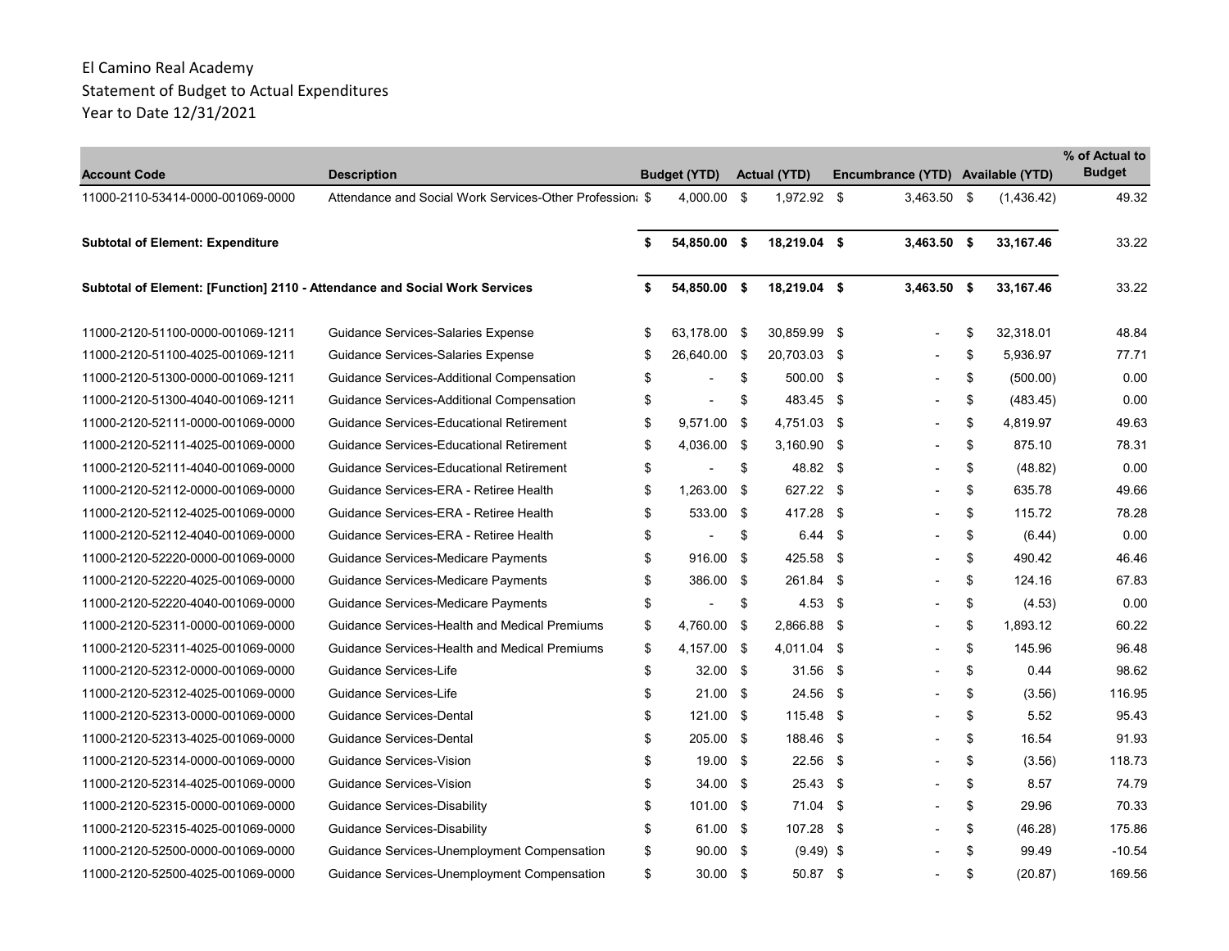| <b>Account Code</b>                                                        | <b>Description</b>                                       |    | <b>Budget (YTD)</b>      |      | <b>Actual (YTD)</b> | Encumbrance (YTD) Available (YTD) |                 | % of Actual to<br><b>Budget</b> |
|----------------------------------------------------------------------------|----------------------------------------------------------|----|--------------------------|------|---------------------|-----------------------------------|-----------------|---------------------------------|
| 11000-2110-53414-0000-001069-0000                                          | Attendance and Social Work Services-Other Profession: \$ |    | 4.000.00                 | - \$ | $1.972.92$ \$       | $3.463.50$ \$                     | (1,436.42)      | 49.32                           |
| <b>Subtotal of Element: Expenditure</b>                                    |                                                          | \$ | 54,850.00 \$             |      | 18,219.04 \$        | $3,463.50$ \$                     | 33,167.46       | 33.22                           |
| Subtotal of Element: [Function] 2110 - Attendance and Social Work Services |                                                          | s. | 54,850.00 \$             |      | 18,219.04 \$        | $3,463.50$ \$                     | 33,167.46       | 33.22                           |
| 11000-2120-51100-0000-001069-1211                                          | Guidance Services-Salaries Expense                       | \$ | 63,178.00 \$             |      | 30,859.99 \$        | $\overline{\phantom{a}}$          | \$<br>32,318.01 | 48.84                           |
| 11000-2120-51100-4025-001069-1211                                          | Guidance Services-Salaries Expense                       | \$ | 26,640.00 \$             |      | 20,703.03 \$        |                                   | \$<br>5,936.97  | 77.71                           |
| 11000-2120-51300-0000-001069-1211                                          | Guidance Services-Additional Compensation                | \$ |                          | \$   | 500.00 \$           |                                   | \$<br>(500.00)  | 0.00                            |
| 11000-2120-51300-4040-001069-1211                                          | Guidance Services-Additional Compensation                | \$ |                          | \$   | 483.45 \$           |                                   | \$<br>(483.45)  | 0.00                            |
| 11000-2120-52111-0000-001069-0000                                          | <b>Guidance Services-Educational Retirement</b>          | \$ | 9,571.00                 | - \$ | 4,751.03 \$         |                                   | \$<br>4,819.97  | 49.63                           |
| 11000-2120-52111-4025-001069-0000                                          | Guidance Services-Educational Retirement                 | \$ | 4,036.00 \$              |      | $3,160.90$ \$       |                                   | \$<br>875.10    | 78.31                           |
| 11000-2120-52111-4040-001069-0000                                          | Guidance Services-Educational Retirement                 | \$ |                          | \$   | 48.82 \$            |                                   | \$<br>(48.82)   | 0.00                            |
| 11000-2120-52112-0000-001069-0000                                          | Guidance Services-ERA - Retiree Health                   | \$ | 1,263.00 \$              |      | 627.22 \$           |                                   | \$<br>635.78    | 49.66                           |
| 11000-2120-52112-4025-001069-0000                                          | Guidance Services-ERA - Retiree Health                   | \$ | 533.00 \$                |      | 417.28 \$           |                                   | \$<br>115.72    | 78.28                           |
| 11000-2120-52112-4040-001069-0000                                          | Guidance Services-ERA - Retiree Health                   | \$ |                          | \$   | $6.44$ \$           |                                   | \$<br>(6.44)    | 0.00                            |
| 11000-2120-52220-0000-001069-0000                                          | Guidance Services-Medicare Payments                      | \$ | 916.00 \$                |      | 425.58 \$           |                                   | \$<br>490.42    | 46.46                           |
| 11000-2120-52220-4025-001069-0000                                          | Guidance Services-Medicare Payments                      | \$ | 386.00 \$                |      | 261.84 \$           |                                   | \$<br>124.16    | 67.83                           |
| 11000-2120-52220-4040-001069-0000                                          | Guidance Services-Medicare Payments                      | \$ | $\overline{\phantom{a}}$ | \$   | $4.53$ \$           |                                   | \$<br>(4.53)    | 0.00                            |
| 11000-2120-52311-0000-001069-0000                                          | Guidance Services-Health and Medical Premiums            | \$ | 4,760.00 \$              |      | 2,866.88 \$         |                                   | \$<br>1,893.12  | 60.22                           |
| 11000-2120-52311-4025-001069-0000                                          | Guidance Services-Health and Medical Premiums            | \$ | 4,157.00 \$              |      | 4,011.04 \$         |                                   | \$<br>145.96    | 96.48                           |
| 11000-2120-52312-0000-001069-0000                                          | Guidance Services-Life                                   | \$ | 32.00 \$                 |      | $31.56$ \$          |                                   | \$<br>0.44      | 98.62                           |
| 11000-2120-52312-4025-001069-0000                                          | Guidance Services-Life                                   | \$ | $21.00$ \$               |      | 24.56 \$            |                                   | \$<br>(3.56)    | 116.95                          |
| 11000-2120-52313-0000-001069-0000                                          | Guidance Services-Dental                                 | \$ | 121.00 \$                |      | 115.48 \$           |                                   | \$<br>5.52      | 95.43                           |
| 11000-2120-52313-4025-001069-0000                                          | Guidance Services-Dental                                 | \$ | 205.00 \$                |      | 188.46 \$           |                                   | \$<br>16.54     | 91.93                           |
| 11000-2120-52314-0000-001069-0000                                          | Guidance Services-Vision                                 | \$ | $19.00$ \$               |      | 22.56 \$            |                                   | \$<br>(3.56)    | 118.73                          |
| 11000-2120-52314-4025-001069-0000                                          | Guidance Services-Vision                                 | \$ | $34.00$ \$               |      | $25.43$ \$          |                                   | \$<br>8.57      | 74.79                           |
| 11000-2120-52315-0000-001069-0000                                          | Guidance Services-Disability                             | \$ | $101.00$ \$              |      | 71.04 \$            |                                   | \$<br>29.96     | 70.33                           |
| 11000-2120-52315-4025-001069-0000                                          | Guidance Services-Disability                             | \$ | 61.00 \$                 |      | 107.28 \$           |                                   | \$<br>(46.28)   | 175.86                          |
| 11000-2120-52500-0000-001069-0000                                          | Guidance Services-Unemployment Compensation              | \$ | $90.00$ \$               |      | $(9.49)$ \$         |                                   | \$<br>99.49     | $-10.54$                        |
| 11000-2120-52500-4025-001069-0000                                          | Guidance Services-Unemployment Compensation              | \$ | $30.00$ \$               |      | 50.87 \$            | $\overline{\phantom{a}}$          | \$<br>(20.87)   | 169.56                          |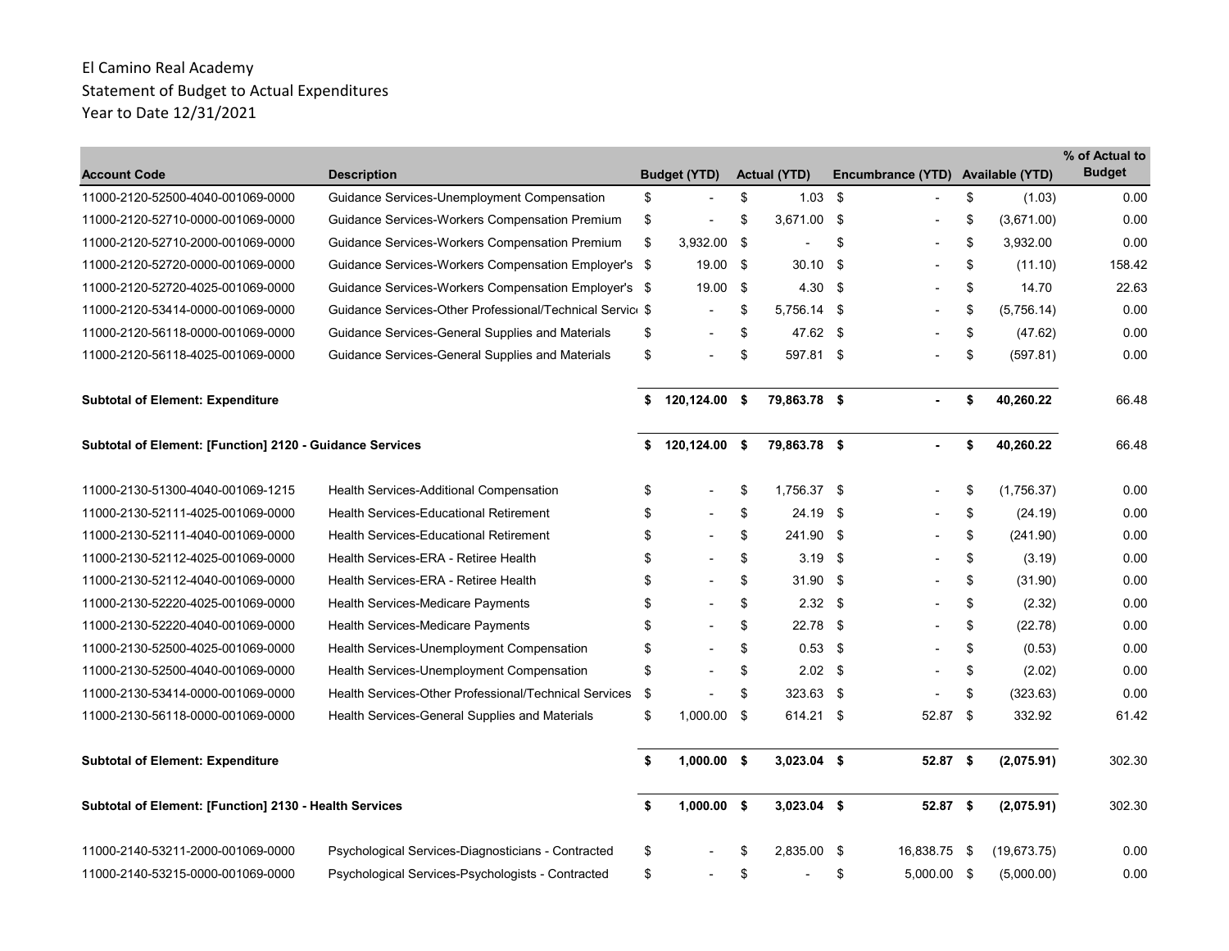| <b>Account Code</b>                                             | <b>Description</b>                                        | <b>Budget (YTD)</b>            |      | <b>Actual (YTD)</b> |      | Encumbrance (YTD)        |      | <b>Available (YTD)</b> | % of Actual to<br><b>Budget</b> |
|-----------------------------------------------------------------|-----------------------------------------------------------|--------------------------------|------|---------------------|------|--------------------------|------|------------------------|---------------------------------|
| 11000-2120-52500-4040-001069-0000                               | Guidance Services-Unemployment Compensation               | \$<br>$\overline{\phantom{a}}$ | \$   | 1.03                | - \$ |                          | \$   | (1.03)                 | 0.00                            |
| 11000-2120-52710-0000-001069-0000                               | Guidance Services-Workers Compensation Premium            | \$                             | S    | 3,671.00 \$         |      |                          | \$   | (3,671.00)             | 0.00                            |
| 11000-2120-52710-2000-001069-0000                               | Guidance Services-Workers Compensation Premium            | \$<br>3,932.00                 | - \$ |                     | \$   |                          | \$   | 3,932.00               | 0.00                            |
| 11000-2120-52720-0000-001069-0000                               | Guidance Services-Workers Compensation Employer's \$      | 19.00                          | - \$ | 30.10               | -\$  | $\overline{\phantom{a}}$ | \$   | (11.10)                | 158.42                          |
| 11000-2120-52720-4025-001069-0000                               | Guidance Services-Workers Compensation Employer's \$      | 19.00 \$                       |      | 4.30                | -\$  |                          | \$   | 14.70                  | 22.63                           |
| 11000-2120-53414-0000-001069-0000                               | Guidance Services-Other Professional/Technical Service \$ | $\blacksquare$                 | \$   | 5,756.14 \$         |      | $\blacksquare$           | \$   | (5,756.14)             | 0.00                            |
| 11000-2120-56118-0000-001069-0000                               | Guidance Services-General Supplies and Materials          | \$<br>$\blacksquare$           | \$   | 47.62 \$            |      |                          | \$   | (47.62)                | 0.00                            |
| 11000-2120-56118-4025-001069-0000                               | Guidance Services-General Supplies and Materials          | \$                             | \$   | 597.81 \$           |      |                          | \$   | (597.81)               | 0.00                            |
| <b>Subtotal of Element: Expenditure</b>                         |                                                           | \$<br>120,124.00 \$            |      | 79,863.78 \$        |      |                          | \$   | 40,260.22              | 66.48                           |
| <b>Subtotal of Element: [Function] 2120 - Guidance Services</b> |                                                           | \$<br>120,124.00 \$            |      | 79,863.78 \$        |      |                          | \$   | 40,260.22              | 66.48                           |
| 11000-2130-51300-4040-001069-1215                               | Health Services-Additional Compensation                   | \$                             | \$   | 1,756.37 \$         |      |                          | \$   | (1,756.37)             | 0.00                            |
| 11000-2130-52111-4025-001069-0000                               | <b>Health Services-Educational Retirement</b>             | \$                             | \$   | 24.19               | -\$  |                          | \$   | (24.19)                | 0.00                            |
| 11000-2130-52111-4040-001069-0000                               | <b>Health Services-Educational Retirement</b>             | \$                             | \$   | 241.90 \$           |      |                          | \$   | (241.90)               | 0.00                            |
| 11000-2130-52112-4025-001069-0000                               | Health Services-ERA - Retiree Health                      | \$                             | \$   | 3.19                | \$   |                          | \$   | (3.19)                 | 0.00                            |
| 11000-2130-52112-4040-001069-0000                               | Health Services-ERA - Retiree Health                      | \$                             | \$   | 31.90               | - \$ |                          | \$   | (31.90)                | 0.00                            |
| 11000-2130-52220-4025-001069-0000                               | Health Services-Medicare Payments                         | \$                             | \$   | $2.32$ \$           |      |                          | \$   | (2.32)                 | 0.00                            |
| 11000-2130-52220-4040-001069-0000                               | Health Services-Medicare Payments                         | \$                             | \$   | 22.78               | - \$ |                          | \$   | (22.78)                | 0.00                            |
| 11000-2130-52500-4025-001069-0000                               | Health Services-Unemployment Compensation                 | \$                             | \$   | $0.53$ \$           |      |                          | \$   | (0.53)                 | 0.00                            |
| 11000-2130-52500-4040-001069-0000                               | Health Services-Unemployment Compensation                 | \$                             | \$   | $2.02$ \$           |      |                          | \$   | (2.02)                 | 0.00                            |
| 11000-2130-53414-0000-001069-0000                               | Health Services-Other Professional/Technical Services     | \$                             | \$   | 323.63 \$           |      |                          | \$   | (323.63)               | 0.00                            |
| 11000-2130-56118-0000-001069-0000                               | Health Services-General Supplies and Materials            | \$<br>$1,000.00$ \$            |      | 614.21 \$           |      | 52.87 \$                 |      | 332.92                 | 61.42                           |
| <b>Subtotal of Element: Expenditure</b>                         |                                                           | \$<br>$1,000.00$ \$            |      | $3,023.04$ \$       |      | $52.87$ \$               |      | (2,075.91)             | 302.30                          |
| Subtotal of Element: [Function] 2130 - Health Services          |                                                           | \$<br>$1,000.00$ \$            |      | $3,023.04$ \$       |      | $52.87$ \$               |      | (2,075.91)             | 302.30                          |
| 11000-2140-53211-2000-001069-0000                               | Psychological Services-Diagnosticians - Contracted        | \$                             | \$   | 2,835.00 \$         |      | 16,838.75                | - \$ | (19,673.75)            | 0.00                            |
| 11000-2140-53215-0000-001069-0000                               | Psychological Services-Psychologists - Contracted         | \$                             | \$   |                     | \$   | 5,000.00 \$              |      | (5,000.00)             | 0.00                            |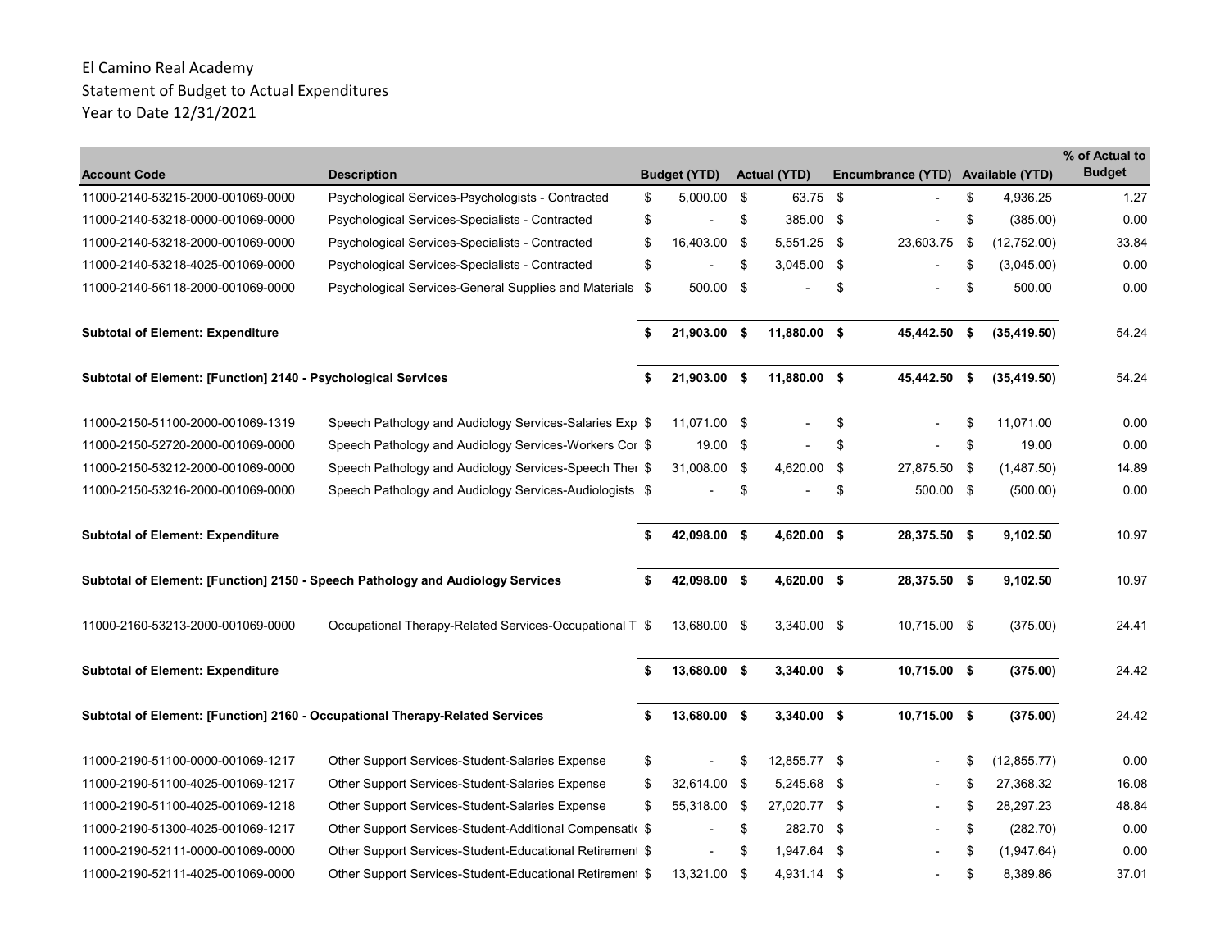| <b>Account Code</b>                                                          | <b>Description</b>                                                             | <b>Budget (YTD)</b> | <b>Actual (YTD)</b> |      | Encumbrance (YTD) Available (YTD) |     |              | % of Actual to<br><b>Budget</b> |
|------------------------------------------------------------------------------|--------------------------------------------------------------------------------|---------------------|---------------------|------|-----------------------------------|-----|--------------|---------------------------------|
| 11000-2140-53215-2000-001069-0000                                            | Psychological Services-Psychologists - Contracted                              | \$<br>5,000.00 \$   | 63.75 \$            |      |                                   | \$  | 4,936.25     | 1.27                            |
| 11000-2140-53218-0000-001069-0000                                            | Psychological Services-Specialists - Contracted                                | \$                  | \$<br>385.00 \$     |      |                                   | \$  | (385.00)     | 0.00                            |
| 11000-2140-53218-2000-001069-0000                                            | Psychological Services-Specialists - Contracted                                | \$<br>16,403.00 \$  | 5,551.25 \$         |      | 23,603.75                         | \$  | (12,752.00)  | 33.84                           |
| 11000-2140-53218-4025-001069-0000                                            | Psychological Services-Specialists - Contracted                                | \$                  | \$<br>3,045.00 \$   |      |                                   | \$  | (3,045.00)   | 0.00                            |
| 11000-2140-56118-2000-001069-0000                                            | Psychological Services-General Supplies and Materials \$                       | 500.00 \$           |                     | \$   |                                   | \$  | 500.00       | 0.00                            |
| <b>Subtotal of Element: Expenditure</b>                                      |                                                                                | \$<br>21,903.00 \$  | 11,880.00 \$        |      | 45,442.50                         | -\$ | (35, 419.50) | 54.24                           |
| Subtotal of Element: [Function] 2140 - Psychological Services                |                                                                                | \$<br>21,903.00 \$  | 11,880.00 \$        |      | 45,442.50 \$                      |     | (35, 419.50) | 54.24                           |
| 11000-2150-51100-2000-001069-1319                                            | Speech Pathology and Audiology Services-Salaries Exp \$                        | 11,071.00 \$        |                     | \$   |                                   | \$  | 11,071.00    | 0.00                            |
| 11000-2150-52720-2000-001069-0000                                            | Speech Pathology and Audiology Services-Workers Cor \$                         | 19.00 \$            |                     | \$   |                                   | \$  | 19.00        | 0.00                            |
| 11000-2150-53212-2000-001069-0000                                            | Speech Pathology and Audiology Services-Speech Ther \$                         | 31,008.00 \$        | 4,620.00            | - \$ | 27,875.50 \$                      |     | (1,487.50)   | 14.89                           |
| 11000-2150-53216-2000-001069-0000                                            | Speech Pathology and Audiology Services-Audiologists \$                        |                     | \$                  | \$   | 500.00 \$                         |     | (500.00)     | 0.00                            |
| <b>Subtotal of Element: Expenditure</b>                                      |                                                                                | \$<br>42,098.00 \$  | 4,620.00 \$         |      | 28,375.50 \$                      |     | 9,102.50     | 10.97                           |
|                                                                              | Subtotal of Element: [Function] 2150 - Speech Pathology and Audiology Services | 42,098.00 \$        | 4,620.00 \$         |      | 28,375.50 \$                      |     | 9,102.50     | 10.97                           |
| 11000-2160-53213-2000-001069-0000                                            | Occupational Therapy-Related Services-Occupational T \$                        | 13,680.00 \$        | 3,340.00 \$         |      | 10,715.00 \$                      |     | (375.00)     | 24.41                           |
| <b>Subtotal of Element: Expenditure</b>                                      |                                                                                | \$<br>13,680.00 \$  | $3,340.00$ \$       |      | $10,715.00$ \$                    |     | (375.00)     | 24.42                           |
| Subtotal of Element: [Function] 2160 - Occupational Therapy-Related Services |                                                                                | 13,680.00 \$        | 3,340.00 \$         |      | 10,715.00 \$                      |     | (375.00)     | 24.42                           |
| 11000-2190-51100-0000-001069-1217                                            | Other Support Services-Student-Salaries Expense                                | \$                  | \$<br>12,855.77 \$  |      |                                   | \$  | (12, 855.77) | 0.00                            |
| 11000-2190-51100-4025-001069-1217                                            | Other Support Services-Student-Salaries Expense                                | \$<br>32,614.00 \$  | 5,245.68 \$         |      |                                   | \$  | 27,368.32    | 16.08                           |
| 11000-2190-51100-4025-001069-1218                                            | Other Support Services-Student-Salaries Expense                                | \$<br>55,318.00 \$  | 27,020.77 \$        |      |                                   | \$  | 28,297.23    | 48.84                           |
| 11000-2190-51300-4025-001069-1217                                            | Other Support Services-Student-Additional Compensatic \$                       | $\blacksquare$      | \$<br>282.70        | - \$ |                                   | \$  | (282.70)     | 0.00                            |
| 11000-2190-52111-0000-001069-0000                                            | Other Support Services-Student-Educational Retirement \$                       |                     | \$<br>1,947.64      | - \$ |                                   | \$  | (1,947.64)   | 0.00                            |
| 11000-2190-52111-4025-001069-0000                                            | Other Support Services-Student-Educational Retirement \$                       | 13,321.00 \$        | 4,931.14 \$         |      |                                   | \$  | 8,389.86     | 37.01                           |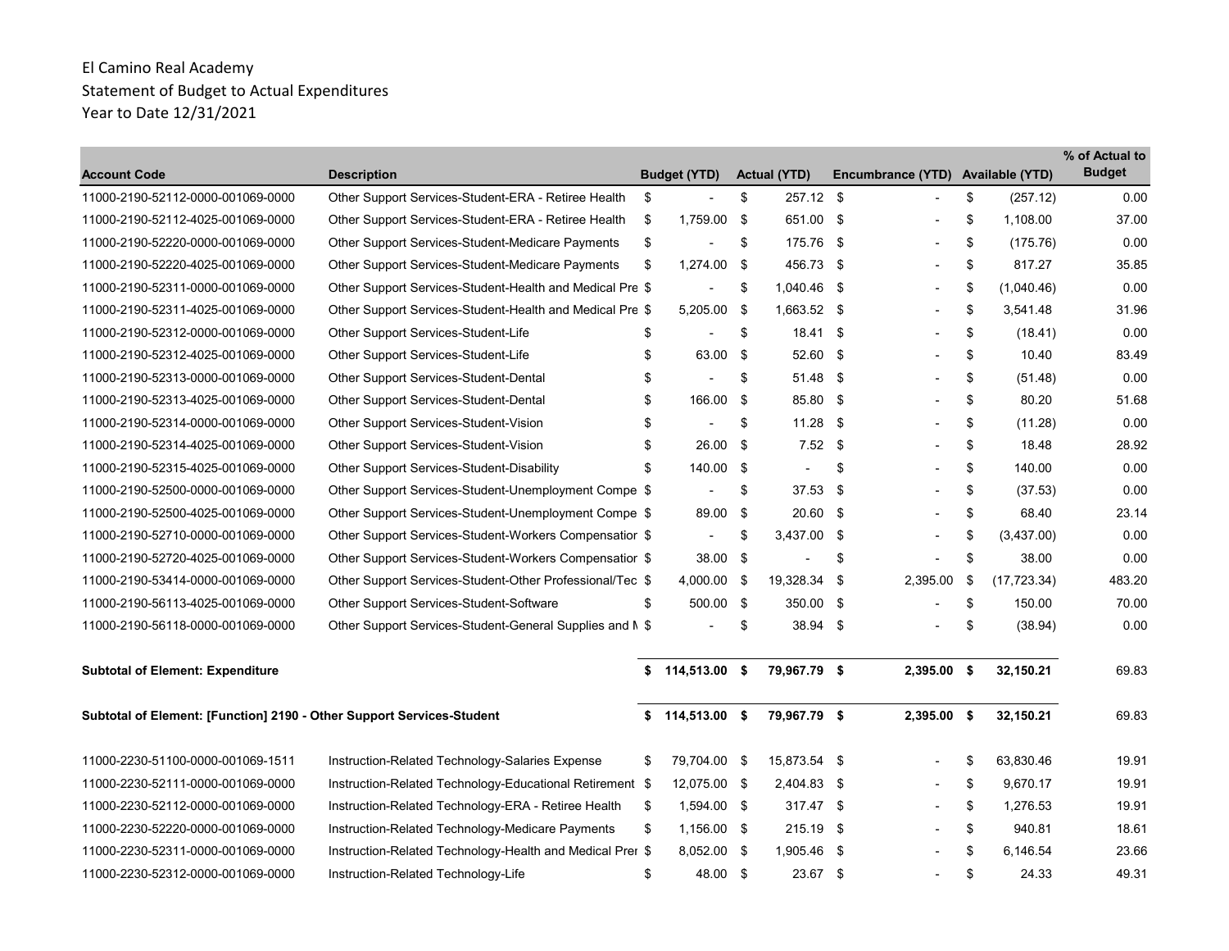| <b>Account Code</b>                                                   | <b>Description</b>                                        | <b>Budget (YTD)</b>  | <b>Actual (YTD)</b> |      | Encumbrance (YTD)        | <b>Available (YTD)</b> | % of Actual to<br><b>Budget</b> |
|-----------------------------------------------------------------------|-----------------------------------------------------------|----------------------|---------------------|------|--------------------------|------------------------|---------------------------------|
| 11000-2190-52112-0000-001069-0000                                     | Other Support Services-Student-ERA - Retiree Health       | \$                   | \$<br>257.12 \$     |      |                          | \$<br>(257.12)         | 0.00                            |
| 11000-2190-52112-4025-001069-0000                                     | Other Support Services-Student-ERA - Retiree Health       | \$<br>1,759.00 \$    | 651.00 \$           |      |                          | \$<br>1,108.00         | 37.00                           |
| 11000-2190-52220-0000-001069-0000                                     | Other Support Services-Student-Medicare Payments          | \$                   | \$<br>175.76 \$     |      | $\blacksquare$           | \$<br>(175.76)         | 0.00                            |
| 11000-2190-52220-4025-001069-0000                                     | Other Support Services-Student-Medicare Payments          | \$<br>1,274.00 \$    | 456.73 \$           |      |                          | \$<br>817.27           | 35.85                           |
| 11000-2190-52311-0000-001069-0000                                     | Other Support Services-Student-Health and Medical Pre \$  |                      | \$<br>1,040.46 \$   |      | $\blacksquare$           | \$<br>(1,040.46)       | 0.00                            |
| 11000-2190-52311-4025-001069-0000                                     | Other Support Services-Student-Health and Medical Pre \$  | 5,205.00 \$          | 1,663.52 \$         |      | $\blacksquare$           | \$<br>3,541.48         | 31.96                           |
| 11000-2190-52312-0000-001069-0000                                     | Other Support Services-Student-Life                       | \$                   | \$<br>$18.41$ \$    |      |                          | \$<br>(18.41)          | 0.00                            |
| 11000-2190-52312-4025-001069-0000                                     | Other Support Services-Student-Life                       | \$<br>63.00 \$       | 52.60 \$            |      |                          | \$<br>10.40            | 83.49                           |
| 11000-2190-52313-0000-001069-0000                                     | Other Support Services-Student-Dental                     | \$                   | \$<br>51.48 \$      |      |                          | \$<br>(51.48)          | 0.00                            |
| 11000-2190-52313-4025-001069-0000                                     | Other Support Services-Student-Dental                     | \$<br>166.00 \$      | 85.80 \$            |      |                          | \$<br>80.20            | 51.68                           |
| 11000-2190-52314-0000-001069-0000                                     | Other Support Services-Student-Vision                     | \$<br>$\blacksquare$ | \$<br>11.28         | - \$ |                          | \$<br>(11.28)          | 0.00                            |
| 11000-2190-52314-4025-001069-0000                                     | Other Support Services-Student-Vision                     | \$<br>26.00 \$       | $7.52$ \$           |      |                          | \$<br>18.48            | 28.92                           |
| 11000-2190-52315-4025-001069-0000                                     | Other Support Services-Student-Disability                 | \$<br>140.00 \$      | $\blacksquare$      | \$   |                          | \$<br>140.00           | 0.00                            |
| 11000-2190-52500-0000-001069-0000                                     | Other Support Services-Student-Unemployment Compe \$      |                      | \$<br>37.53         | - \$ |                          | \$<br>(37.53)          | 0.00                            |
| 11000-2190-52500-4025-001069-0000                                     | Other Support Services-Student-Unemployment Compe \$      | 89.00 \$             | 20.60 \$            |      |                          | \$<br>68.40            | 23.14                           |
| 11000-2190-52710-0000-001069-0000                                     | Other Support Services-Student-Workers Compensatior \$    |                      | \$<br>3,437.00 \$   |      |                          | \$<br>(3,437.00)       | 0.00                            |
| 11000-2190-52720-4025-001069-0000                                     | Other Support Services-Student-Workers Compensatior \$    | 38.00 \$             |                     | \$   |                          | \$<br>38.00            | 0.00                            |
| 11000-2190-53414-0000-001069-0000                                     | Other Support Services-Student-Other Professional/Tec \$  | 4,000.00 \$          | 19,328.34           | -\$  | 2,395.00                 | \$<br>(17, 723.34)     | 483.20                          |
| 11000-2190-56113-4025-001069-0000                                     | Other Support Services-Student-Software                   | \$<br>500.00 \$      | 350.00 \$           |      |                          | \$<br>150.00           | 70.00                           |
| 11000-2190-56118-0000-001069-0000                                     | Other Support Services-Student-General Supplies and M \$  |                      | \$<br>$38.94$ \$    |      |                          | \$<br>(38.94)          | 0.00                            |
| <b>Subtotal of Element: Expenditure</b>                               |                                                           | $$114,513.00$ \$     | 79,967.79 \$        |      | $2,395.00$ \$            | 32,150.21              | 69.83                           |
| Subtotal of Element: [Function] 2190 - Other Support Services-Student |                                                           | \$<br>114,513.00 \$  | 79,967.79 \$        |      | $2,395.00$ \$            | 32,150.21              | 69.83                           |
| 11000-2230-51100-0000-001069-1511                                     | Instruction-Related Technology-Salaries Expense           | \$<br>79,704.00 \$   | 15,873.54 \$        |      | $\overline{\phantom{a}}$ | \$<br>63,830.46        | 19.91                           |
| 11000-2230-52111-0000-001069-0000                                     | Instruction-Related Technology-Educational Retirement \$  | 12,075.00 \$         | 2,404.83 \$         |      |                          | \$<br>9.670.17         | 19.91                           |
| 11000-2230-52112-0000-001069-0000                                     | Instruction-Related Technology-ERA - Retiree Health       | \$<br>1,594.00 \$    | 317.47 \$           |      | $\overline{\phantom{a}}$ | \$<br>1,276.53         | 19.91                           |
| 11000-2230-52220-0000-001069-0000                                     | Instruction-Related Technology-Medicare Payments          | \$<br>1,156.00 \$    | 215.19 \$           |      |                          | \$<br>940.81           | 18.61                           |
| 11000-2230-52311-0000-001069-0000                                     | Instruction-Related Technology-Health and Medical Prer \$ | 8,052.00 \$          | 1,905.46 \$         |      |                          | \$<br>6,146.54         | 23.66                           |
| 11000-2230-52312-0000-001069-0000                                     | Instruction-Related Technology-Life                       | \$<br>48.00 \$       | 23.67 \$            |      |                          | \$<br>24.33            | 49.31                           |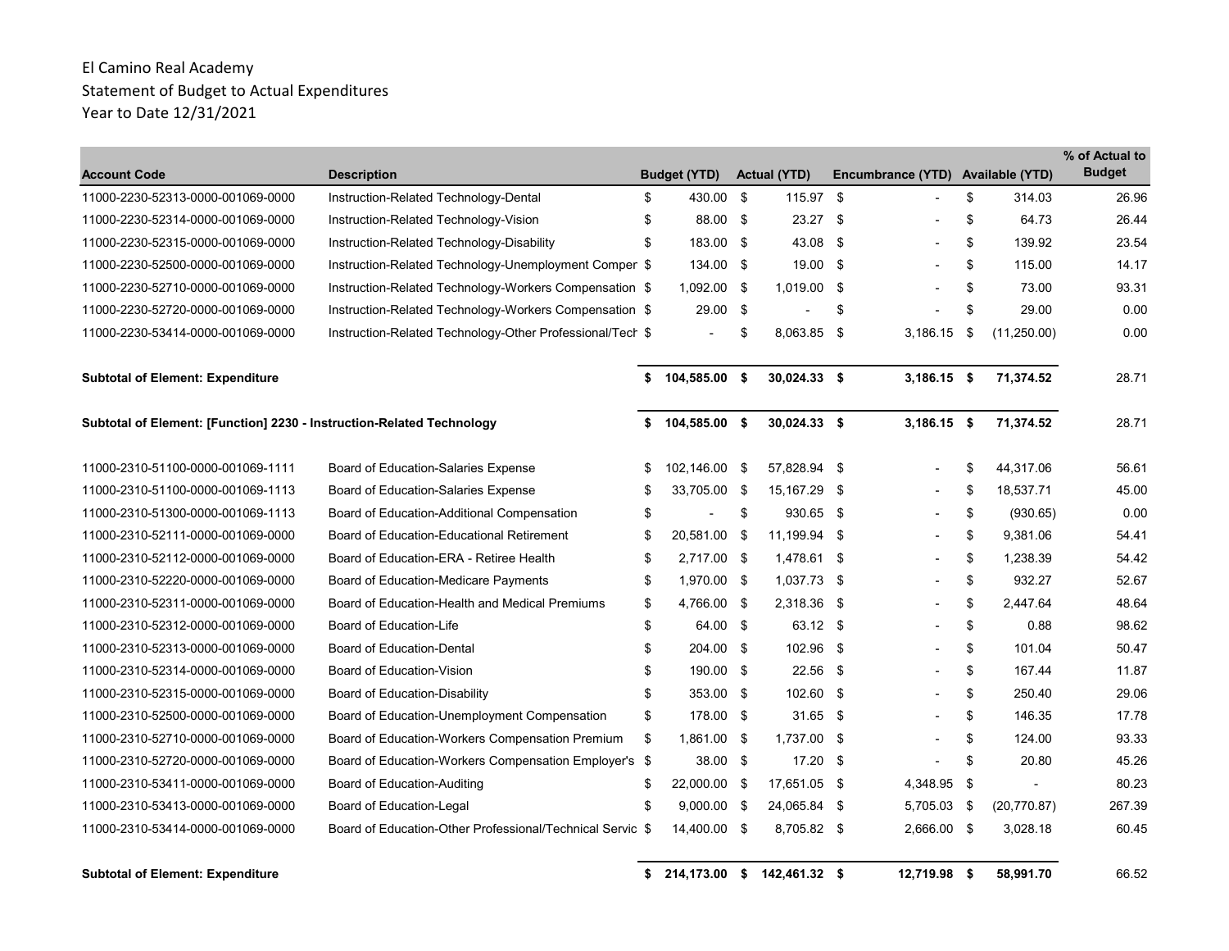| <b>Account Code</b>                                                   | <b>Description</b>                                        |    | <b>Budget (YTD)</b>      | <b>Actual (YTD)</b> |     | Encumbrance (YTD) Available (YTD) |                    | % of Actual to<br><b>Budget</b> |
|-----------------------------------------------------------------------|-----------------------------------------------------------|----|--------------------------|---------------------|-----|-----------------------------------|--------------------|---------------------------------|
| 11000-2230-52313-0000-001069-0000                                     | Instruction-Related Technology-Dental                     | \$ | 430.00 \$                | 115.97 \$           |     |                                   | \$<br>314.03       | 26.96                           |
| 11000-2230-52314-0000-001069-0000                                     | Instruction-Related Technology-Vision                     | \$ | 88.00 \$                 | 23.27               | \$  |                                   | \$<br>64.73        | 26.44                           |
| 11000-2230-52315-0000-001069-0000                                     | Instruction-Related Technology-Disability                 | \$ | 183.00 \$                | 43.08               | \$  |                                   | \$<br>139.92       | 23.54                           |
| 11000-2230-52500-0000-001069-0000                                     | Instruction-Related Technology-Unemployment Comper \$     |    | 134.00 \$                | 19.00               | \$  |                                   | \$<br>115.00       | 14.17                           |
| 11000-2230-52710-0000-001069-0000                                     | Instruction-Related Technology-Workers Compensation \$    |    | 1,092.00 \$              | 1,019.00            | \$  |                                   | \$<br>73.00        | 93.31                           |
| 11000-2230-52720-0000-001069-0000                                     | Instruction-Related Technology-Workers Compensation \$    |    | 29.00 \$                 |                     | \$  |                                   | \$<br>29.00        | 0.00                            |
| 11000-2230-53414-0000-001069-0000                                     | Instruction-Related Technology-Other Professional/Tech \$ |    | $\overline{\phantom{a}}$ | \$<br>8.063.85      | \$  | 3.186.15                          | \$<br>(11, 250.00) | 0.00                            |
| <b>Subtotal of Element: Expenditure</b>                               |                                                           |    | \$104,585.00\$           | 30,024.33 \$        |     | $3,186.15$ \$                     | 71,374.52          | 28.71                           |
| Subtotal of Element: [Function] 2230 - Instruction-Related Technology |                                                           | \$ | 104,585.00 \$            | 30,024.33 \$        |     | $3,186.15$ \$                     | 71,374.52          | 28.71                           |
| 11000-2310-51100-0000-001069-1111                                     | Board of Education-Salaries Expense                       | \$ | 102,146.00 \$            | 57,828.94 \$        |     |                                   | \$<br>44,317.06    | 56.61                           |
| 11000-2310-51100-0000-001069-1113                                     | Board of Education-Salaries Expense                       | S  | 33,705.00 \$             | 15,167.29           | \$  | $\blacksquare$                    | \$<br>18,537.71    | 45.00                           |
| 11000-2310-51300-0000-001069-1113                                     | Board of Education-Additional Compensation                | \$ | $\blacksquare$           | \$<br>930.65        | \$  |                                   | \$<br>(930.65)     | 0.00                            |
| 11000-2310-52111-0000-001069-0000                                     | Board of Education-Educational Retirement                 | \$ | 20,581.00 \$             | 11,199.94 \$        |     |                                   | \$<br>9,381.06     | 54.41                           |
| 11000-2310-52112-0000-001069-0000                                     | Board of Education-ERA - Retiree Health                   | \$ | 2.717.00 \$              | 1,478.61 \$         |     |                                   | \$<br>1.238.39     | 54.42                           |
| 11000-2310-52220-0000-001069-0000                                     | <b>Board of Education-Medicare Payments</b>               | \$ | 1,970.00 \$              | 1,037.73            | \$  |                                   | \$<br>932.27       | 52.67                           |
| 11000-2310-52311-0000-001069-0000                                     | Board of Education-Health and Medical Premiums            | \$ | 4,766.00 \$              | 2,318.36            | \$  | $\blacksquare$                    | \$<br>2,447.64     | 48.64                           |
| 11000-2310-52312-0000-001069-0000                                     | Board of Education-Life                                   | \$ | 64.00 \$                 | 63.12 \$            |     |                                   | \$<br>0.88         | 98.62                           |
| 11000-2310-52313-0000-001069-0000                                     | <b>Board of Education-Dental</b>                          | \$ | 204.00 \$                | 102.96 \$           |     |                                   | \$<br>101.04       | 50.47                           |
| 11000-2310-52314-0000-001069-0000                                     | Board of Education-Vision                                 | \$ | 190.00 \$                | 22.56               | \$  |                                   | \$<br>167.44       | 11.87                           |
| 11000-2310-52315-0000-001069-0000                                     | Board of Education-Disability                             | \$ | 353.00 \$                | 102.60              | \$  |                                   | \$<br>250.40       | 29.06                           |
| 11000-2310-52500-0000-001069-0000                                     | Board of Education-Unemployment Compensation              | \$ | 178.00 \$                | 31.65               | -\$ | $\overline{\phantom{a}}$          | \$<br>146.35       | 17.78                           |
| 11000-2310-52710-0000-001069-0000                                     | Board of Education-Workers Compensation Premium           | \$ | 1,861.00 \$              | 1,737.00            | \$  |                                   | \$<br>124.00       | 93.33                           |
| 11000-2310-52720-0000-001069-0000                                     | Board of Education-Workers Compensation Employer's \$     |    | 38.00 \$                 | 17.20               | \$  |                                   | \$<br>20.80        | 45.26                           |
| 11000-2310-53411-0000-001069-0000                                     | Board of Education-Auditing                               | \$ | 22,000.00 \$             | 17,651.05 \$        |     | 4,348.95                          | \$                 | 80.23                           |
| 11000-2310-53413-0000-001069-0000                                     | Board of Education-Legal                                  | \$ | $9,000.00$ \$            | 24,065.84 \$        |     | 5,705.03                          | \$<br>(20, 770.87) | 267.39                          |
| 11000-2310-53414-0000-001069-0000                                     | Board of Education-Other Professional/Technical Servic \$ |    | 14,400.00 \$             | 8,705.82 \$         |     | 2,666.00 \$                       | 3,028.18           | 60.45                           |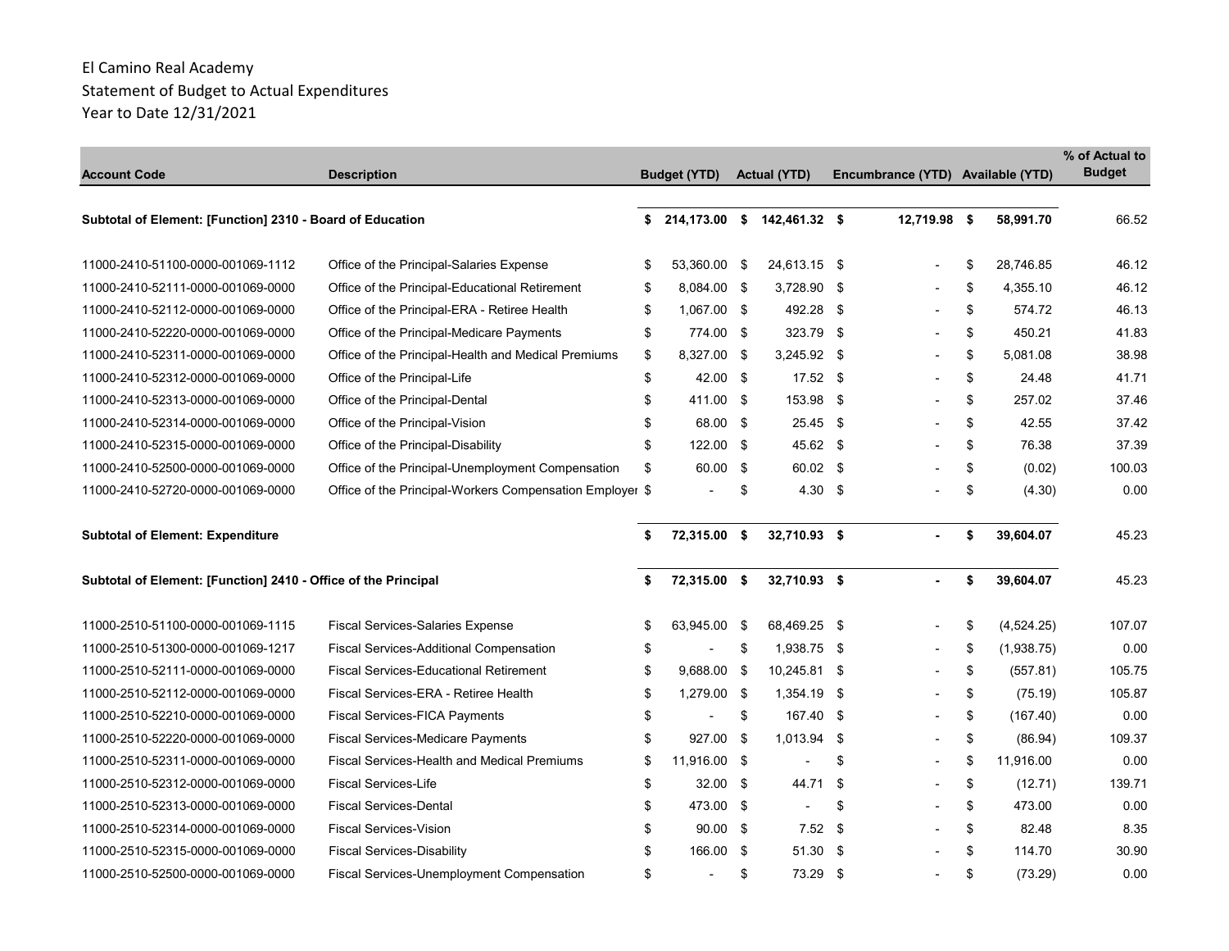| <b>Account Code</b>                                            | <b>Description</b>                                       | <b>Budget (YTD)</b>  |      | <b>Actual (YTD)</b>         |      | Encumbrance (YTD) Available (YTD) |                  | % of Actual to<br><b>Budget</b> |
|----------------------------------------------------------------|----------------------------------------------------------|----------------------|------|-----------------------------|------|-----------------------------------|------------------|---------------------------------|
| Subtotal of Element: [Function] 2310 - Board of Education      |                                                          | \$                   |      | 214,173.00 \$ 142,461.32 \$ |      | 12,719.98 \$                      | 58,991.70        | 66.52                           |
| 11000-2410-51100-0000-001069-1112                              | Office of the Principal-Salaries Expense                 | \$<br>53.360.00 \$   |      | 24.613.15 \$                |      |                                   | \$<br>28.746.85  | 46.12                           |
| 11000-2410-52111-0000-001069-0000                              | Office of the Principal-Educational Retirement           | \$<br>8,084.00 \$    |      | 3,728.90                    | - \$ |                                   | \$<br>4,355.10   | 46.12                           |
| 11000-2410-52112-0000-001069-0000                              | Office of the Principal-ERA - Retiree Health             | \$<br>1,067.00 \$    |      | 492.28 \$                   |      |                                   | \$<br>574.72     | 46.13                           |
| 11000-2410-52220-0000-001069-0000                              | Office of the Principal-Medicare Payments                | \$<br>774.00 \$      |      | 323.79 \$                   |      |                                   | \$<br>450.21     | 41.83                           |
| 11000-2410-52311-0000-001069-0000                              | Office of the Principal-Health and Medical Premiums      | \$<br>8,327.00 \$    |      | 3,245.92 \$                 |      |                                   | \$<br>5.081.08   | 38.98                           |
| 11000-2410-52312-0000-001069-0000                              | Office of the Principal-Life                             | \$<br>42.00 \$       |      | $17.52$ \$                  |      |                                   | \$<br>24.48      | 41.71                           |
| 11000-2410-52313-0000-001069-0000                              | Office of the Principal-Dental                           | \$<br>411.00 \$      |      | 153.98 \$                   |      |                                   | \$<br>257.02     | 37.46                           |
| 11000-2410-52314-0000-001069-0000                              | Office of the Principal-Vision                           | \$<br>68.00 \$       |      | 25.45 \$                    |      |                                   | \$<br>42.55      | 37.42                           |
| 11000-2410-52315-0000-001069-0000                              | Office of the Principal-Disability                       | \$<br>$122.00$ \$    |      | 45.62 \$                    |      |                                   | \$<br>76.38      | 37.39                           |
| 11000-2410-52500-0000-001069-0000                              | Office of the Principal-Unemployment Compensation        | \$<br>60.00 \$       |      | 60.02 \$                    |      |                                   | \$<br>(0.02)     | 100.03                          |
| 11000-2410-52720-0000-001069-0000                              | Office of the Principal-Workers Compensation Employer \$ |                      | \$   | 4.30                        | - \$ |                                   | \$<br>(4.30)     | 0.00                            |
| <b>Subtotal of Element: Expenditure</b>                        |                                                          | \$<br>72,315.00 \$   |      | 32,710.93 \$                |      |                                   | \$<br>39,604.07  | 45.23                           |
| Subtotal of Element: [Function] 2410 - Office of the Principal |                                                          | \$<br>72,315.00 \$   |      | 32,710.93 \$                |      |                                   | \$<br>39,604.07  | 45.23                           |
| 11000-2510-51100-0000-001069-1115                              | <b>Fiscal Services-Salaries Expense</b>                  | \$<br>63,945.00      | - \$ | 68,469.25 \$                |      |                                   | \$<br>(4,524.25) | 107.07                          |
| 11000-2510-51300-0000-001069-1217                              | <b>Fiscal Services-Additional Compensation</b>           | \$<br>$\blacksquare$ | \$   | 1,938.75 \$                 |      |                                   | \$<br>(1,938.75) | 0.00                            |
| 11000-2510-52111-0000-001069-0000                              | <b>Fiscal Services-Educational Retirement</b>            | \$<br>9,688.00 \$    |      | 10,245.81 \$                |      |                                   | \$<br>(557.81)   | 105.75                          |
| 11000-2510-52112-0000-001069-0000                              | Fiscal Services-ERA - Retiree Health                     | \$<br>1,279.00 \$    |      | 1,354.19 \$                 |      |                                   | \$<br>(75.19)    | 105.87                          |
| 11000-2510-52210-0000-001069-0000                              | Fiscal Services-FICA Payments                            | \$<br>$\blacksquare$ | \$   | 167.40 \$                   |      |                                   | \$<br>(167.40)   | 0.00                            |
| 11000-2510-52220-0000-001069-0000                              | <b>Fiscal Services-Medicare Payments</b>                 | \$<br>927.00 \$      |      | $1,013.94$ \$               |      |                                   | \$<br>(86.94)    | 109.37                          |
| 11000-2510-52311-0000-001069-0000                              | <b>Fiscal Services-Health and Medical Premiums</b>       | \$<br>11,916.00 \$   |      |                             | \$   |                                   | \$<br>11,916.00  | 0.00                            |
| 11000-2510-52312-0000-001069-0000                              | <b>Fiscal Services-Life</b>                              | \$<br>$32.00$ \$     |      | 44.71                       | -\$  |                                   | \$<br>(12.71)    | 139.71                          |
| 11000-2510-52313-0000-001069-0000                              | <b>Fiscal Services-Dental</b>                            | \$<br>473.00 \$      |      | $\blacksquare$              | \$   |                                   | \$<br>473.00     | 0.00                            |
| 11000-2510-52314-0000-001069-0000                              | <b>Fiscal Services-Vision</b>                            | \$<br>$90.00$ \$     |      | 7.52                        | - \$ |                                   | \$<br>82.48      | 8.35                            |
| 11000-2510-52315-0000-001069-0000                              | <b>Fiscal Services-Disability</b>                        | \$<br>166.00 \$      |      | 51.30 \$                    |      |                                   | \$<br>114.70     | 30.90                           |
| 11000-2510-52500-0000-001069-0000                              | Fiscal Services-Unemployment Compensation                | \$                   | \$   | 73.29 \$                    |      |                                   | \$<br>(73.29)    | 0.00                            |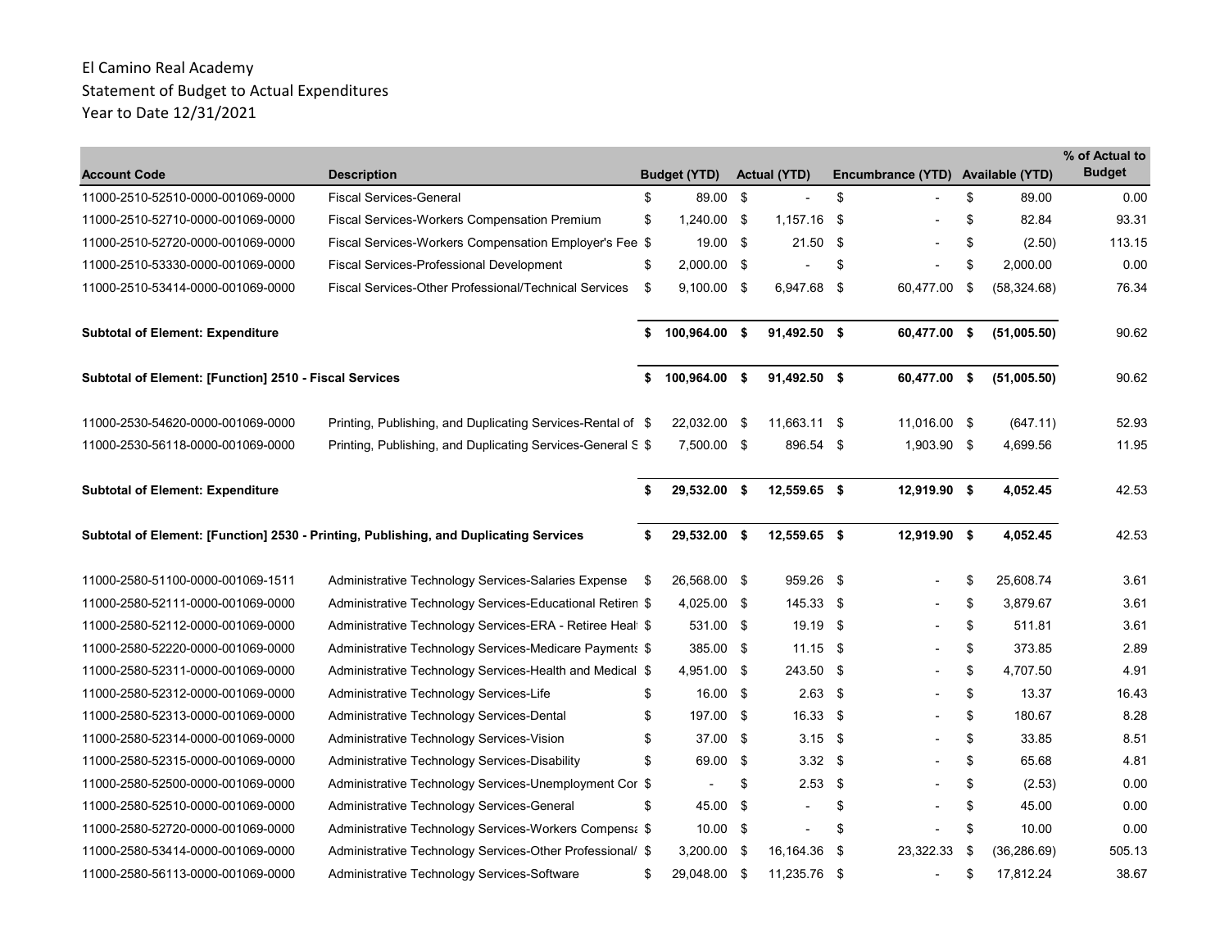| <b>Account Code</b>                                    | <b>Description</b>                                                                    |      | <b>Budget (YTD)</b> | <b>Actual (YTD)</b>      |      | Encumbrance (YTD) Available (YTD) |                    | % of Actual to<br><b>Budget</b> |
|--------------------------------------------------------|---------------------------------------------------------------------------------------|------|---------------------|--------------------------|------|-----------------------------------|--------------------|---------------------------------|
| 11000-2510-52510-0000-001069-0000                      | <b>Fiscal Services-General</b>                                                        | \$   | 89.00 \$            | $\overline{\phantom{a}}$ | \$   |                                   | \$<br>89.00        | 0.00                            |
| 11000-2510-52710-0000-001069-0000                      | <b>Fiscal Services-Workers Compensation Premium</b>                                   | \$   | 1,240.00 \$         | $1,157.16$ \$            |      |                                   | \$<br>82.84        | 93.31                           |
| 11000-2510-52720-0000-001069-0000                      | Fiscal Services-Workers Compensation Employer's Fee \$                                |      | 19.00 \$            | 21.50                    | - \$ |                                   | \$<br>(2.50)       | 113.15                          |
| 11000-2510-53330-0000-001069-0000                      | <b>Fiscal Services-Professional Development</b>                                       | \$   | 2,000.00 \$         |                          | \$   |                                   | \$<br>2,000.00     | 0.00                            |
| 11000-2510-53414-0000-001069-0000                      | Fiscal Services-Other Professional/Technical Services                                 | \$   | $9,100.00$ \$       | 6,947.68 \$              |      | 60,477.00                         | \$<br>(58, 324.68) | 76.34                           |
| <b>Subtotal of Element: Expenditure</b>                |                                                                                       | \$   | 100,964.00 \$       | 91,492.50 \$             |      | 60,477.00 \$                      | (51,005.50)        | 90.62                           |
| Subtotal of Element: [Function] 2510 - Fiscal Services |                                                                                       | \$   | 100,964.00 \$       | 91,492.50 \$             |      | 60,477.00 \$                      | (51,005.50)        | 90.62                           |
| 11000-2530-54620-0000-001069-0000                      | Printing, Publishing, and Duplicating Services-Rental of \$                           |      | 22,032.00 \$        | 11,663.11 \$             |      | 11,016.00 \$                      | (647.11)           | 52.93                           |
| 11000-2530-56118-0000-001069-0000                      | Printing, Publishing, and Duplicating Services-General S \$                           |      | 7,500.00 \$         | 896.54 \$                |      | 1,903.90 \$                       | 4,699.56           | 11.95                           |
| <b>Subtotal of Element: Expenditure</b>                |                                                                                       | \$   | 29,532.00 \$        | 12,559.65 \$             |      | 12,919.90 \$                      | 4.052.45           | 42.53                           |
|                                                        | Subtotal of Element: [Function] 2530 - Printing, Publishing, and Duplicating Services | Ŝ.   | 29,532.00 \$        | 12,559.65 \$             |      | 12,919.90 \$                      | 4,052.45           | 42.53                           |
| 11000-2580-51100-0000-001069-1511                      | Administrative Technology Services-Salaries Expense                                   | - \$ | 26,568.00 \$        | 959.26 \$                |      |                                   | \$<br>25,608.74    | 3.61                            |
| 11000-2580-52111-0000-001069-0000                      | Administrative Technology Services-Educational Retiren \$                             |      | 4,025.00 \$         | 145.33 \$                |      |                                   | \$<br>3,879.67     | 3.61                            |
| 11000-2580-52112-0000-001069-0000                      | Administrative Technology Services-ERA - Retiree Heal \$                              |      | 531.00 \$           | 19.19 \$                 |      |                                   | \$<br>511.81       | 3.61                            |
| 11000-2580-52220-0000-001069-0000                      | Administrative Technology Services-Medicare Payments \$                               |      | 385.00 \$           | $11.15$ \$               |      |                                   | \$<br>373.85       | 2.89                            |
| 11000-2580-52311-0000-001069-0000                      | Administrative Technology Services-Health and Medical \$                              |      | 4,951.00 \$         | 243.50 \$                |      |                                   | \$<br>4.707.50     | 4.91                            |
| 11000-2580-52312-0000-001069-0000                      | Administrative Technology Services-Life                                               | \$   | 16.00 \$            | $2.63$ \$                |      |                                   | \$<br>13.37        | 16.43                           |
| 11000-2580-52313-0000-001069-0000                      | Administrative Technology Services-Dental                                             | \$   | 197.00 \$           | $16.33$ \$               |      |                                   | \$<br>180.67       | 8.28                            |
| 11000-2580-52314-0000-001069-0000                      | Administrative Technology Services-Vision                                             | \$   | 37.00 \$            | $3.15$ \$                |      |                                   | \$<br>33.85        | 8.51                            |
| 11000-2580-52315-0000-001069-0000                      | Administrative Technology Services-Disability                                         | \$   | 69.00 \$            | $3.32$ \$                |      |                                   | \$<br>65.68        | 4.81                            |
| 11000-2580-52500-0000-001069-0000                      | Administrative Technology Services-Unemployment Cor \$                                |      |                     | \$<br>$2.53$ \$          |      |                                   | \$<br>(2.53)       | 0.00                            |
| 11000-2580-52510-0000-001069-0000                      | Administrative Technology Services-General                                            | \$   | 45.00 \$            |                          | \$   |                                   | \$<br>45.00        | 0.00                            |
| 11000-2580-52720-0000-001069-0000                      | Administrative Technology Services-Workers Compens: \$                                |      | $10.00$ \$          |                          | \$   |                                   | \$<br>10.00        | 0.00                            |
| 11000-2580-53414-0000-001069-0000                      | Administrative Technology Services-Other Professional/ \$                             |      | $3,200.00$ \$       | 16,164.36                | - \$ | 23,322.33                         | \$<br>(36, 286.69) | 505.13                          |
| 11000-2580-56113-0000-001069-0000                      | Administrative Technology Services-Software                                           | S    | 29,048.00 \$        | 11,235.76 \$             |      |                                   | \$<br>17,812.24    | 38.67                           |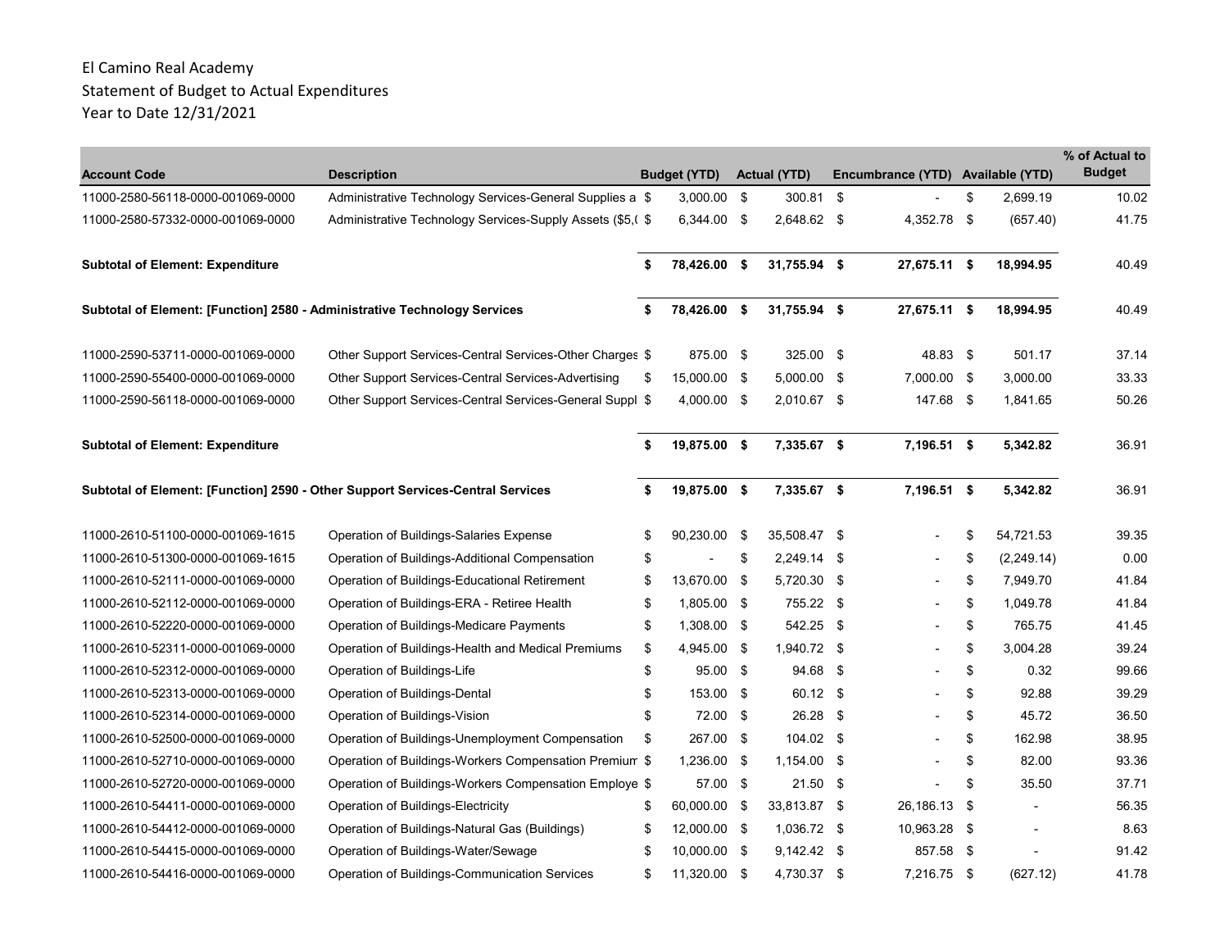|                                                                           |                                                                                |                     |                     |      |                                   |                  | % of Actual to |
|---------------------------------------------------------------------------|--------------------------------------------------------------------------------|---------------------|---------------------|------|-----------------------------------|------------------|----------------|
| <b>Account Code</b>                                                       | <b>Description</b>                                                             | <b>Budget (YTD)</b> | <b>Actual (YTD)</b> |      | Encumbrance (YTD) Available (YTD) |                  | <b>Budget</b>  |
| 11000-2580-56118-0000-001069-0000                                         | Administrative Technology Services-General Supplies a \$                       | $3,000.00$ \$       | 300.81              | -\$  |                                   | \$<br>2.699.19   | 10.02          |
| 11000-2580-57332-0000-001069-0000                                         | Administrative Technology Services-Supply Assets (\$5,( \$                     | 6,344.00 \$         | 2,648.62 \$         |      | 4,352.78 \$                       | (657.40)         | 41.75          |
| <b>Subtotal of Element: Expenditure</b>                                   |                                                                                | \$<br>78,426.00 \$  | 31.755.94 \$        |      | 27,675.11 \$                      | 18,994.95        | 40.49          |
| Subtotal of Element: [Function] 2580 - Administrative Technology Services |                                                                                | \$<br>78,426.00 \$  | 31,755.94 \$        |      | 27,675.11 \$                      | 18,994.95        | 40.49          |
| 11000-2590-53711-0000-001069-0000                                         | Other Support Services-Central Services-Other Charges \$                       | 875.00 \$           | 325.00 \$           |      | 48.83 \$                          | 501.17           | 37.14          |
| 11000-2590-55400-0000-001069-0000                                         | Other Support Services-Central Services-Advertising                            | \$<br>15,000.00 \$  | $5,000.00$ \$       |      | 7,000.00 \$                       | 3,000.00         | 33.33          |
| 11000-2590-56118-0000-001069-0000                                         | Other Support Services-Central Services-General Suppl \$                       | 4,000.00 \$         | 2,010.67 \$         |      | 147.68 \$                         | 1,841.65         | 50.26          |
| <b>Subtotal of Element: Expenditure</b>                                   |                                                                                | \$<br>19,875.00 \$  | 7,335.67 \$         |      | 7,196.51 \$                       | 5,342.82         | 36.91          |
|                                                                           | Subtotal of Element: [Function] 2590 - Other Support Services-Central Services | \$<br>19,875.00 \$  | 7,335.67 \$         |      | 7,196.51 \$                       | 5,342.82         | 36.91          |
| 11000-2610-51100-0000-001069-1615                                         | Operation of Buildings-Salaries Expense                                        | \$<br>90,230.00 \$  | 35,508.47 \$        |      |                                   | \$<br>54,721.53  | 39.35          |
| 11000-2610-51300-0000-001069-1615                                         | Operation of Buildings-Additional Compensation                                 | \$                  | \$<br>2,249.14      | - \$ |                                   | \$<br>(2,249.14) | 0.00           |
| 11000-2610-52111-0000-001069-0000                                         | Operation of Buildings-Educational Retirement                                  | \$<br>13.670.00 \$  | 5,720.30 \$         |      |                                   | \$<br>7.949.70   | 41.84          |
| 11000-2610-52112-0000-001069-0000                                         | Operation of Buildings-ERA - Retiree Health                                    | \$<br>1,805.00 \$   | 755.22              | - \$ |                                   | \$<br>1,049.78   | 41.84          |
| 11000-2610-52220-0000-001069-0000                                         | Operation of Buildings-Medicare Payments                                       | \$<br>1,308.00 \$   | 542.25              | - \$ |                                   | \$<br>765.75     | 41.45          |
| 11000-2610-52311-0000-001069-0000                                         | Operation of Buildings-Health and Medical Premiums                             | \$<br>4,945.00 \$   | 1,940.72 \$         |      |                                   | \$<br>3.004.28   | 39.24          |
| 11000-2610-52312-0000-001069-0000                                         | Operation of Buildings-Life                                                    | \$<br>95.00 \$      | 94.68               | - \$ |                                   | \$<br>0.32       | 99.66          |
| 11000-2610-52313-0000-001069-0000                                         | Operation of Buildings-Dental                                                  | \$<br>153.00 \$     | 60.12 \$            |      |                                   | \$<br>92.88      | 39.29          |
| 11000-2610-52314-0000-001069-0000                                         | Operation of Buildings-Vision                                                  | \$<br>72.00 \$      | 26.28 \$            |      |                                   | \$<br>45.72      | 36.50          |
| 11000-2610-52500-0000-001069-0000                                         | Operation of Buildings-Unemployment Compensation                               | \$<br>267.00 \$     | $104.02$ \$         |      |                                   | \$<br>162.98     | 38.95          |
| 11000-2610-52710-0000-001069-0000                                         | Operation of Buildings-Workers Compensation Premium \$                         | 1,236.00 \$         | 1,154.00 \$         |      |                                   | \$<br>82.00      | 93.36          |
| 11000-2610-52720-0000-001069-0000                                         | Operation of Buildings-Workers Compensation Employe \$                         | 57.00 \$            | $21.50$ \$          |      |                                   | \$<br>35.50      | 37.71          |
| 11000-2610-54411-0000-001069-0000                                         | Operation of Buildings-Electricity                                             | \$<br>60,000.00 \$  | 33,813.87 \$        |      | 26,186.13 \$                      | $\blacksquare$   | 56.35          |
| 11000-2610-54412-0000-001069-0000                                         | Operation of Buildings-Natural Gas (Buildings)                                 | \$<br>12,000.00 \$  | 1,036.72 \$         |      | 10,963.28 \$                      |                  | 8.63           |
| 11000-2610-54415-0000-001069-0000                                         | Operation of Buildings-Water/Sewage                                            | \$<br>10,000.00 \$  | $9,142.42$ \$       |      | 857.58 \$                         |                  | 91.42          |
| 11000-2610-54416-0000-001069-0000                                         | Operation of Buildings-Communication Services                                  | \$<br>11,320.00 \$  | 4,730.37 \$         |      | 7,216.75 \$                       | (627.12)         | 41.78          |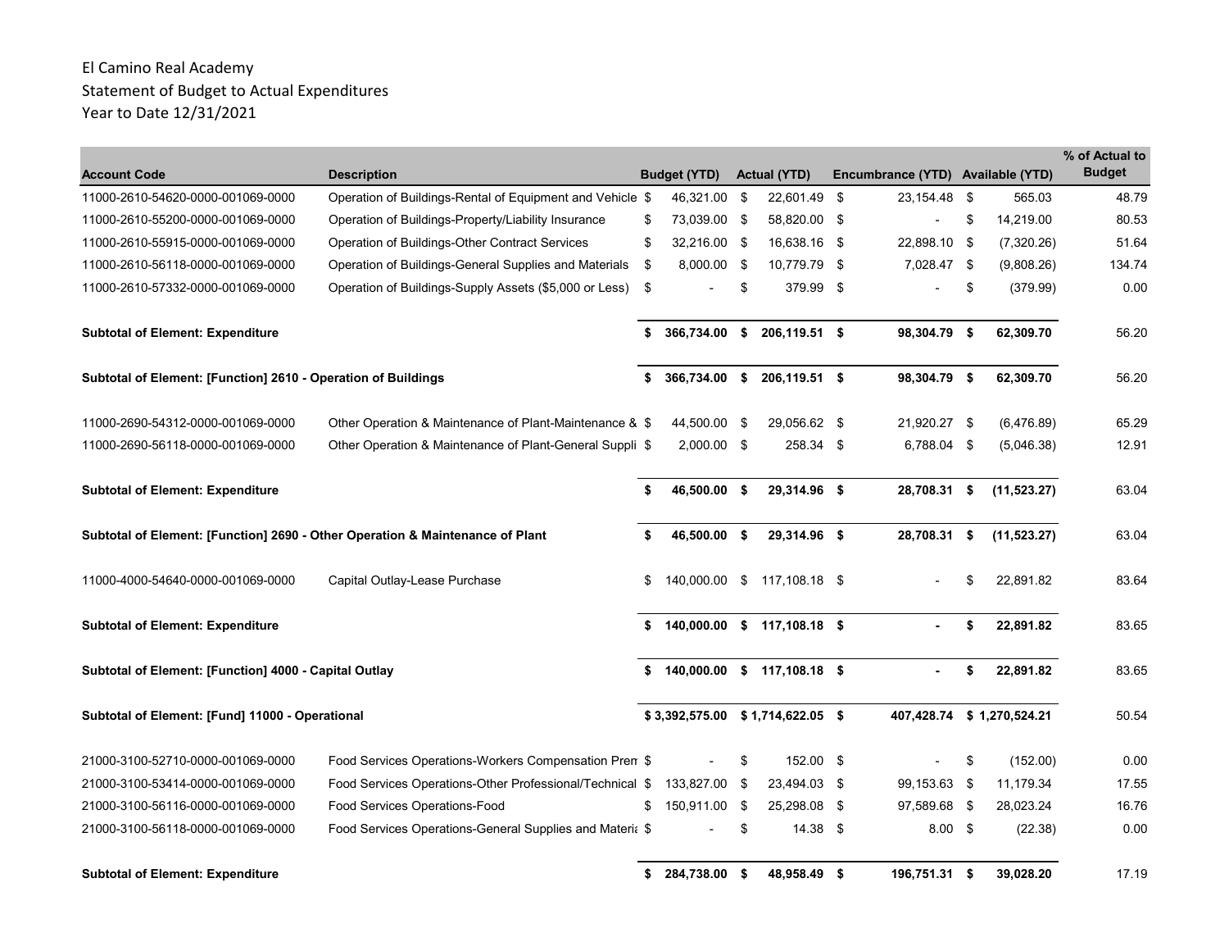| <b>Account Code</b>                                                           | <b>Description</b>                                        |    | <b>Budget (YTD)</b>              |      | <b>Actual (YTD)</b>         |      | Encumbrance (YTD) Available (YTD) |     |                           | % of Actual to<br><b>Budget</b> |
|-------------------------------------------------------------------------------|-----------------------------------------------------------|----|----------------------------------|------|-----------------------------|------|-----------------------------------|-----|---------------------------|---------------------------------|
| 11000-2610-54620-0000-001069-0000                                             | Operation of Buildings-Rental of Equipment and Vehicle \$ |    | 46,321.00 \$                     |      | 22,601.49                   | -\$  | 23,154.48 \$                      |     | 565.03                    | 48.79                           |
| 11000-2610-55200-0000-001069-0000                                             | Operation of Buildings-Property/Liability Insurance       | S  | 73,039.00 \$                     |      | 58,820.00 \$                |      |                                   | \$  | 14,219.00                 | 80.53                           |
| 11000-2610-55915-0000-001069-0000                                             | Operation of Buildings-Other Contract Services            | \$ | 32,216.00 \$                     |      | 16,638.16 \$                |      | 22,898.10 \$                      |     | (7,320.26)                | 51.64                           |
| 11000-2610-56118-0000-001069-0000                                             | Operation of Buildings-General Supplies and Materials     | \$ | 8,000.00 \$                      |      | 10,779.79                   | - \$ | 7,028.47 \$                       |     | (9,808.26)                | 134.74                          |
| 11000-2610-57332-0000-001069-0000                                             | Operation of Buildings-Supply Assets (\$5,000 or Less)    | \$ |                                  | \$   | 379.99                      | -\$  |                                   | \$  | (379.99)                  | 0.00                            |
| <b>Subtotal of Element: Expenditure</b>                                       |                                                           | \$ | 366,734.00                       | \$   | 206,119.51 \$               |      | 98,304.79 \$                      |     | 62,309.70                 | 56.20                           |
| Subtotal of Element: [Function] 2610 - Operation of Buildings                 |                                                           | \$ | 366,734.00 \$                    |      | 206,119.51 \$               |      | 98,304.79 \$                      |     | 62,309.70                 | 56.20                           |
| 11000-2690-54312-0000-001069-0000                                             | Other Operation & Maintenance of Plant-Maintenance & \$   |    | 44,500.00 \$                     |      | 29,056.62 \$                |      | 21,920.27 \$                      |     | (6,476.89)                | 65.29                           |
| 11000-2690-56118-0000-001069-0000                                             | Other Operation & Maintenance of Plant-General Suppli \$  |    | 2,000.00 \$                      |      | 258.34 \$                   |      | 6,788.04 \$                       |     | (5,046.38)                | 12.91                           |
| <b>Subtotal of Element: Expenditure</b>                                       |                                                           | \$ | 46,500.00 \$                     |      | 29,314.96 \$                |      | 28,708.31 \$                      |     | (11, 523.27)              | 63.04                           |
| Subtotal of Element: [Function] 2690 - Other Operation & Maintenance of Plant |                                                           | \$ | 46,500.00 \$                     |      | 29,314.96 \$                |      | 28,708.31                         | -\$ | (11, 523.27)              | 63.04                           |
| 11000-4000-54640-0000-001069-0000                                             | Capital Outlay-Lease Purchase                             | \$ | 140,000.00 \$                    |      | 117,108.18 \$               |      |                                   | \$  | 22,891.82                 | 83.64                           |
| <b>Subtotal of Element: Expenditure</b>                                       |                                                           | \$ |                                  |      | 140,000.00 \$ 117,108.18 \$ |      |                                   | \$  | 22,891.82                 | 83.65                           |
| Subtotal of Element: [Function] 4000 - Capital Outlay                         |                                                           | \$ |                                  |      | 140,000.00 \$ 117,108.18 \$ |      |                                   | \$  | 22,891.82                 | 83.65                           |
| Subtotal of Element: [Fund] 11000 - Operational                               |                                                           |    | \$3,392,575.00 \$1,714,622.05 \$ |      |                             |      |                                   |     | 407,428.74 \$1,270,524.21 | 50.54                           |
| 21000-3100-52710-0000-001069-0000                                             | Food Services Operations-Workers Compensation Pren \$     |    |                                  | \$   | 152.00 \$                   |      |                                   | \$  | (152.00)                  | 0.00                            |
| 21000-3100-53414-0000-001069-0000                                             | Food Services Operations-Other Professional/Technical \$  |    | 133,827.00                       | - \$ | 23,494.03 \$                |      | 99,153.63 \$                      |     | 11,179.34                 | 17.55                           |
| 21000-3100-56116-0000-001069-0000                                             | Food Services Operations-Food                             | \$ | 150,911.00 \$                    |      | 25,298.08 \$                |      | 97,589.68 \$                      |     | 28,023.24                 | 16.76                           |
| 21000-3100-56118-0000-001069-0000                                             | Food Services Operations-General Supplies and Materia \$  |    |                                  | \$   | 14.38 \$                    |      | $8.00\quad$ \$                    |     | (22.38)                   | 0.00                            |
| <b>Subtotal of Element: Expenditure</b>                                       |                                                           | \$ | 284,738.00 \$                    |      | 48,958.49 \$                |      | 196,751.31 \$                     |     | 39,028.20                 | 17.19                           |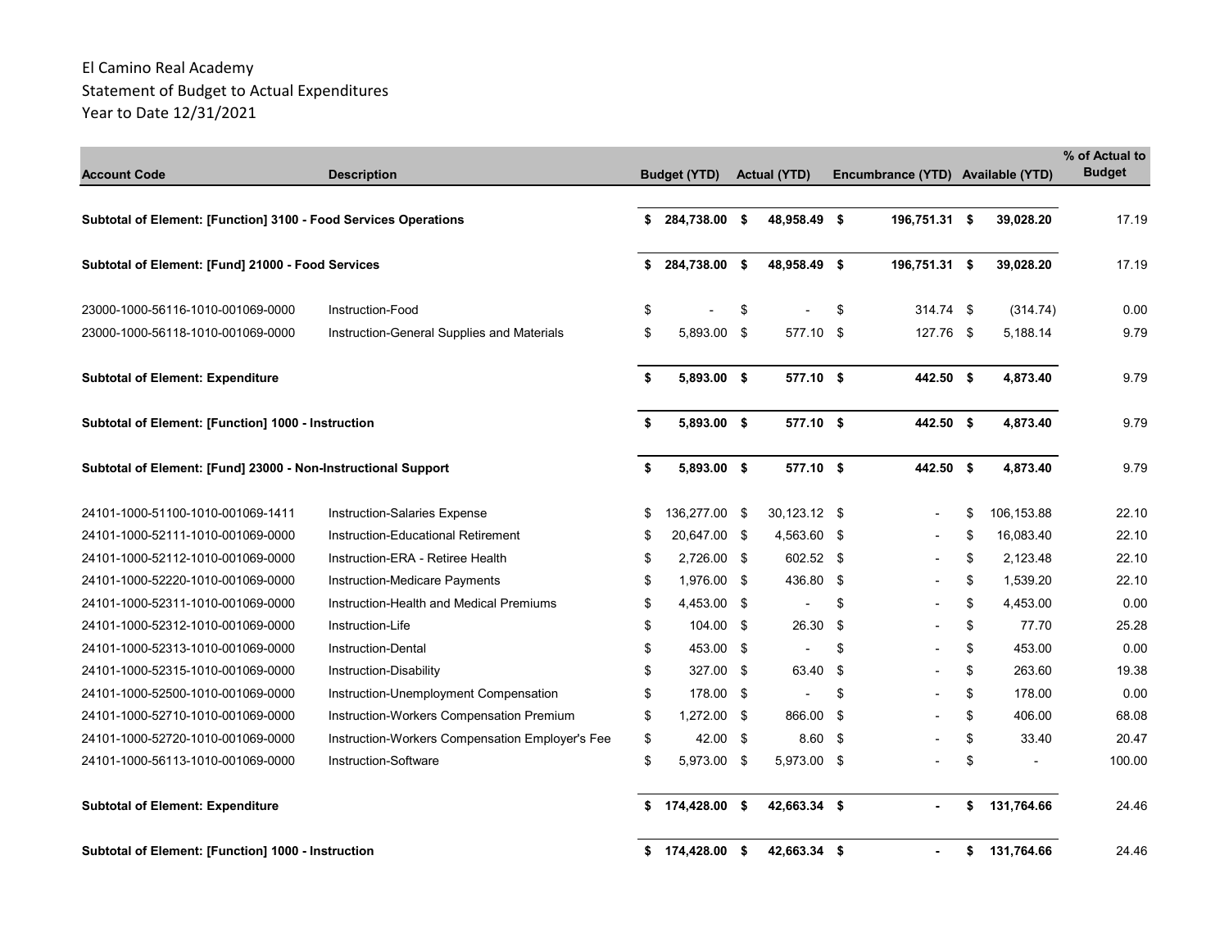| <b>Account Code</b>                                             | <b>Description</b>                              | <b>Budget (YTD)</b> | <b>Actual (YTD)</b> |      | Encumbrance (YTD) Available (YTD) |                  | % of Actual to<br><b>Budget</b> |
|-----------------------------------------------------------------|-------------------------------------------------|---------------------|---------------------|------|-----------------------------------|------------------|---------------------------------|
| Subtotal of Element: [Function] 3100 - Food Services Operations |                                                 | \$<br>284,738.00 \$ | 48,958.49 \$        |      | 196,751.31 \$                     | 39,028.20        | 17.19                           |
| Subtotal of Element: [Fund] 21000 - Food Services               |                                                 | \$<br>284,738.00 \$ | 48,958.49 \$        |      | 196,751.31 \$                     | 39,028.20        | 17.19                           |
| 23000-1000-56116-1010-001069-0000                               | Instruction-Food                                | \$                  | \$                  | \$   | 314.74 \$                         | (314.74)         | 0.00                            |
| 23000-1000-56118-1010-001069-0000                               | Instruction-General Supplies and Materials      | \$<br>5,893.00 \$   | 577.10 \$           |      | 127.76 \$                         | 5,188.14         | 9.79                            |
| <b>Subtotal of Element: Expenditure</b>                         |                                                 | \$<br>5,893.00 \$   | 577.10 \$           |      | 442.50 \$                         | 4,873.40         | 9.79                            |
| Subtotal of Element: [Function] 1000 - Instruction              |                                                 | \$<br>5,893.00 \$   | 577.10 \$           |      | 442.50 \$                         | 4,873.40         | 9.79                            |
| Subtotal of Element: [Fund] 23000 - Non-Instructional Support   |                                                 | \$<br>5,893.00 \$   | 577.10 \$           |      | 442.50 \$                         | 4,873.40         | 9.79                            |
| 24101-1000-51100-1010-001069-1411                               | Instruction-Salaries Expense                    | \$<br>136,277.00 \$ | 30,123.12 \$        |      |                                   | \$<br>106,153.88 | 22.10                           |
| 24101-1000-52111-1010-001069-0000                               | Instruction-Educational Retirement              | \$<br>20,647.00 \$  | 4,563.60 \$         |      |                                   | \$<br>16,083.40  | 22.10                           |
| 24101-1000-52112-1010-001069-0000                               | Instruction-ERA - Retiree Health                | \$<br>2,726.00 \$   | 602.52 \$           |      |                                   | \$<br>2,123.48   | 22.10                           |
| 24101-1000-52220-1010-001069-0000                               | Instruction-Medicare Payments                   | \$<br>1,976.00 \$   | 436.80 \$           |      |                                   | \$<br>1,539.20   | 22.10                           |
| 24101-1000-52311-1010-001069-0000                               | Instruction-Health and Medical Premiums         | \$<br>4,453.00 \$   |                     | \$   |                                   | \$<br>4,453.00   | 0.00                            |
| 24101-1000-52312-1010-001069-0000                               | Instruction-Life                                | \$<br>104.00 \$     | 26.30               | -\$  |                                   | \$<br>77.70      | 25.28                           |
| 24101-1000-52313-1010-001069-0000                               | Instruction-Dental                              | \$<br>453.00 \$     |                     | \$   |                                   | \$<br>453.00     | 0.00                            |
| 24101-1000-52315-1010-001069-0000                               | Instruction-Disability                          | \$<br>327.00 \$     | 63.40               | -\$  |                                   | \$<br>263.60     | 19.38                           |
| 24101-1000-52500-1010-001069-0000                               | Instruction-Unemployment Compensation           | \$<br>178.00 \$     |                     | \$   |                                   | \$<br>178.00     | 0.00                            |
| 24101-1000-52710-1010-001069-0000                               | Instruction-Workers Compensation Premium        | \$<br>1,272.00 \$   | 866.00              | - \$ |                                   | \$<br>406.00     | 68.08                           |
| 24101-1000-52720-1010-001069-0000                               | Instruction-Workers Compensation Employer's Fee | \$<br>42.00 \$      | 8.60                | - \$ |                                   | \$<br>33.40      | 20.47                           |
| 24101-1000-56113-1010-001069-0000                               | Instruction-Software                            | \$<br>5,973.00 \$   | 5,973.00 \$         |      |                                   | \$               | 100.00                          |
| <b>Subtotal of Element: Expenditure</b>                         |                                                 | \$<br>174,428.00 \$ | 42,663.34 \$        |      |                                   | \$<br>131,764.66 | 24.46                           |
| Subtotal of Element: [Function] 1000 - Instruction              |                                                 | \$<br>174.428.00 \$ | 42,663.34 \$        |      |                                   | \$<br>131,764.66 | 24.46                           |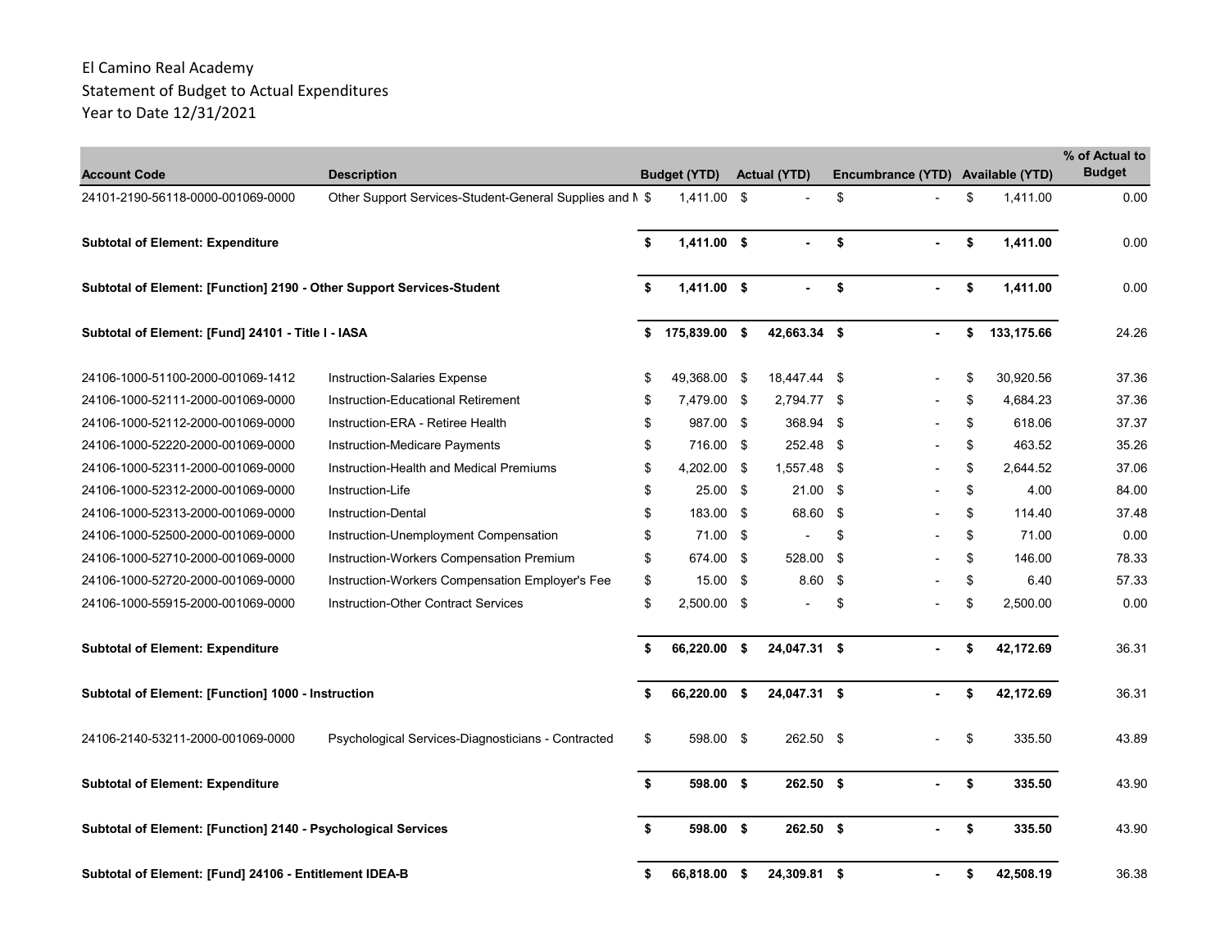| <b>Account Code</b>                                                   | <b>Description</b>                                       | <b>Budget (YTD)</b> | <b>Actual (YTD)</b> |     | Encumbrance (YTD) Available (YTD) |                  | % of Actual to<br><b>Budget</b> |
|-----------------------------------------------------------------------|----------------------------------------------------------|---------------------|---------------------|-----|-----------------------------------|------------------|---------------------------------|
| 24101-2190-56118-0000-001069-0000                                     | Other Support Services-Student-General Supplies and N \$ | 1,411.00 \$         |                     | \$  |                                   | \$<br>1,411.00   | 0.00                            |
| <b>Subtotal of Element: Expenditure</b>                               |                                                          | \$<br>1,411.00 \$   |                     | \$  |                                   | \$<br>1,411.00   | 0.00                            |
| Subtotal of Element: [Function] 2190 - Other Support Services-Student |                                                          | \$<br>$1,411.00$ \$ |                     | \$  |                                   | \$<br>1,411.00   | 0.00                            |
| Subtotal of Element: [Fund] 24101 - Title I - IASA                    |                                                          | \$<br>175,839.00 \$ | 42,663.34 \$        |     |                                   | \$<br>133,175.66 | 24.26                           |
| 24106-1000-51100-2000-001069-1412                                     | <b>Instruction-Salaries Expense</b>                      | \$<br>49,368.00 \$  | 18,447.44 \$        |     |                                   | \$<br>30,920.56  | 37.36                           |
| 24106-1000-52111-2000-001069-0000                                     | Instruction-Educational Retirement                       | \$<br>7.479.00 \$   | 2,794.77 \$         |     |                                   | \$<br>4.684.23   | 37.36                           |
| 24106-1000-52112-2000-001069-0000                                     | Instruction-ERA - Retiree Health                         | \$<br>987.00 \$     | 368.94              | -\$ |                                   | \$<br>618.06     | 37.37                           |
| 24106-1000-52220-2000-001069-0000                                     | Instruction-Medicare Payments                            | \$<br>716.00 \$     | 252.48 \$           |     |                                   | \$<br>463.52     | 35.26                           |
| 24106-1000-52311-2000-001069-0000                                     | Instruction-Health and Medical Premiums                  | \$<br>4,202.00 \$   | 1,557.48 \$         |     | $\overline{\phantom{0}}$          | \$<br>2,644.52   | 37.06                           |
| 24106-1000-52312-2000-001069-0000                                     | Instruction-Life                                         | \$<br>$25.00$ \$    | $21.00$ \$          |     |                                   | \$<br>4.00       | 84.00                           |
| 24106-1000-52313-2000-001069-0000                                     | Instruction-Dental                                       | \$<br>183.00 \$     | 68.60 \$            |     |                                   | \$<br>114.40     | 37.48                           |
| 24106-1000-52500-2000-001069-0000                                     | Instruction-Unemployment Compensation                    | \$<br>71.00 \$      |                     | \$  |                                   | \$<br>71.00      | 0.00                            |
| 24106-1000-52710-2000-001069-0000                                     | Instruction-Workers Compensation Premium                 | \$<br>674.00 \$     | 528.00              | -\$ |                                   | \$<br>146.00     | 78.33                           |
| 24106-1000-52720-2000-001069-0000                                     | Instruction-Workers Compensation Employer's Fee          | \$<br>$15.00$ \$    | 8.60                | -\$ |                                   | \$<br>6.40       | 57.33                           |
| 24106-1000-55915-2000-001069-0000                                     | <b>Instruction-Other Contract Services</b>               | \$<br>2,500.00 \$   |                     | \$  |                                   | \$<br>2,500.00   | 0.00                            |
| <b>Subtotal of Element: Expenditure</b>                               |                                                          | \$<br>66,220.00 \$  | 24,047.31 \$        |     |                                   | \$<br>42,172.69  | 36.31                           |
| Subtotal of Element: [Function] 1000 - Instruction                    |                                                          | \$<br>66,220.00 \$  | 24,047.31 \$        |     |                                   | \$<br>42,172.69  | 36.31                           |
| 24106-2140-53211-2000-001069-0000                                     | Psychological Services-Diagnosticians - Contracted       | \$<br>598.00 \$     | 262.50 \$           |     |                                   | \$<br>335.50     | 43.89                           |
| <b>Subtotal of Element: Expenditure</b>                               |                                                          | \$<br>598.00 \$     | $262.50$ \$         |     |                                   | \$<br>335.50     | 43.90                           |
| Subtotal of Element: [Function] 2140 - Psychological Services         |                                                          | \$<br>598.00 \$     | 262.50 \$           |     |                                   | \$<br>335.50     | 43.90                           |
| Subtotal of Element: [Fund] 24106 - Entitlement IDEA-B                |                                                          | \$<br>66,818.00 \$  | 24,309.81 \$        |     |                                   | \$<br>42,508.19  | 36.38                           |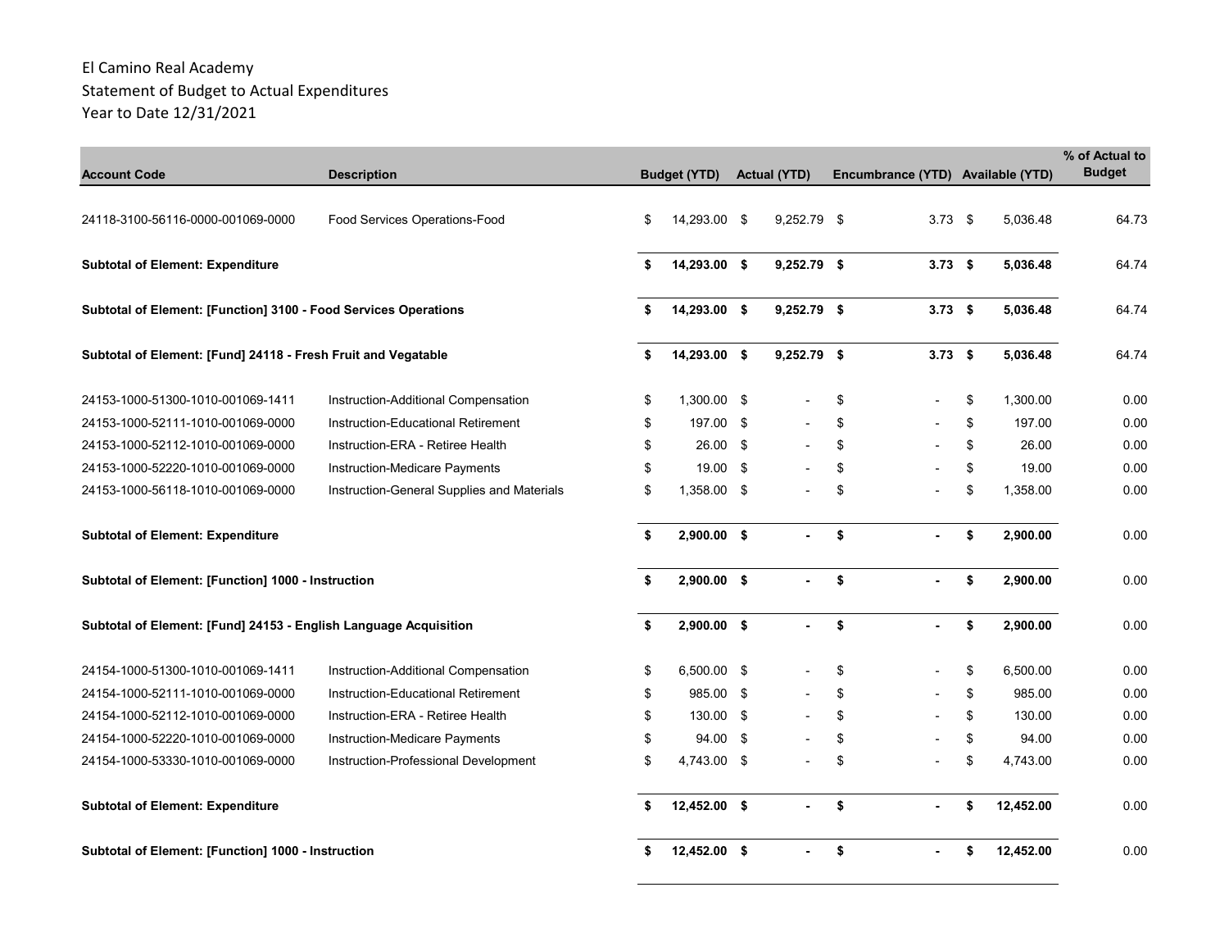|                                                                  |                                            |     |                     |                     |                                   |                 | % of Actual to |
|------------------------------------------------------------------|--------------------------------------------|-----|---------------------|---------------------|-----------------------------------|-----------------|----------------|
| <b>Account Code</b>                                              | <b>Description</b>                         |     | <b>Budget (YTD)</b> | <b>Actual (YTD)</b> | Encumbrance (YTD) Available (YTD) |                 | <b>Budget</b>  |
|                                                                  |                                            |     |                     |                     |                                   |                 |                |
| 24118-3100-56116-0000-001069-0000                                | Food Services Operations-Food              | \$  | 14,293.00 \$        | 9,252.79 \$         | 3.73 $$$                          | 5.036.48        | 64.73          |
|                                                                  |                                            |     |                     |                     |                                   |                 |                |
| <b>Subtotal of Element: Expenditure</b>                          |                                            | \$  | 14,293.00 \$        | 9,252.79 \$         | $3.73$ \$                         | 5,036.48        | 64.74          |
|                                                                  |                                            |     |                     |                     |                                   |                 |                |
| Subtotal of Element: [Function] 3100 - Food Services Operations  |                                            | \$  | 14,293.00 \$        | 9,252.79 \$         | $3.73$ \$                         | 5,036.48        | 64.74          |
| Subtotal of Element: [Fund] 24118 - Fresh Fruit and Vegatable    |                                            | \$  | 14,293.00 \$        | $9,252.79$ \$       | $3.73$ \$                         | 5,036.48        | 64.74          |
|                                                                  |                                            |     |                     |                     |                                   |                 |                |
| 24153-1000-51300-1010-001069-1411                                | Instruction-Additional Compensation        | \$  | 1,300.00 \$         |                     | \$                                | \$<br>1,300.00  | 0.00           |
| 24153-1000-52111-1010-001069-0000                                | Instruction-Educational Retirement         | \$  | 197.00 \$           |                     | \$                                | \$<br>197.00    | 0.00           |
| 24153-1000-52112-1010-001069-0000                                | Instruction-ERA - Retiree Health           | \$  | $26.00$ \$          |                     | \$                                | \$<br>26.00     | 0.00           |
| 24153-1000-52220-1010-001069-0000                                | Instruction-Medicare Payments              | \$  | 19.00 \$            |                     | \$                                | \$<br>19.00     | 0.00           |
| 24153-1000-56118-1010-001069-0000                                | Instruction-General Supplies and Materials | \$  | 1,358.00 \$         |                     | \$                                | \$<br>1,358.00  | 0.00           |
|                                                                  |                                            |     |                     |                     |                                   |                 |                |
| <b>Subtotal of Element: Expenditure</b>                          |                                            | \$  | $2,900.00$ \$       | $\blacksquare$      | \$<br>$\blacksquare$              | \$<br>2,900.00  | 0.00           |
| Subtotal of Element: [Function] 1000 - Instruction               |                                            | \$  | 2,900.00 \$         |                     | \$                                | \$<br>2,900.00  | 0.00           |
|                                                                  |                                            |     |                     |                     |                                   |                 |                |
| Subtotal of Element: [Fund] 24153 - English Language Acquisition |                                            | \$  | $2,900.00$ \$       | $\blacksquare$      | \$                                | \$<br>2,900.00  | 0.00           |
|                                                                  |                                            |     |                     |                     |                                   |                 |                |
| 24154-1000-51300-1010-001069-1411                                | Instruction-Additional Compensation        | \$  | 6,500.00 \$         |                     | \$                                | \$<br>6,500.00  | 0.00           |
| 24154-1000-52111-1010-001069-0000                                | Instruction-Educational Retirement         | \$  | 985.00 \$           |                     | \$                                | \$<br>985.00    | 0.00           |
| 24154-1000-52112-1010-001069-0000                                | Instruction-ERA - Retiree Health           | \$  | 130.00 \$           |                     | \$                                | \$<br>130.00    | 0.00           |
| 24154-1000-52220-1010-001069-0000                                | Instruction-Medicare Payments              | \$  | 94.00 \$            |                     | \$                                | \$<br>94.00     | 0.00           |
| 24154-1000-53330-1010-001069-0000                                | Instruction-Professional Development       | \$  | 4,743.00 \$         |                     | \$                                | \$<br>4,743.00  | 0.00           |
| <b>Subtotal of Element: Expenditure</b>                          |                                            | \$. | 12,452.00 \$        |                     | \$                                | \$<br>12,452.00 | 0.00           |
| Subtotal of Element: [Function] 1000 - Instruction               |                                            | \$  | 12,452.00 \$        |                     | \$                                | \$<br>12,452.00 | 0.00           |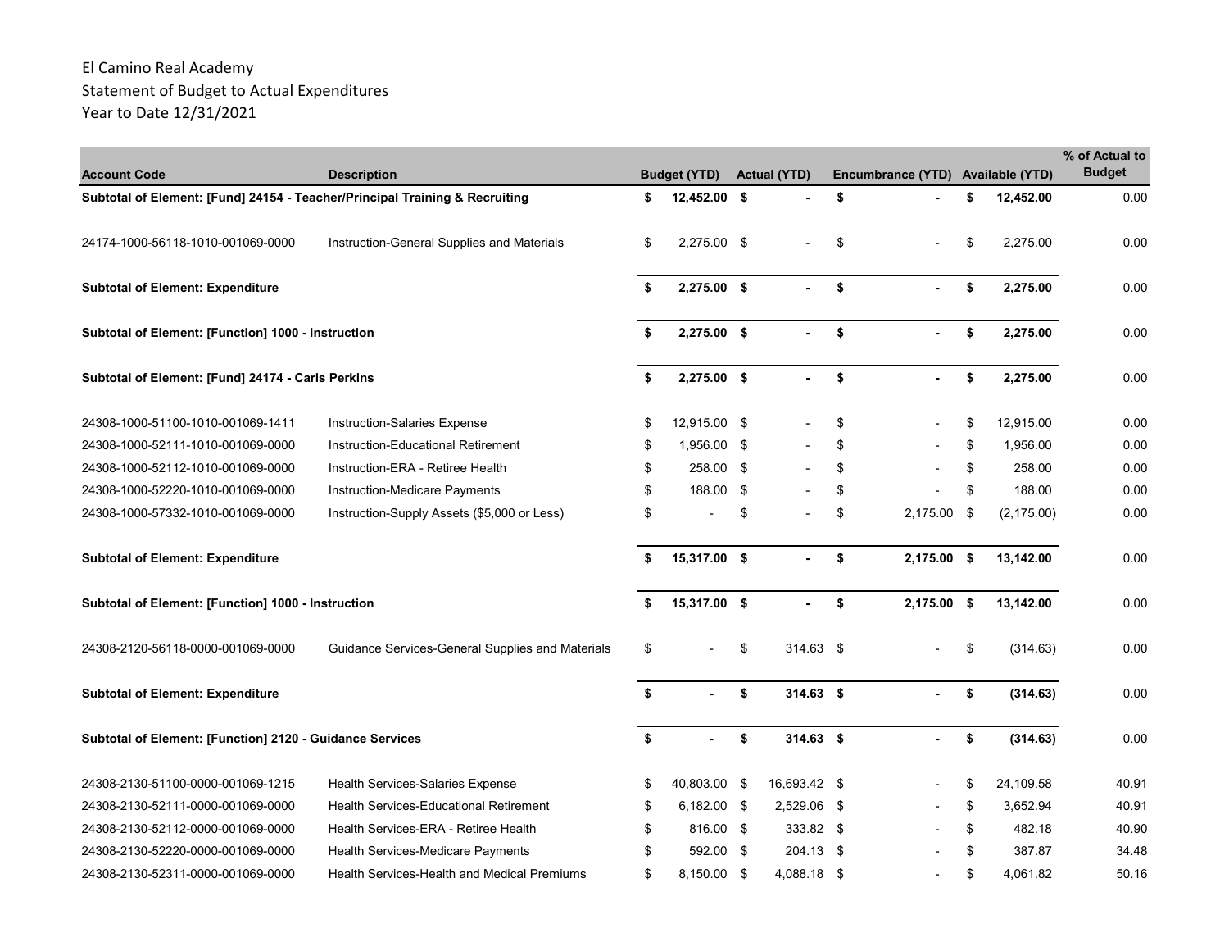| <b>Account Code</b>                                                         | <b>Description</b>                                 | <b>Budget (YTD)</b>  |      | <b>Actual (YTD)</b> | Encumbrance (YTD) Available (YTD) |                 | % of Actual to<br><b>Budget</b> |
|-----------------------------------------------------------------------------|----------------------------------------------------|----------------------|------|---------------------|-----------------------------------|-----------------|---------------------------------|
| Subtotal of Element: [Fund] 24154 - Teacher/Principal Training & Recruiting |                                                    | \$<br>12,452.00 \$   |      |                     | \$                                | \$<br>12,452.00 | 0.00                            |
|                                                                             |                                                    |                      |      |                     |                                   |                 |                                 |
| 24174-1000-56118-1010-001069-0000                                           | Instruction-General Supplies and Materials         | \$<br>2,275.00 \$    |      |                     | \$                                | \$<br>2,275.00  | 0.00                            |
| <b>Subtotal of Element: Expenditure</b>                                     |                                                    | \$<br>2,275.00 \$    |      | $\mathbf{r}$        | \$                                | \$<br>2,275.00  | 0.00                            |
|                                                                             |                                                    |                      |      |                     |                                   |                 |                                 |
| Subtotal of Element: [Function] 1000 - Instruction                          |                                                    | \$<br>2,275.00 \$    |      |                     | \$                                | \$<br>2,275.00  | 0.00                            |
| Subtotal of Element: [Fund] 24174 - Carls Perkins                           |                                                    | \$<br>$2,275.00$ \$  |      |                     | \$                                | \$<br>2,275.00  | 0.00                            |
| 24308-1000-51100-1010-001069-1411                                           | Instruction-Salaries Expense                       | \$<br>12,915.00 \$   |      |                     | \$                                | \$<br>12,915.00 | 0.00                            |
| 24308-1000-52111-1010-001069-0000                                           | Instruction-Educational Retirement                 | \$<br>1,956.00 \$    |      |                     | \$                                | \$<br>1,956.00  | 0.00                            |
| 24308-1000-52112-1010-001069-0000                                           | Instruction-ERA - Retiree Health                   | \$<br>258.00 \$      |      |                     | \$                                | \$<br>258.00    | 0.00                            |
| 24308-1000-52220-1010-001069-0000                                           | Instruction-Medicare Payments                      | \$<br>188.00 \$      |      |                     | \$                                | \$<br>188.00    | 0.00                            |
| 24308-1000-57332-1010-001069-0000                                           | Instruction-Supply Assets (\$5,000 or Less)        | \$                   | \$   |                     | \$<br>2,175.00 \$                 | (2, 175.00)     | 0.00                            |
| <b>Subtotal of Element: Expenditure</b>                                     |                                                    | \$<br>15,317.00 \$   |      |                     | \$<br>$2,175.00$ \$               | 13,142.00       | 0.00                            |
| Subtotal of Element: [Function] 1000 - Instruction                          |                                                    | \$<br>15,317.00 \$   |      |                     | \$<br>2,175.00 \$                 | 13,142.00       | 0.00                            |
| 24308-2120-56118-0000-001069-0000                                           | Guidance Services-General Supplies and Materials   | \$<br>$\blacksquare$ | \$   | 314.63 \$           |                                   | \$<br>(314.63)  | 0.00                            |
| <b>Subtotal of Element: Expenditure</b>                                     |                                                    | \$                   | \$   | $314.63$ \$         |                                   | \$<br>(314.63)  | 0.00                            |
| Subtotal of Element: [Function] 2120 - Guidance Services                    |                                                    | \$                   | \$   | 314.63 \$           |                                   | \$<br>(314.63)  | 0.00                            |
| 24308-2130-51100-0000-001069-1215                                           | Health Services-Salaries Expense                   | \$<br>40,803.00      | - \$ | 16,693.42 \$        |                                   | \$<br>24,109.58 | 40.91                           |
| 24308-2130-52111-0000-001069-0000                                           | <b>Health Services-Educational Retirement</b>      | \$<br>$6,182.00$ \$  |      | 2,529.06 \$         |                                   | \$<br>3,652.94  | 40.91                           |
| 24308-2130-52112-0000-001069-0000                                           | Health Services-ERA - Retiree Health               | \$<br>816.00 \$      |      | 333.82 \$           |                                   | \$<br>482.18    | 40.90                           |
| 24308-2130-52220-0000-001069-0000                                           | Health Services-Medicare Payments                  | \$<br>592.00 \$      |      | 204.13 \$           |                                   | \$<br>387.87    | 34.48                           |
| 24308-2130-52311-0000-001069-0000                                           | <b>Health Services-Health and Medical Premiums</b> | \$<br>8,150.00 \$    |      | 4,088.18 \$         |                                   | \$<br>4,061.82  | 50.16                           |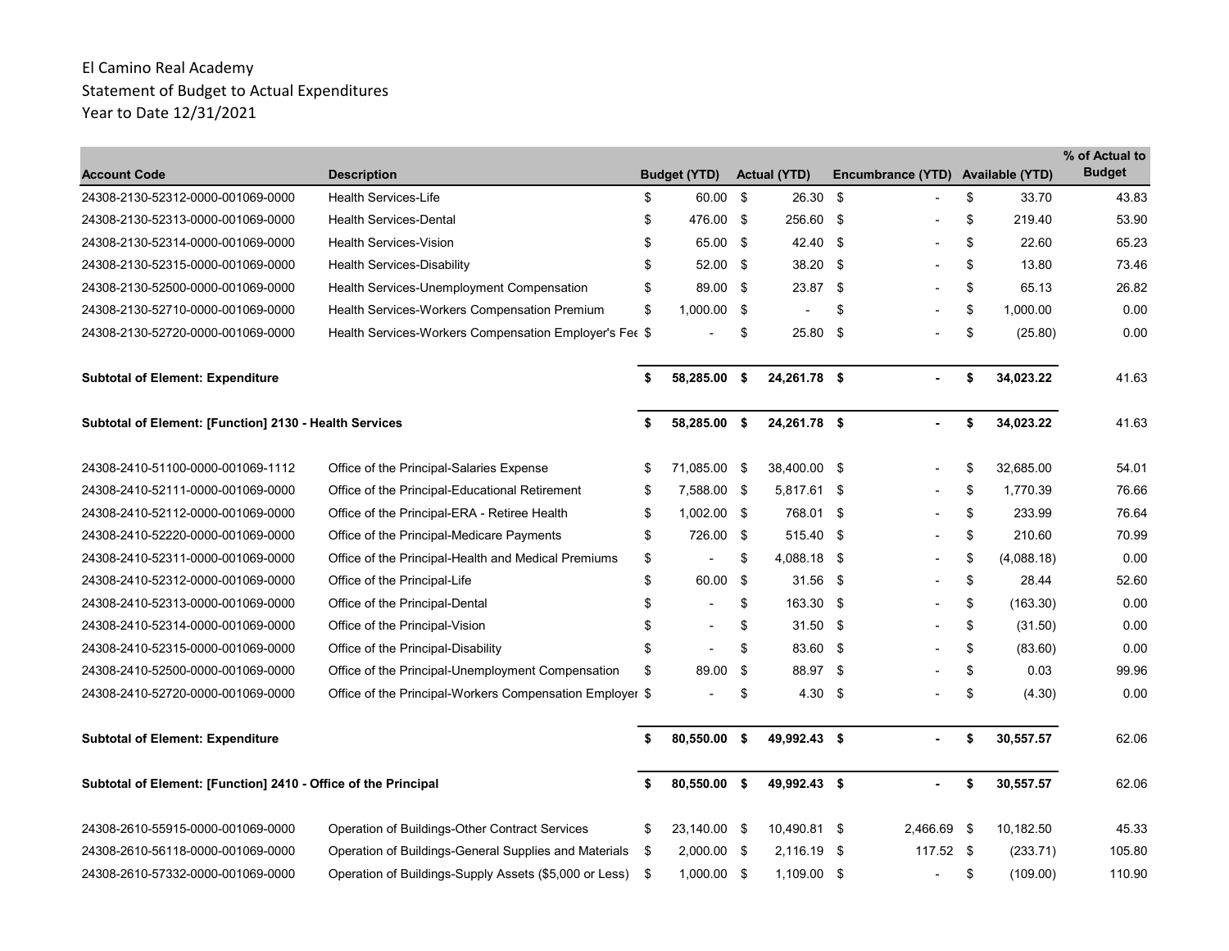| <b>Account Code</b>                                            | <b>Description</b>                                       | <b>Budget (YTD)</b>            |      | <b>Actual (YTD)</b> |      | Encumbrance (YTD) Available (YTD) |                  | % of Actual to<br><b>Budget</b> |
|----------------------------------------------------------------|----------------------------------------------------------|--------------------------------|------|---------------------|------|-----------------------------------|------------------|---------------------------------|
| 24308-2130-52312-0000-001069-0000                              | <b>Health Services-Life</b>                              | \$<br>60.00                    | - \$ | $26.30$ \$          |      |                                   | \$<br>33.70      | 43.83                           |
| 24308-2130-52313-0000-001069-0000                              | Health Services-Dental                                   | \$<br>476.00 \$                |      | 256.60 \$           |      |                                   | \$<br>219.40     | 53.90                           |
| 24308-2130-52314-0000-001069-0000                              | <b>Health Services-Vision</b>                            | \$<br>65.00 \$                 |      | 42.40 \$            |      |                                   | \$<br>22.60      | 65.23                           |
| 24308-2130-52315-0000-001069-0000                              | Health Services-Disability                               | \$<br>52.00                    | - \$ | 38.20               | - \$ |                                   | \$<br>13.80      | 73.46                           |
| 24308-2130-52500-0000-001069-0000                              | Health Services-Unemployment Compensation                | \$<br>89.00 \$                 |      | 23.87               | - \$ |                                   | \$<br>65.13      | 26.82                           |
| 24308-2130-52710-0000-001069-0000                              | <b>Health Services-Workers Compensation Premium</b>      | \$<br>1,000.00 \$              |      |                     | \$   |                                   | \$<br>1.000.00   | 0.00                            |
| 24308-2130-52720-0000-001069-0000                              | Health Services-Workers Compensation Employer's Fee \$   |                                | \$   | 25.80               | \$   |                                   | \$<br>(25.80)    | 0.00                            |
| <b>Subtotal of Element: Expenditure</b>                        |                                                          | \$<br>58,285.00 \$             |      | 24,261.78 \$        |      |                                   | \$<br>34,023.22  | 41.63                           |
| Subtotal of Element: [Function] 2130 - Health Services         |                                                          | \$<br>58,285.00 \$             |      | 24,261.78 \$        |      |                                   | \$<br>34,023.22  | 41.63                           |
| 24308-2410-51100-0000-001069-1112                              | Office of the Principal-Salaries Expense                 | \$<br>71,085.00                | \$   | 38,400.00 \$        |      |                                   | \$<br>32.685.00  | 54.01                           |
| 24308-2410-52111-0000-001069-0000                              | Office of the Principal-Educational Retirement           | \$<br>7,588.00 \$              |      | 5,817.61 \$         |      |                                   | \$<br>1.770.39   | 76.66                           |
| 24308-2410-52112-0000-001069-0000                              | Office of the Principal-ERA - Retiree Health             | \$<br>$1,002.00$ \$            |      | 768.01 \$           |      |                                   | \$<br>233.99     | 76.64                           |
| 24308-2410-52220-0000-001069-0000                              | Office of the Principal-Medicare Payments                | \$<br>726.00 \$                |      | 515.40 \$           |      |                                   | \$<br>210.60     | 70.99                           |
| 24308-2410-52311-0000-001069-0000                              | Office of the Principal-Health and Medical Premiums      | \$<br>$\blacksquare$           | \$   | 4,088.18 \$         |      |                                   | \$<br>(4,088.18) | 0.00                            |
| 24308-2410-52312-0000-001069-0000                              | Office of the Principal-Life                             | \$<br>60.00                    | \$   | 31.56               | - \$ |                                   | \$<br>28.44      | 52.60                           |
| 24308-2410-52313-0000-001069-0000                              | Office of the Principal-Dental                           | \$                             | \$   | 163.30 \$           |      |                                   | \$<br>(163.30)   | 0.00                            |
| 24308-2410-52314-0000-001069-0000                              | Office of the Principal-Vision                           | \$<br>$\overline{a}$           | \$   | $31.50$ \$          |      |                                   | \$<br>(31.50)    | 0.00                            |
| 24308-2410-52315-0000-001069-0000                              | Office of the Principal-Disability                       | \$<br>$\overline{\phantom{a}}$ | \$   | 83.60 \$            |      |                                   | \$<br>(83.60)    | 0.00                            |
| 24308-2410-52500-0000-001069-0000                              | Office of the Principal-Unemployment Compensation        | \$<br>89.00                    | \$   | 88.97 \$            |      |                                   | \$<br>0.03       | 99.96                           |
| 24308-2410-52720-0000-001069-0000                              | Office of the Principal-Workers Compensation Employer \$ |                                | \$   | 4.30 <sup>5</sup>   |      |                                   | \$<br>(4.30)     | 0.00                            |
| <b>Subtotal of Element: Expenditure</b>                        |                                                          | \$<br>80,550.00                | \$   | 49,992.43 \$        |      |                                   | \$<br>30,557.57  | 62.06                           |
| Subtotal of Element: [Function] 2410 - Office of the Principal |                                                          | \$<br>80,550.00 \$             |      | 49,992.43 \$        |      |                                   | \$<br>30,557.57  | 62.06                           |
| 24308-2610-55915-0000-001069-0000                              | Operation of Buildings-Other Contract Services           | \$<br>23,140.00 \$             |      | 10,490.81 \$        |      | 2,466.69 \$                       | 10,182.50        | 45.33                           |
| 24308-2610-56118-0000-001069-0000                              | Operation of Buildings-General Supplies and Materials    | \$<br>2,000.00 \$              |      | 2,116.19 \$         |      | 117.52 \$                         | (233.71)         | 105.80                          |
| 24308-2610-57332-0000-001069-0000                              | Operation of Buildings-Supply Assets (\$5,000 or Less)   | \$<br>1,000.00                 | \$   | 1,109.00 \$         |      |                                   | \$<br>(109.00)   | 110.90                          |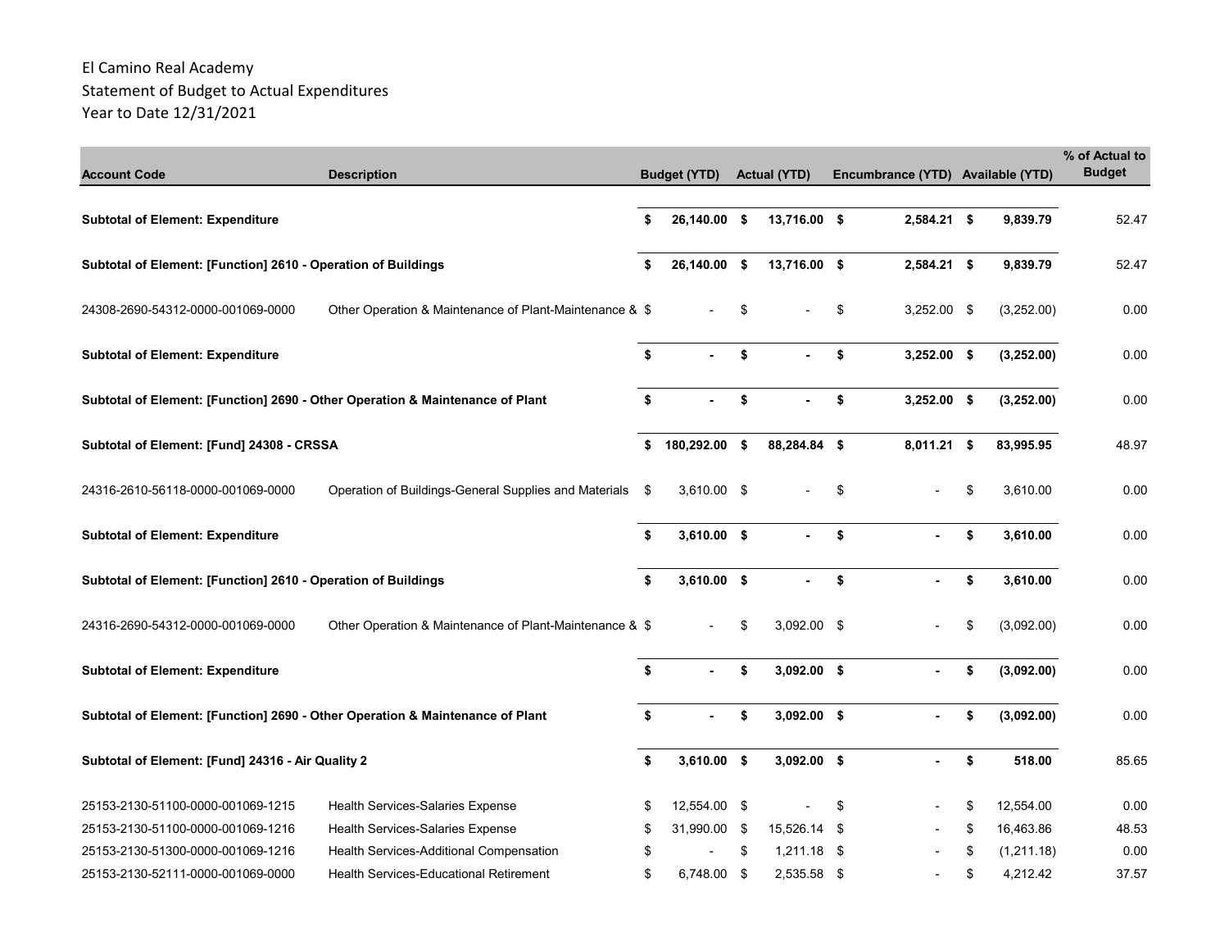|                                                                               |                                                         |     |                     |                     |     |                                   |                  | % of Actual to<br><b>Budget</b> |
|-------------------------------------------------------------------------------|---------------------------------------------------------|-----|---------------------|---------------------|-----|-----------------------------------|------------------|---------------------------------|
| <b>Account Code</b>                                                           | <b>Description</b>                                      |     | <b>Budget (YTD)</b> | <b>Actual (YTD)</b> |     | Encumbrance (YTD) Available (YTD) |                  |                                 |
| <b>Subtotal of Element: Expenditure</b>                                       |                                                         | \$  | 26,140.00 \$        | 13,716.00 \$        |     | $2,584.21$ \$                     | 9,839.79         | 52.47                           |
| Subtotal of Element: [Function] 2610 - Operation of Buildings                 |                                                         | \$  | 26,140.00 \$        | 13,716.00 \$        |     | 2,584.21 \$                       | 9,839.79         | 52.47                           |
| 24308-2690-54312-0000-001069-0000                                             | Other Operation & Maintenance of Plant-Maintenance & \$ |     |                     | \$                  | \$  | 3,252.00 \$                       | (3,252.00)       | 0.00                            |
| <b>Subtotal of Element: Expenditure</b>                                       |                                                         | \$  |                     | \$                  | \$  | $3,252.00$ \$                     | (3, 252.00)      | 0.00                            |
| Subtotal of Element: [Function] 2690 - Other Operation & Maintenance of Plant |                                                         | \$  |                     | \$                  | \$  | 3,252.00 \$                       | (3, 252.00)      | 0.00                            |
| Subtotal of Element: [Fund] 24308 - CRSSA                                     |                                                         | \$  | 180,292.00 \$       | 88,284.84 \$        |     | 8,011.21 \$                       | 83,995.95        | 48.97                           |
| 24316-2610-56118-0000-001069-0000                                             | Operation of Buildings-General Supplies and Materials   | -\$ | 3,610.00 \$         |                     | \$  |                                   | \$<br>3,610.00   | 0.00                            |
| <b>Subtotal of Element: Expenditure</b>                                       |                                                         | \$  | $3,610.00$ \$       |                     | \$  |                                   | \$<br>3,610.00   | 0.00                            |
| Subtotal of Element: [Function] 2610 - Operation of Buildings                 |                                                         | \$  | $3,610.00$ \$       |                     | \$  |                                   | \$<br>3,610.00   | 0.00                            |
| 24316-2690-54312-0000-001069-0000                                             | Other Operation & Maintenance of Plant-Maintenance & \$ |     |                     | \$<br>3,092.00 \$   |     |                                   | \$<br>(3,092.00) | 0.00                            |
| <b>Subtotal of Element: Expenditure</b>                                       |                                                         | \$  |                     | \$<br>3,092.00 \$   |     |                                   | \$<br>(3,092.00) | 0.00                            |
| Subtotal of Element: [Function] 2690 - Other Operation & Maintenance of Plant |                                                         | \$  |                     | \$<br>$3,092.00$ \$ |     |                                   | \$<br>(3,092.00) | 0.00                            |
| Subtotal of Element: [Fund] 24316 - Air Quality 2                             |                                                         | \$  | 3,610.00 \$         | $3,092.00$ \$       |     |                                   | \$<br>518.00     | 85.65                           |
| 25153-2130-51100-0000-001069-1215                                             | <b>Health Services-Salaries Expense</b>                 | \$  | 12,554.00 \$        |                     | \$  |                                   | \$<br>12.554.00  | 0.00                            |
| 25153-2130-51100-0000-001069-1216                                             | <b>Health Services-Salaries Expense</b>                 | \$  | 31,990.00 \$        | 15,526.14           | -\$ |                                   | \$<br>16,463.86  | 48.53                           |
| 25153-2130-51300-0000-001069-1216                                             | Health Services-Additional Compensation                 | \$  |                     | \$<br>1,211.18      | -\$ |                                   | \$<br>(1,211.18) | 0.00                            |
| 25153-2130-52111-0000-001069-0000                                             | <b>Health Services-Educational Retirement</b>           | \$  | 6,748.00 \$         | 2,535.58 \$         |     |                                   | \$<br>4,212.42   | 37.57                           |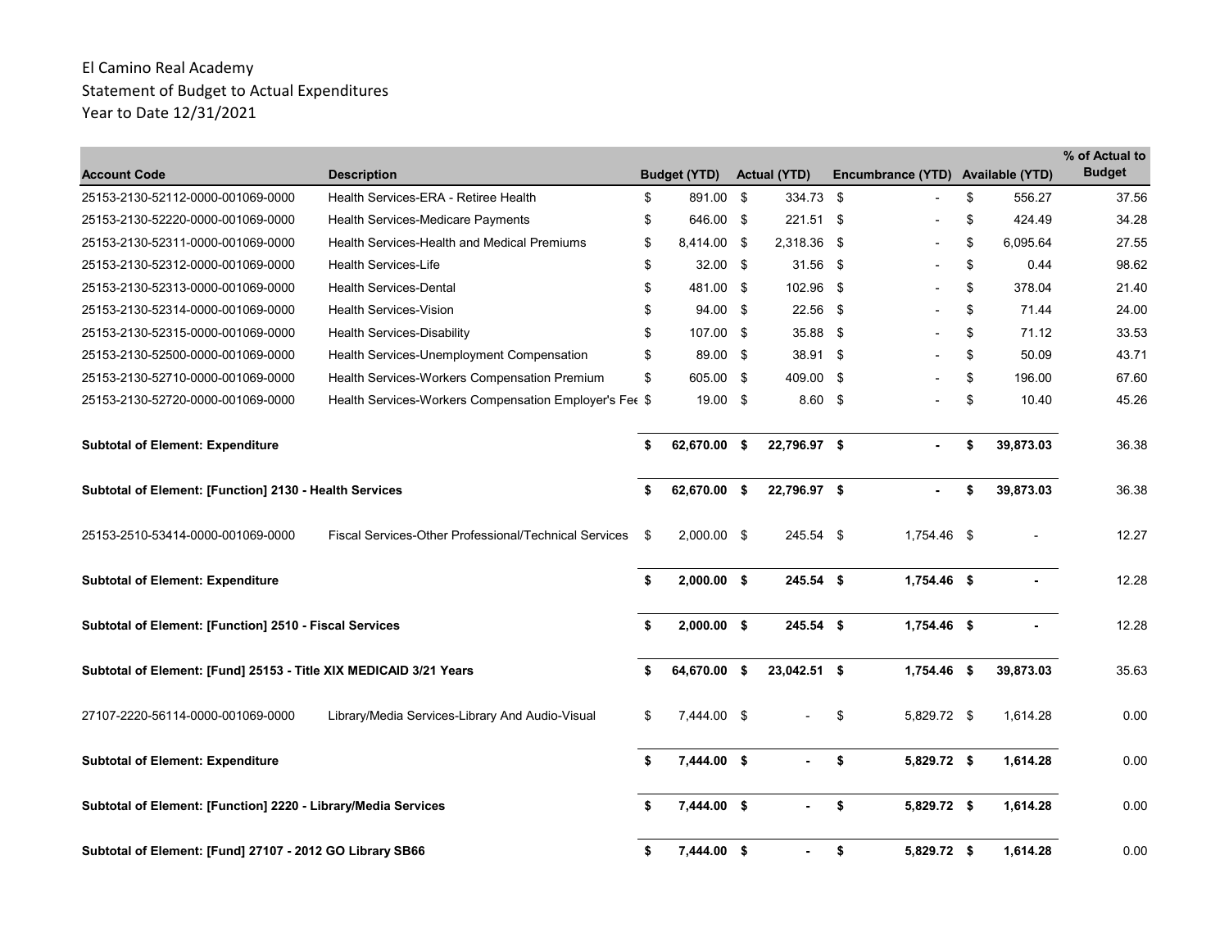| <b>Account Code</b>                                               | <b>Description</b>                                           |     | <b>Budget (YTD)</b> |      | <b>Actual (YTD)</b> |      | Encumbrance (YTD) Available (YTD) |                 | % of Actual to<br><b>Budget</b> |
|-------------------------------------------------------------------|--------------------------------------------------------------|-----|---------------------|------|---------------------|------|-----------------------------------|-----------------|---------------------------------|
| 25153-2130-52112-0000-001069-0000                                 | Health Services-ERA - Retiree Health                         | \$  | 891.00 \$           |      | 334.73 \$           |      |                                   | \$<br>556.27    | 37.56                           |
| 25153-2130-52220-0000-001069-0000                                 | <b>Health Services-Medicare Payments</b>                     | \$  | 646.00 \$           |      | 221.51 \$           |      |                                   | \$<br>424.49    | 34.28                           |
| 25153-2130-52311-0000-001069-0000                                 | <b>Health Services-Health and Medical Premiums</b>           | \$  | 8,414.00 \$         |      | 2,318.36            | -\$  |                                   | \$<br>6,095.64  | 27.55                           |
| 25153-2130-52312-0000-001069-0000                                 | <b>Health Services-Life</b>                                  | \$  | $32.00$ \$          |      | 31.56 \$            |      |                                   | \$<br>0.44      | 98.62                           |
| 25153-2130-52313-0000-001069-0000                                 | <b>Health Services-Dental</b>                                | \$  | 481.00              | - \$ | 102.96              | - \$ |                                   | \$<br>378.04    | 21.40                           |
| 25153-2130-52314-0000-001069-0000                                 | <b>Health Services-Vision</b>                                | \$  | 94.00 \$            |      | 22.56               | - \$ |                                   | \$<br>71.44     | 24.00                           |
| 25153-2130-52315-0000-001069-0000                                 | <b>Health Services-Disability</b>                            | \$  | 107.00 \$           |      | 35.88 \$            |      |                                   | \$<br>71.12     | 33.53                           |
| 25153-2130-52500-0000-001069-0000                                 | Health Services-Unemployment Compensation                    | \$  | 89.00 \$            |      | 38.91 \$            |      |                                   | \$<br>50.09     | 43.71                           |
| 25153-2130-52710-0000-001069-0000                                 | Health Services-Workers Compensation Premium                 | \$  | 605.00 \$           |      | 409.00              | - \$ |                                   | \$<br>196.00    | 67.60                           |
| 25153-2130-52720-0000-001069-0000                                 | Health Services-Workers Compensation Employer's Fee \$       |     | $19.00$ \$          |      | $8.60$ \$           |      |                                   | \$<br>10.40     | 45.26                           |
| <b>Subtotal of Element: Expenditure</b>                           |                                                              | \$  | 62.670.00 \$        |      | 22.796.97 \$        |      |                                   | \$<br>39,873.03 | 36.38                           |
| Subtotal of Element: [Function] 2130 - Health Services            |                                                              | \$  | 62,670.00 \$        |      | 22,796.97 \$        |      |                                   | \$<br>39,873.03 | 36.38                           |
| 25153-2510-53414-0000-001069-0000                                 | <b>Fiscal Services-Other Professional/Technical Services</b> | \$  | $2.000.00$ \$       |      | 245.54 \$           |      | 1.754.46 \$                       |                 | 12.27                           |
| <b>Subtotal of Element: Expenditure</b>                           |                                                              | \$  | $2,000.00$ \$       |      | $245.54$ \$         |      | 1,754.46 \$                       |                 | 12.28                           |
| Subtotal of Element: [Function] 2510 - Fiscal Services            |                                                              |     | $2,000.00$ \$       |      | 245.54 \$           |      | 1,754.46 \$                       |                 | 12.28                           |
| Subtotal of Element: [Fund] 25153 - Title XIX MEDICAID 3/21 Years |                                                              | \$  | 64,670.00 \$        |      | 23,042.51 \$        |      | 1,754.46 \$                       | 39,873.03       | 35.63                           |
| 27107-2220-56114-0000-001069-0000                                 | Library/Media Services-Library And Audio-Visual              | \$  | 7,444.00 \$         |      |                     | \$   | 5,829.72 \$                       | 1,614.28        | 0.00                            |
| <b>Subtotal of Element: Expenditure</b>                           |                                                              | \$. | 7,444.00 \$         |      |                     | \$   | 5,829.72 \$                       | 1,614.28        | 0.00                            |
| Subtotal of Element: [Function] 2220 - Library/Media Services     |                                                              | \$  | 7,444.00 \$         |      | $\sim$              | \$   | 5,829.72 \$                       | 1,614.28        | 0.00                            |
| Subtotal of Element: [Fund] 27107 - 2012 GO Library SB66          |                                                              | \$  | 7,444.00 \$         |      |                     | \$   | 5,829.72 \$                       | 1,614.28        | 0.00                            |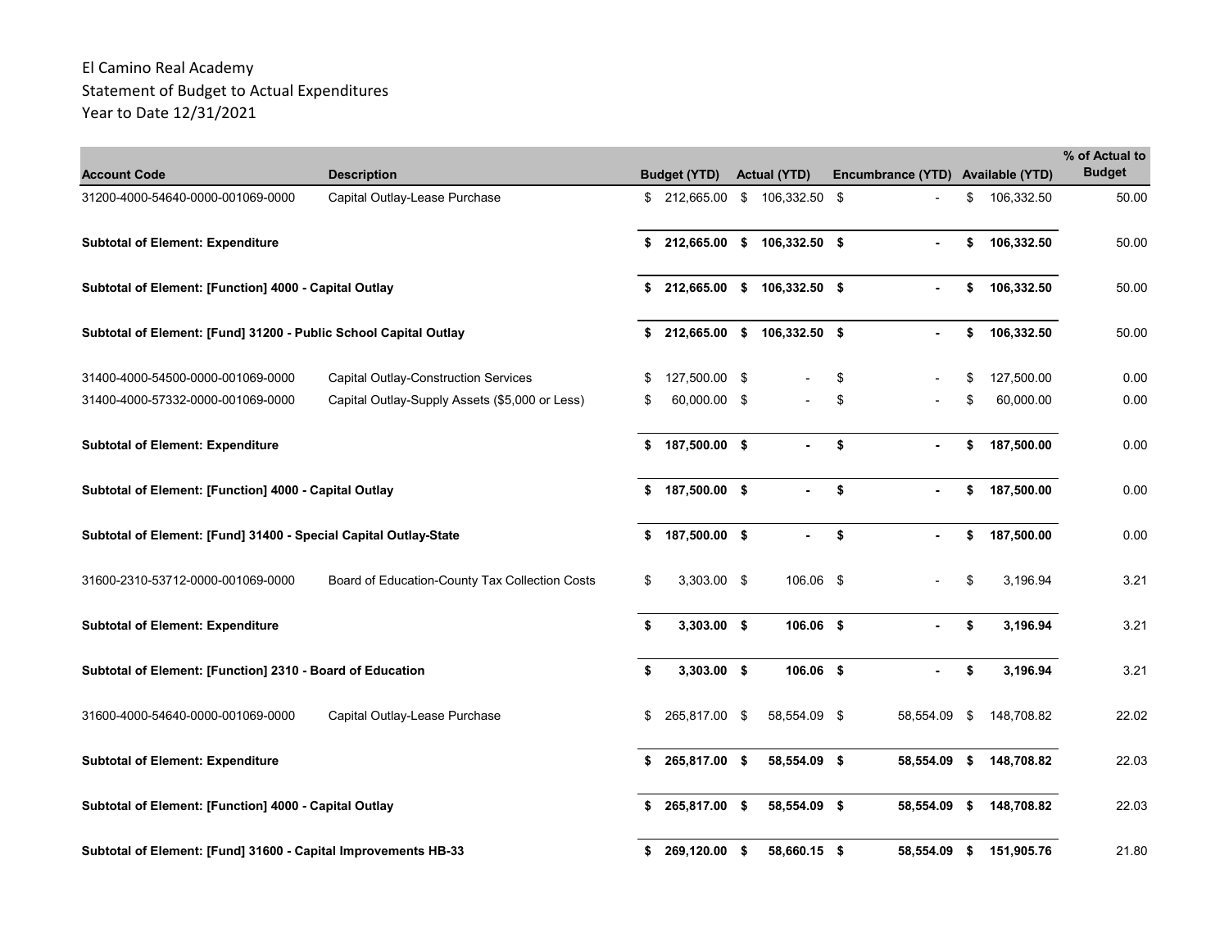| <b>Account Code</b>                                              | <b>Description</b>                             |    | <b>Budget (YTD)</b> | <b>Actual (YTD)</b>            | Encumbrance (YTD) Available (YTD) |    |            | % of Actual to<br><b>Budget</b> |
|------------------------------------------------------------------|------------------------------------------------|----|---------------------|--------------------------------|-----------------------------------|----|------------|---------------------------------|
| 31200-4000-54640-0000-001069-0000                                | Capital Outlay-Lease Purchase                  |    |                     | \$ 212,665.00 \$ 106,332.50 \$ |                                   | \$ | 106,332.50 | 50.00                           |
| <b>Subtotal of Element: Expenditure</b>                          |                                                | \$ |                     | 212,665.00 \$ 106,332.50 \$    |                                   | \$ | 106,332.50 | 50.00                           |
| Subtotal of Element: [Function] 4000 - Capital Outlay            |                                                | \$ | 212,665.00          | \$<br>106,332.50 \$            |                                   | \$ | 106,332.50 | 50.00                           |
| Subtotal of Element: [Fund] 31200 - Public School Capital Outlay |                                                | \$ | 212,665.00 \$       | 106,332.50 \$                  |                                   | \$ | 106,332.50 | 50.00                           |
| 31400-4000-54500-0000-001069-0000                                | <b>Capital Outlay-Construction Services</b>    | \$ | 127.500.00 \$       |                                | \$                                | \$ | 127,500.00 | 0.00                            |
| 31400-4000-57332-0000-001069-0000                                | Capital Outlay-Supply Assets (\$5,000 or Less) | £. | 60,000.00 \$        |                                | \$                                | \$ | 60,000.00  | 0.00                            |
| <b>Subtotal of Element: Expenditure</b>                          |                                                | \$ | 187,500.00 \$       |                                | \$                                | \$ | 187,500.00 | 0.00                            |
| Subtotal of Element: [Function] 4000 - Capital Outlay            |                                                | \$ | 187,500.00 \$       |                                | \$                                | \$ | 187,500.00 | 0.00                            |
| Subtotal of Element: [Fund] 31400 - Special Capital Outlay-State |                                                | \$ | 187,500.00 \$       |                                | \$                                | \$ | 187,500.00 | 0.00                            |
| 31600-2310-53712-0000-001069-0000                                | Board of Education-County Tax Collection Costs | \$ | 3,303.00 \$         | 106.06 \$                      |                                   | \$ | 3,196.94   | 3.21                            |
| <b>Subtotal of Element: Expenditure</b>                          |                                                | \$ | $3,303.00$ \$       | 106.06 \$                      |                                   | \$ | 3,196.94   | 3.21                            |
| Subtotal of Element: [Function] 2310 - Board of Education        |                                                | \$ | $3,303.00$ \$       | 106.06 \$                      |                                   | \$ | 3,196.94   | 3.21                            |
| 31600-4000-54640-0000-001069-0000                                | Capital Outlay-Lease Purchase                  | \$ | 265,817.00 \$       | 58,554.09 \$                   | 58,554.09                         | \$ | 148,708.82 | 22.02                           |
| <b>Subtotal of Element: Expenditure</b>                          |                                                | \$ | 265,817.00 \$       | 58,554.09 \$                   | 58,554.09                         | s. | 148,708.82 | 22.03                           |
| Subtotal of Element: [Function] 4000 - Capital Outlay            |                                                | \$ | 265,817.00 \$       | 58,554.09 \$                   | 58,554.09                         | \$ | 148,708.82 | 22.03                           |
| Subtotal of Element: [Fund] 31600 - Capital Improvements HB-33   |                                                | S  | 269,120.00 \$       | 58,660.15 \$                   | 58,554.09 \$                      |    | 151,905.76 | 21.80                           |